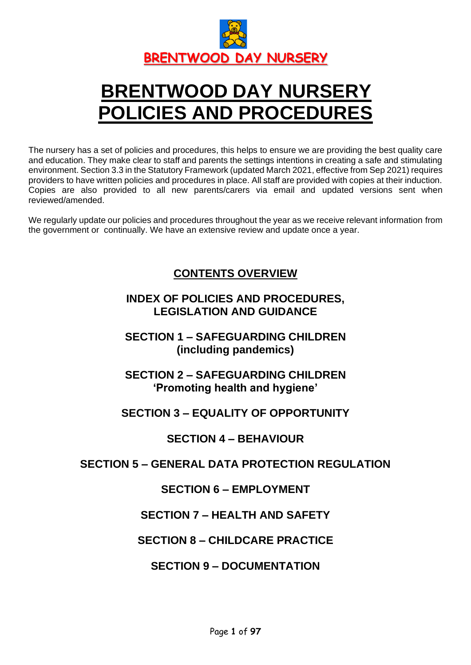

# **BRENTWOOD DAY NURSERY POLICIES AND PROCEDURES**

The nursery has a set of policies and procedures, this helps to ensure we are providing the best quality care and education. They make clear to staff and parents the settings intentions in creating a safe and stimulating environment. Section 3.3 in the Statutory Framework (updated March 2021, effective from Sep 2021) requires providers to have written policies and procedures in place. All staff are provided with copies at their induction. Copies are also provided to all new parents/carers via email and updated versions sent when reviewed/amended.

We regularly update our policies and procedures throughout the year as we receive relevant information from the government or continually. We have an extensive review and update once a year.

# **CONTENTS OVERVIEW**

# **INDEX OF POLICIES AND PROCEDURES, LEGISLATION AND GUIDANCE**

# **SECTION 1 – SAFEGUARDING CHILDREN (including pandemics)**

# **SECTION 2 – SAFEGUARDING CHILDREN 'Promoting health and hygiene'**

# **SECTION 3 – EQUALITY OF OPPORTUNITY**

## **SECTION 4 – BEHAVIOUR**

# **SECTION 5 – GENERAL DATA PROTECTION REGULATION**

# **SECTION 6 – EMPLOYMENT**

# **SECTION 7 – HEALTH AND SAFETY**

## **SECTION 8 – CHILDCARE PRACTICE**

## **SECTION 9 – DOCUMENTATION**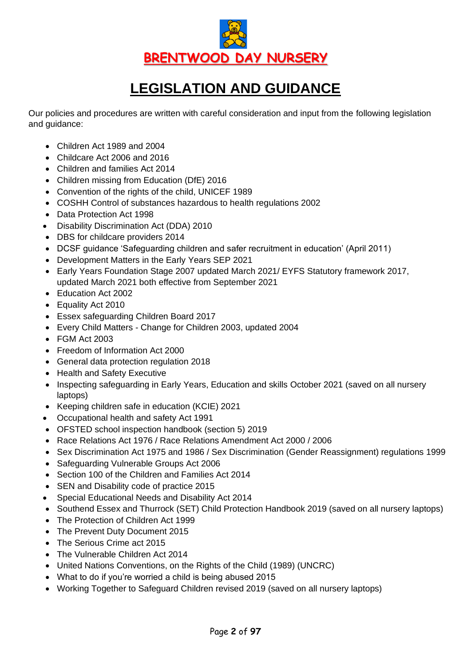

# **LEGISLATION AND GUIDANCE**

Our policies and procedures are written with careful consideration and input from the following legislation and guidance:

- Children Act 1989 and 2004
- Childcare Act 2006 and 2016
- Children and families Act 2014
- Children missing from Education (DfE) 2016
- Convention of the rights of the child, UNICEF 1989
- COSHH Control of substances hazardous to health regulations 2002
- Data Protection Act 1998
- Disability Discrimination Act (DDA) 2010
- DBS for childcare providers 2014
- DCSF guidance 'Safeguarding children and safer recruitment in education' (April 2011)
- Development Matters in the Early Years SEP 2021
- Early Years Foundation Stage 2007 updated March 2021/ EYFS Statutory framework 2017, updated March 2021 both effective from September 2021
- Education Act 2002
- Equality Act 2010
- Essex safeguarding Children Board 2017
- Every Child Matters Change for Children 2003, updated 2004
- FGM Act 2003
- Freedom of Information Act 2000
- General data protection regulation 2018
- Health and Safety Executive
- Inspecting safeguarding in Early Years, Education and skills October 2021 (saved on all nursery laptops)
- Keeping children safe in education (KCIE) 2021
- Occupational health and safety Act 1991
- OFSTED school inspection handbook (section 5) 2019
- Race Relations Act 1976 / Race Relations Amendment Act 2000 / 2006
- Sex Discrimination Act 1975 and 1986 / Sex Discrimination (Gender Reassignment) regulations 1999
- Safeguarding Vulnerable Groups Act 2006
- Section 100 of the Children and Families Act 2014
- SEN and Disability code of practice 2015
- Special Educational Needs and Disability Act 2014
- Southend Essex and Thurrock (SET) Child Protection Handbook 2019 (saved on all nursery laptops)
- The Protection of Children Act 1999
- The Prevent Duty Document 2015
- The Serious Crime act 2015
- The Vulnerable Children Act 2014
- United Nations Conventions, on the Rights of the Child (1989) (UNCRC)
- What to do if you're worried a child is being abused 2015
- Working Together to Safeguard Children revised 2019 (saved on all nursery laptops)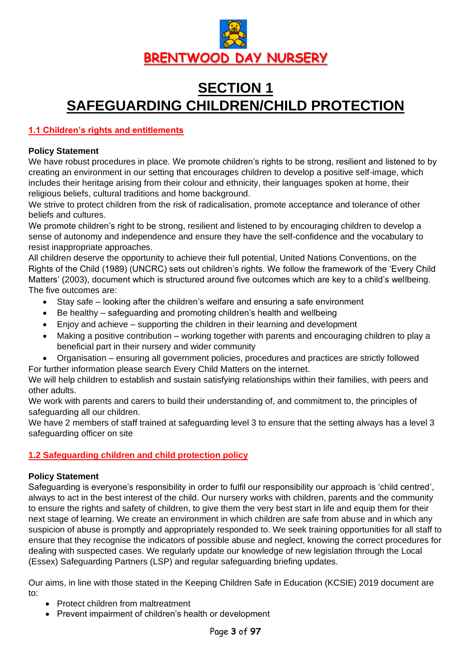

# **SECTION 1 SAFEGUARDING CHILDREN/CHILD PROTECTION**

#### **1.1 Children's rights and entitlements**

#### **Policy Statement**

We have robust procedures in place. We promote children's rights to be strong, resilient and listened to by creating an environment in our setting that encourages children to develop a positive self-image, which includes their heritage arising from their colour and ethnicity, their languages spoken at home, their religious beliefs, cultural traditions and home background.

We strive to protect children from the risk of radicalisation, promote acceptance and tolerance of other beliefs and cultures.

We promote children's right to be strong, resilient and listened to by encouraging children to develop a sense of autonomy and independence and ensure they have the self-confidence and the vocabulary to resist inappropriate approaches.

All children deserve the opportunity to achieve their full potential, United Nations Conventions, on the Rights of the Child (1989) (UNCRC) sets out children's rights. We follow the framework of the 'Every Child Matters' (2003), document which is structured around five outcomes which are key to a child's wellbeing. The five outcomes are:

- Stay safe looking after the children's welfare and ensuring a safe environment
- Be healthy safeguarding and promoting children's health and wellbeing
- Enjoy and achieve supporting the children in their learning and development
- Making a positive contribution working together with parents and encouraging children to play a beneficial part in their nursery and wider community
- Organisation ensuring all government policies, procedures and practices are strictly followed For further information please search Every Child Matters on the internet.

We will help children to establish and sustain satisfying relationships within their families, with peers and other adults.

We work with parents and carers to build their understanding of, and commitment to, the principles of safeguarding all our children.

We have 2 members of staff trained at safeguarding level 3 to ensure that the setting always has a level 3 safeguarding officer on site

#### **1.2 Safeguarding children and child protection policy**

#### **Policy Statement**

Safeguarding is everyone's responsibility in order to fulfil our responsibility our approach is 'child centred', always to act in the best interest of the child. Our nursery works with children, parents and the community to ensure the rights and safety of children, to give them the very best start in life and equip them for their next stage of learning. We create an environment in which children are safe from abuse and in which any suspicion of abuse is promptly and appropriately responded to. We seek training opportunities for all staff to ensure that they recognise the indicators of possible abuse and neglect, knowing the correct procedures for dealing with suspected cases. We regularly update our knowledge of new legislation through the Local (Essex) Safeguarding Partners (LSP) and regular safeguarding briefing updates.

Our aims, in line with those stated in the Keeping Children Safe in Education (KCSIE) 2019 document are to:

- Protect children from maltreatment
- Prevent impairment of children's health or development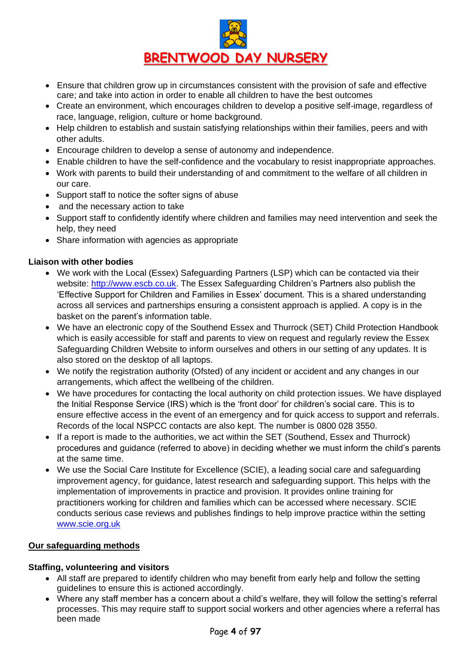

- Ensure that children grow up in circumstances consistent with the provision of safe and effective care; and take into action in order to enable all children to have the best outcomes
- Create an environment, which encourages children to develop a positive self-image, regardless of race, language, religion, culture or home background.
- Help children to establish and sustain satisfying relationships within their families, peers and with other adults.
- Encourage children to develop a sense of autonomy and independence.
- Enable children to have the self-confidence and the vocabulary to resist inappropriate approaches.
- Work with parents to build their understanding of and commitment to the welfare of all children in our care.
- Support staff to notice the softer signs of abuse
- and the necessary action to take
- Support staff to confidently identify where children and families may need intervention and seek the help, they need
- Share information with agencies as appropriate

#### **Liaison with other bodies**

- We work with the Local (Essex) Safeguarding Partners (LSP) which can be contacted via their website: [http://www.escb.co.uk.](http://www.escb.co.uk/) The Essex Safeguarding Children's Partners also publish the 'Effective Support for Children and Families in Essex' document. This is a shared understanding across all services and partnerships ensuring a consistent approach is applied. A copy is in the basket on the parent's information table.
- We have an electronic copy of the Southend Essex and Thurrock (SET) Child Protection Handbook which is easily accessible for staff and parents to view on request and regularly review the Essex Safeguarding Children Website to inform ourselves and others in our setting of any updates. It is also stored on the desktop of all laptops.
- We notify the registration authority (Ofsted) of any incident or accident and any changes in our arrangements, which affect the wellbeing of the children.
- We have procedures for contacting the local authority on child protection issues. We have displayed the Initial Response Service (IRS) which is the 'front door' for children's social care. This is to ensure effective access in the event of an emergency and for quick access to support and referrals. Records of the local NSPCC contacts are also kept. The number is 0800 028 3550.
- If a report is made to the authorities, we act within the SET (Southend, Essex and Thurrock) procedures and guidance (referred to above) in deciding whether we must inform the child's parents at the same time.
- We use the Social Care Institute for Excellence (SCIE), a leading social care and safeguarding improvement agency, for guidance, latest research and safeguarding support. This helps with the implementation of improvements in practice and provision. It provides online training for practitioners working for children and families which can be accessed where necessary. SCIE conducts serious case reviews and publishes findings to help improve practice within the setting [www.scie.org.uk](http://www.scie.org.uk/)

#### **Our safeguarding methods**

#### **Staffing, volunteering and visitors**

- All staff are prepared to identify children who may benefit from early help and follow the setting guidelines to ensure this is actioned accordingly.
- Where any staff member has a concern about a child's welfare, they will follow the setting's referral processes. This may require staff to support social workers and other agencies where a referral has been made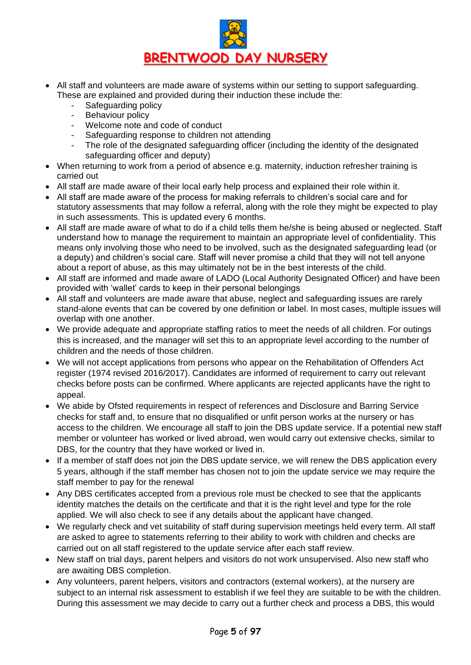

- All staff and volunteers are made aware of systems within our setting to support safeguarding. These are explained and provided during their induction these include the:
	- Safeguarding policy
	- Behaviour policy
	- Welcome note and code of conduct
	- Safeguarding response to children not attending
	- The role of the designated safeguarding officer (including the identity of the designated safeguarding officer and deputy)
- When returning to work from a period of absence e.g. maternity, induction refresher training is carried out
- All staff are made aware of their local early help process and explained their role within it.
- All staff are made aware of the process for making referrals to children's social care and for statutory assessments that may follow a referral, along with the role they might be expected to play in such assessments. This is updated every 6 months.
- All staff are made aware of what to do if a child tells them he/she is being abused or neglected. Staff understand how to manage the requirement to maintain an appropriate level of confidentiality. This means only involving those who need to be involved, such as the designated safeguarding lead (or a deputy) and children's social care. Staff will never promise a child that they will not tell anyone about a report of abuse, as this may ultimately not be in the best interests of the child.
- All staff are informed and made aware of LADO (Local Authority Designated Officer) and have been provided with 'wallet' cards to keep in their personal belongings
- All staff and volunteers are made aware that abuse, neglect and safeguarding issues are rarely stand-alone events that can be covered by one definition or label. In most cases, multiple issues will overlap with one another.
- We provide adequate and appropriate staffing ratios to meet the needs of all children. For outings this is increased, and the manager will set this to an appropriate level according to the number of children and the needs of those children.
- We will not accept applications from persons who appear on the Rehabilitation of Offenders Act register (1974 revised 2016/2017). Candidates are informed of requirement to carry out relevant checks before posts can be confirmed. Where applicants are rejected applicants have the right to appeal.
- We abide by Ofsted requirements in respect of references and Disclosure and Barring Service checks for staff and, to ensure that no disqualified or unfit person works at the nursery or has access to the children. We encourage all staff to join the DBS update service. If a potential new staff member or volunteer has worked or lived abroad, wen would carry out extensive checks, similar to DBS, for the country that they have worked or lived in.
- If a member of staff does not join the DBS update service, we will renew the DBS application every 5 years, although if the staff member has chosen not to join the update service we may require the staff member to pay for the renewal
- Any DBS certificates accepted from a previous role must be checked to see that the applicants identity matches the details on the certificate and that it is the right level and type for the role applied. We will also check to see if any details about the applicant have changed.
- We regularly check and vet suitability of staff during supervision meetings held every term. All staff are asked to agree to statements referring to their ability to work with children and checks are carried out on all staff registered to the update service after each staff review.
- New staff on trial days, parent helpers and visitors do not work unsupervised. Also new staff who are awaiting DBS completion.
- Any volunteers, parent helpers, visitors and contractors (external workers), at the nursery are subject to an internal risk assessment to establish if we feel they are suitable to be with the children. During this assessment we may decide to carry out a further check and process a DBS, this would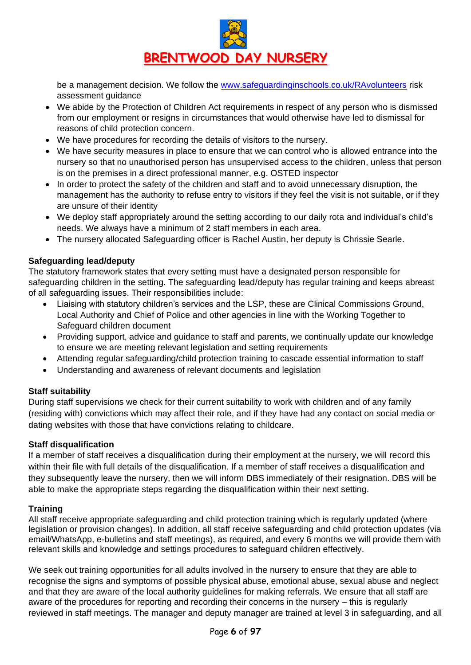

be a management decision. We follow the [www.safeguardinginschools.co.uk/RAvolunteers](http://www.safeguardinginschools.co.uk/RAvolunteers) risk assessment guidance

- We abide by the Protection of Children Act requirements in respect of any person who is dismissed from our employment or resigns in circumstances that would otherwise have led to dismissal for reasons of child protection concern.
- We have procedures for recording the details of visitors to the nursery.
- We have security measures in place to ensure that we can control who is allowed entrance into the nursery so that no unauthorised person has unsupervised access to the children, unless that person is on the premises in a direct professional manner, e.g. OSTED inspector
- In order to protect the safety of the children and staff and to avoid unnecessary disruption, the management has the authority to refuse entry to visitors if they feel the visit is not suitable, or if they are unsure of their identity
- We deploy staff appropriately around the setting according to our daily rota and individual's child's needs. We always have a minimum of 2 staff members in each area.
- The nursery allocated Safeguarding officer is Rachel Austin, her deputy is Chrissie Searle.

#### **Safeguarding lead/deputy**

The statutory framework states that every setting must have a designated person responsible for safeguarding children in the setting. The safeguarding lead/deputy has regular training and keeps abreast of all safeguarding issues. Their responsibilities include:

- Liaising with statutory children's services and the LSP, these are Clinical Commissions Ground, Local Authority and Chief of Police and other agencies in line with the Working Together to Safeguard children document
- Providing support, advice and guidance to staff and parents, we continually update our knowledge to ensure we are meeting relevant legislation and setting requirements
- Attending regular safeguarding/child protection training to cascade essential information to staff
- Understanding and awareness of relevant documents and legislation

#### **Staff suitability**

During staff supervisions we check for their current suitability to work with children and of any family (residing with) convictions which may affect their role, and if they have had any contact on social media or dating websites with those that have convictions relating to childcare.

#### **Staff disqualification**

If a member of staff receives a disqualification during their employment at the nursery, we will record this within their file with full details of the disqualification. If a member of staff receives a disqualification and they subsequently leave the nursery, then we will inform DBS immediately of their resignation. DBS will be able to make the appropriate steps regarding the disqualification within their next setting.

#### **Training**

All staff receive appropriate safeguarding and child protection training which is regularly updated (where legislation or provision changes). In addition, all staff receive safeguarding and child protection updates (via email/WhatsApp, e-bulletins and staff meetings), as required, and every 6 months we will provide them with relevant skills and knowledge and settings procedures to safeguard children effectively.

We seek out training opportunities for all adults involved in the nursery to ensure that they are able to recognise the signs and symptoms of possible physical abuse, emotional abuse, sexual abuse and neglect and that they are aware of the local authority guidelines for making referrals. We ensure that all staff are aware of the procedures for reporting and recording their concerns in the nursery – this is regularly reviewed in staff meetings. The manager and deputy manager are trained at level 3 in safeguarding, and all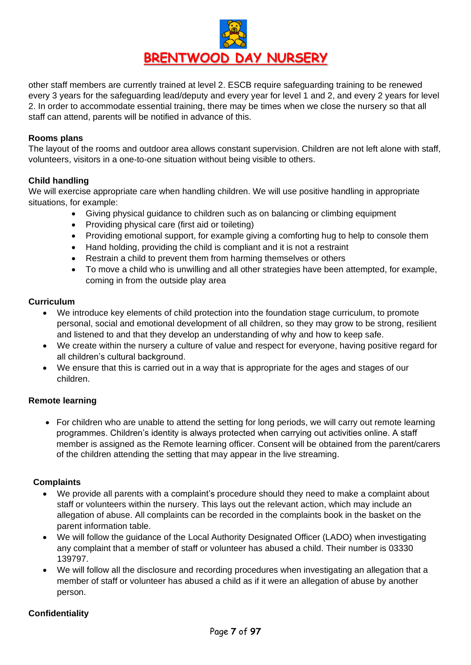

other staff members are currently trained at level 2. ESCB require safeguarding training to be renewed every 3 years for the safeguarding lead/deputy and every year for level 1 and 2, and every 2 years for level 2. In order to accommodate essential training, there may be times when we close the nursery so that all staff can attend, parents will be notified in advance of this.

#### **Rooms plans**

The layout of the rooms and outdoor area allows constant supervision. Children are not left alone with staff, volunteers, visitors in a one-to-one situation without being visible to others.

#### **Child handling**

We will exercise appropriate care when handling children. We will use positive handling in appropriate situations, for example:

- Giving physical guidance to children such as on balancing or climbing equipment
- Providing physical care (first aid or toileting)
- Providing emotional support, for example giving a comforting hug to help to console them
- Hand holding, providing the child is compliant and it is not a restraint
- Restrain a child to prevent them from harming themselves or others
- To move a child who is unwilling and all other strategies have been attempted, for example, coming in from the outside play area

#### **Curriculum**

- We introduce key elements of child protection into the foundation stage curriculum, to promote personal, social and emotional development of all children, so they may grow to be strong, resilient and listened to and that they develop an understanding of why and how to keep safe.
- We create within the nursery a culture of value and respect for everyone, having positive regard for all children's cultural background.
- We ensure that this is carried out in a way that is appropriate for the ages and stages of our children.

#### **Remote learning**

• For children who are unable to attend the setting for long periods, we will carry out remote learning programmes. Children's identity is always protected when carrying out activities online. A staff member is assigned as the Remote learning officer. Consent will be obtained from the parent/carers of the children attending the setting that may appear in the live streaming.

#### **Complaints**

- We provide all parents with a complaint's procedure should they need to make a complaint about staff or volunteers within the nursery. This lays out the relevant action, which may include an allegation of abuse. All complaints can be recorded in the complaints book in the basket on the parent information table.
- We will follow the guidance of the Local Authority Designated Officer (LADO) when investigating any complaint that a member of staff or volunteer has abused a child. Their number is 03330 139797.
- We will follow all the disclosure and recording procedures when investigating an allegation that a member of staff or volunteer has abused a child as if it were an allegation of abuse by another person.

#### **Confidentiality**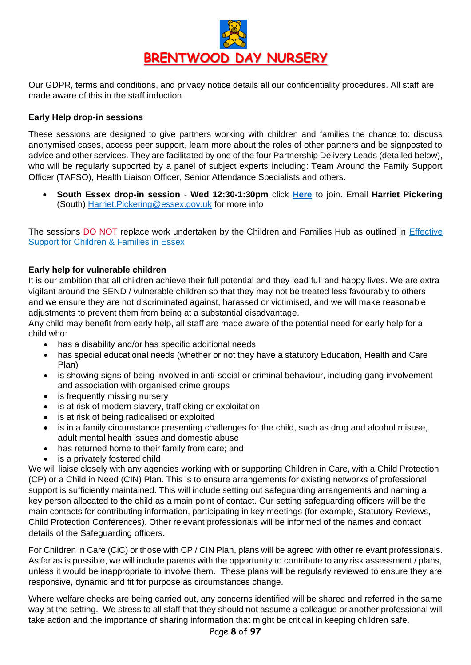

Our GDPR, terms and conditions, and privacy notice details all our confidentiality procedures. All staff are made aware of this in the staff induction.

#### **Early Help drop-in sessions**

These sessions are designed to give partners working with children and families the chance to: discuss anonymised cases, access peer support, learn more about the roles of other partners and be signposted to advice and other services. They are facilitated by one of the four Partnership Delivery Leads (detailed below), who will be regularly supported by a panel of subject experts including: Team Around the Family Support Officer (TAFSO), Health Liaison Officer, Senior Attendance Specialists and others.

• **South Essex drop-in session** - **Wed 12:30-1:30pm** click **[Here](https://eur02.safelinks.protection.outlook.com/ap/t-59584e83/?url=https%3A%2F%2Fteams.microsoft.com%2Fl%2Fmeetup-join%2F19%253ameeting_ZWQ2MGE3YmItZTNiMS00MWFkLWI2YTAtYTk1MWYwMDVkZmRh%2540thread.v2%2F0%3Fcontext%3D%257b%2522Tid%2522%253a%2522a8b4324f-155c-4215-a0f1-7ed8cc9a992f%2522%252c%2522Oid%2522%253a%2522445df15e-5e81-431c-90f0-f7014743b6f7%2522%257d&data=04%7C01%7C%7C730db3b9192941f08c2808d958d74a80%7Ca8b4324f155c4215a0f17ed8cc9a992f%7C0%7C0%7C637638504239799861%7CUnknown%7CTWFpbGZsb3d8eyJWIjoiMC4wLjAwMDAiLCJQIjoiV2luMzIiLCJBTiI6Ik1haWwiLCJXVCI6Mn0%3D%7C1000&sdata=4HsAbnnBrKyK3vSTYga%2FxVfsp8VxcRDbSSUAiLoxfTs%3D&reserved=0)** to join. Email **Harriet Pickering** (South) [Harriet.Pickering@essex.gov.uk](mailto:Harriet.Pickering@essex.gov.uk) for more info

The sessions DO NOT replace work undertaken by the Children and Families Hub as outlined in [Effective](https://eur02.safelinks.protection.outlook.com/?url=https%3A%2F%2Fwww.essex.gov.uk%2Freport-a-concern-about-a-child&data=04%7C01%7C%7C730db3b9192941f08c2808d958d74a80%7Ca8b4324f155c4215a0f17ed8cc9a992f%7C0%7C0%7C637638504239809855%7CUnknown%7CTWFpbGZsb3d8eyJWIjoiMC4wLjAwMDAiLCJQIjoiV2luMzIiLCJBTiI6Ik1haWwiLCJXVCI6Mn0%3D%7C1000&sdata=9WgfkiCJfFqN%2FsyDKrUQ%2BD9z2FMY3ommx08QjDX%2B%2FbI%3D&reserved=0)  [Support for Children & Families in Essex](https://eur02.safelinks.protection.outlook.com/?url=https%3A%2F%2Fwww.essex.gov.uk%2Freport-a-concern-about-a-child&data=04%7C01%7C%7C730db3b9192941f08c2808d958d74a80%7Ca8b4324f155c4215a0f17ed8cc9a992f%7C0%7C0%7C637638504239809855%7CUnknown%7CTWFpbGZsb3d8eyJWIjoiMC4wLjAwMDAiLCJQIjoiV2luMzIiLCJBTiI6Ik1haWwiLCJXVCI6Mn0%3D%7C1000&sdata=9WgfkiCJfFqN%2FsyDKrUQ%2BD9z2FMY3ommx08QjDX%2B%2FbI%3D&reserved=0)

#### **Early help for vulnerable children**

It is our ambition that all children achieve their full potential and they lead full and happy lives. We are extra vigilant around the SEND / vulnerable children so that they may not be treated less favourably to others and we ensure they are not discriminated against, harassed or victimised, and we will make reasonable adjustments to prevent them from being at a substantial disadvantage.

Any child may benefit from early help, all staff are made aware of the potential need for early help for a child who:

- has a disability and/or has specific additional needs
- has special educational needs (whether or not they have a statutory Education, Health and Care Plan)
- is showing signs of being involved in anti-social or criminal behaviour, including gang involvement and association with organised crime groups
- is frequently missing nursery
- is at risk of modern slavery, trafficking or exploitation
- is at risk of being radicalised or exploited
- is in a family circumstance presenting challenges for the child, such as drug and alcohol misuse, adult mental health issues and domestic abuse
- has returned home to their family from care; and
- is a privately fostered child

We will liaise closely with any agencies working with or supporting Children in Care, with a Child Protection (CP) or a Child in Need (CIN) Plan. This is to ensure arrangements for existing networks of professional support is sufficiently maintained. This will include setting out safeguarding arrangements and naming a key person allocated to the child as a main point of contact. Our setting safeguarding officers will be the main contacts for contributing information, participating in key meetings (for example, Statutory Reviews, Child Protection Conferences). Other relevant professionals will be informed of the names and contact details of the Safeguarding officers.

For Children in Care (CiC) or those with CP / CIN Plan, plans will be agreed with other relevant professionals. As far as is possible, we will include parents with the opportunity to contribute to any risk assessment / plans, unless it would be inappropriate to involve them. These plans will be regularly reviewed to ensure they are responsive, dynamic and fit for purpose as circumstances change.

Where welfare checks are being carried out, any concerns identified will be shared and referred in the same way at the setting. We stress to all staff that they should not assume a colleague or another professional will take action and the importance of sharing information that might be critical in keeping children safe.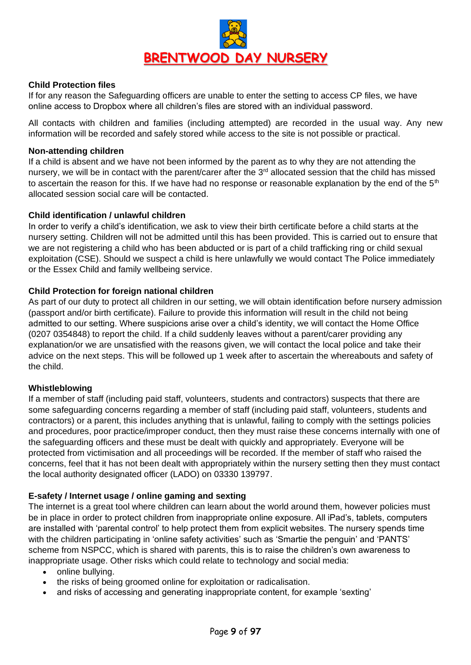

#### **Child Protection files**

If for any reason the Safeguarding officers are unable to enter the setting to access CP files, we have online access to Dropbox where all children's files are stored with an individual password.

All contacts with children and families (including attempted) are recorded in the usual way. Any new information will be recorded and safely stored while access to the site is not possible or practical.

#### **Non-attending children**

If a child is absent and we have not been informed by the parent as to why they are not attending the nursery, we will be in contact with the parent/carer after the 3<sup>rd</sup> allocated session that the child has missed to ascertain the reason for this. If we have had no response or reasonable explanation by the end of the  $5<sup>th</sup>$ allocated session social care will be contacted.

#### **Child identification / unlawful children**

In order to verify a child's identification, we ask to view their birth certificate before a child starts at the nursery setting. Children will not be admitted until this has been provided. This is carried out to ensure that we are not registering a child who has been abducted or is part of a child trafficking ring or child sexual exploitation (CSE). Should we suspect a child is here unlawfully we would contact The Police immediately or the Essex Child and family wellbeing service.

#### **Child Protection for foreign national children**

As part of our duty to protect all children in our setting, we will obtain identification before nursery admission (passport and/or birth certificate). Failure to provide this information will result in the child not being admitted to our setting. Where suspicions arise over a child's identity, we will contact the Home Office (0207 0354848) to report the child. If a child suddenly leaves without a parent/carer providing any explanation/or we are unsatisfied with the reasons given, we will contact the local police and take their advice on the next steps. This will be followed up 1 week after to ascertain the whereabouts and safety of the child.

#### **Whistleblowing**

If a member of staff (including paid staff, volunteers, students and contractors) suspects that there are some safeguarding concerns regarding a member of staff (including paid staff, volunteers, students and contractors) or a parent, this includes anything that is unlawful, failing to comply with the settings policies and procedures, poor practice/improper conduct, then they must raise these concerns internally with one of the safeguarding officers and these must be dealt with quickly and appropriately. Everyone will be protected from victimisation and all proceedings will be recorded. If the member of staff who raised the concerns, feel that it has not been dealt with appropriately within the nursery setting then they must contact the local authority designated officer (LADO) on 03330 139797.

#### **E-safety / Internet usage / online gaming and sexting**

The internet is a great tool where children can learn about the world around them, however policies must be in place in order to protect children from inappropriate online exposure. All iPad's, tablets, computers are installed with 'parental control' to help protect them from explicit websites. The nursery spends time with the children participating in 'online safety activities' such as 'Smartie the penguin' and 'PANTS' scheme from NSPCC, which is shared with parents, this is to raise the children's own awareness to inappropriate usage. Other risks which could relate to technology and social media:

- online bullying.
- the risks of being groomed online for exploitation or radicalisation.
- and risks of accessing and generating inappropriate content, for example 'sexting'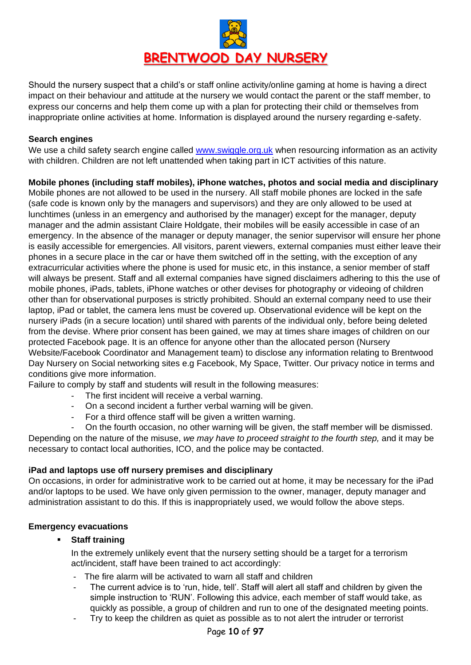

Should the nursery suspect that a child's or staff online activity/online gaming at home is having a direct impact on their behaviour and attitude at the nursery we would contact the parent or the staff member, to express our concerns and help them come up with a plan for protecting their child or themselves from inappropriate online activities at home. Information is displayed around the nursery regarding e-safety.

#### **Search engines**

We use a child safety search engine called [www.swiggle.org.uk](http://www.swiggle.org.uk/) when resourcing information as an activity with children. Children are not left unattended when taking part in ICT activities of this nature.

**Mobile phones (including staff mobiles), iPhone watches, photos and social media and disciplinary** 

Mobile phones are not allowed to be used in the nursery. All staff mobile phones are locked in the safe (safe code is known only by the managers and supervisors) and they are only allowed to be used at lunchtimes (unless in an emergency and authorised by the manager) except for the manager, deputy manager and the admin assistant Claire Holdgate, their mobiles will be easily accessible in case of an emergency. In the absence of the manager or deputy manager, the senior supervisor will ensure her phone is easily accessible for emergencies. All visitors, parent viewers, external companies must either leave their phones in a secure place in the car or have them switched off in the setting, with the exception of any extracurricular activities where the phone is used for music etc, in this instance, a senior member of staff will always be present. Staff and all external companies have signed disclaimers adhering to this the use of mobile phones, iPads, tablets, iPhone watches or other devises for photography or videoing of children other than for observational purposes is strictly prohibited. Should an external company need to use their laptop, iPad or tablet, the camera lens must be covered up. Observational evidence will be kept on the nursery iPads (in a secure location) until shared with parents of the individual only, before being deleted from the devise. Where prior consent has been gained, we may at times share images of children on our protected Facebook page. It is an offence for anyone other than the allocated person (Nursery Website/Facebook Coordinator and Management team) to disclose any information relating to Brentwood Day Nursery on Social networking sites e.g Facebook, My Space, Twitter. Our privacy notice in terms and conditions give more information.

Failure to comply by staff and students will result in the following measures:

- The first incident will receive a verbal warning.
- On a second incident a further verbal warning will be given.
- For a third offence staff will be given a written warning.

On the fourth occasion, no other warning will be given, the staff member will be dismissed. Depending on the nature of the misuse, *we may have to proceed straight to the fourth step,* and it may be necessary to contact local authorities, ICO, and the police may be contacted.

#### **iPad and laptops use off nursery premises and disciplinary**

On occasions, in order for administrative work to be carried out at home, it may be necessary for the iPad and/or laptops to be used. We have only given permission to the owner, manager, deputy manager and administration assistant to do this. If this is inappropriately used, we would follow the above steps.

#### **Emergency evacuations**

#### **Staff training**

In the extremely unlikely event that the nursery setting should be a target for a terrorism act/incident, staff have been trained to act accordingly:

- The fire alarm will be activated to warn all staff and children
- The current advice is to 'run, hide, tell'. Staff will alert all staff and children by given the simple instruction to 'RUN'. Following this advice, each member of staff would take, as quickly as possible, a group of children and run to one of the designated meeting points.
- Try to keep the children as quiet as possible as to not alert the intruder or terrorist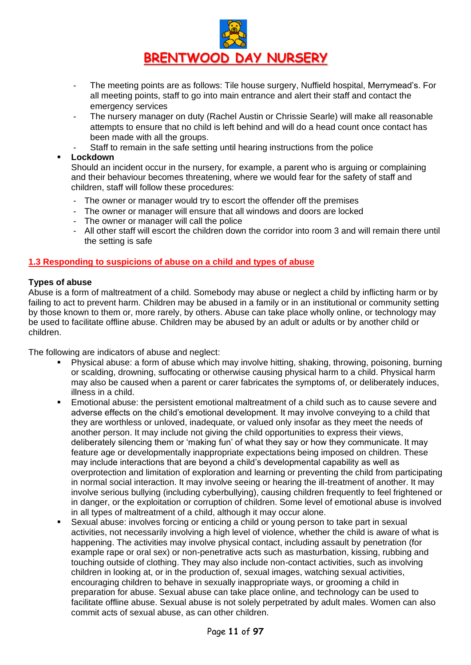

- The meeting points are as follows: Tile house surgery, Nuffield hospital, Merrymead's. For all meeting points, staff to go into main entrance and alert their staff and contact the emergency services
- The nursery manager on duty (Rachel Austin or Chrissie Searle) will make all reasonable attempts to ensure that no child is left behind and will do a head count once contact has been made with all the groups.
- Staff to remain in the safe setting until hearing instructions from the police

#### **Lockdown**

Should an incident occur in the nursery, for example, a parent who is arguing or complaining and their behaviour becomes threatening, where we would fear for the safety of staff and children, staff will follow these procedures:

- The owner or manager would try to escort the offender off the premises
- The owner or manager will ensure that all windows and doors are locked
- The owner or manager will call the police
- All other staff will escort the children down the corridor into room 3 and will remain there until the setting is safe

#### **1.3 Responding to suspicions of abuse on a child and types of abuse**

#### **Types of abuse**

Abuse is a form of maltreatment of a child. Somebody may abuse or neglect a child by inflicting harm or by failing to act to prevent harm. Children may be abused in a family or in an institutional or community setting by those known to them or, more rarely, by others. Abuse can take place wholly online, or technology may be used to facilitate offline abuse. Children may be abused by an adult or adults or by another child or children.

The following are indicators of abuse and neglect:

- Physical abuse: a form of abuse which may involve hitting, shaking, throwing, poisoning, burning or scalding, drowning, suffocating or otherwise causing physical harm to a child. Physical harm may also be caused when a parent or carer fabricates the symptoms of, or deliberately induces, illness in a child.
- Emotional abuse: the persistent emotional maltreatment of a child such as to cause severe and adverse effects on the child's emotional development. It may involve conveying to a child that they are worthless or unloved, inadequate, or valued only insofar as they meet the needs of another person. It may include not giving the child opportunities to express their views, deliberately silencing them or 'making fun' of what they say or how they communicate. It may feature age or developmentally inappropriate expectations being imposed on children. These may include interactions that are beyond a child's developmental capability as well as overprotection and limitation of exploration and learning or preventing the child from participating in normal social interaction. It may involve seeing or hearing the ill-treatment of another. It may involve serious bullying (including cyberbullying), causing children frequently to feel frightened or in danger, or the exploitation or corruption of children. Some level of emotional abuse is involved in all types of maltreatment of a child, although it may occur alone.
- Sexual abuse: involves forcing or enticing a child or young person to take part in sexual activities, not necessarily involving a high level of violence, whether the child is aware of what is happening. The activities may involve physical contact, including assault by penetration (for example rape or oral sex) or non-penetrative acts such as masturbation, kissing, rubbing and touching outside of clothing. They may also include non-contact activities, such as involving children in looking at, or in the production of, sexual images, watching sexual activities, encouraging children to behave in sexually inappropriate ways, or grooming a child in preparation for abuse. Sexual abuse can take place online, and technology can be used to facilitate offline abuse. Sexual abuse is not solely perpetrated by adult males. Women can also commit acts of sexual abuse, as can other children.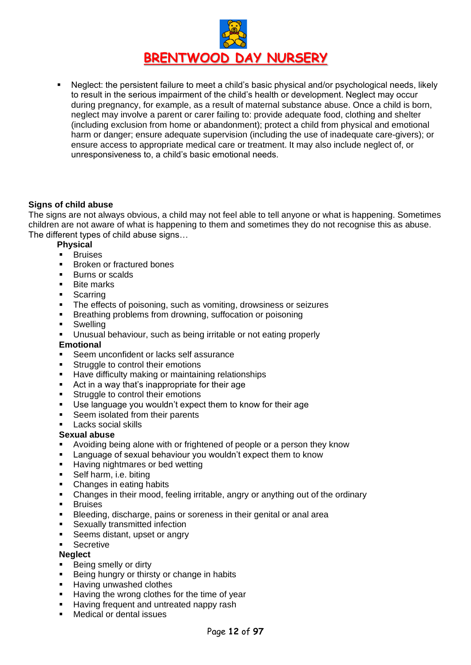

■ Neglect: the persistent failure to meet a child's basic physical and/or psychological needs, likely to result in the serious impairment of the child's health or development. Neglect may occur during pregnancy, for example, as a result of maternal substance abuse. Once a child is born, neglect may involve a parent or carer failing to: provide adequate food, clothing and shelter (including exclusion from home or abandonment); protect a child from physical and emotional harm or danger; ensure adequate supervision (including the use of inadequate care-givers); or ensure access to appropriate medical care or treatment. It may also include neglect of, or unresponsiveness to, a child's basic emotional needs.

#### **Signs of child abuse**

The signs are not always obvious, a child may not feel able to tell anyone or what is happening. Sometimes children are not aware of what is happening to them and sometimes they do not recognise this as abuse. The different types of child abuse signs…

#### **Physical**

- Bruises
- Broken or fractured bones
- Burns or scalds
- Bite marks
- Scarring
- The effects of poisoning, such as vomiting, drowsiness or seizures<br>■ Breathing problems from drowning suffocation or poisoning
- Breathing problems from drowning, suffocation or poisoning
- **■** Swelling
- Unusual behaviour, such as being irritable or not eating properly

#### **Emotional**

- Seem unconfident or lacks self assurance
- Struggle to control their emotions
- Have difficulty making or maintaining relationships
- Act in a way that's inappropriate for their age
- **EXECUTE:** Struggle to control their emotions
- Use language you wouldn't expect them to know for their age
- Seem isolated from their parents
- Lacks social skills

#### **Sexual abuse**

- Avoiding being alone with or frightened of people or a person they know
- **EXECT** Language of sexual behaviour you wouldn't expect them to know
- **EXECT:** Having nightmares or bed wetting
- Self harm, i.e. biting
- Changes in eating habits
- Changes in their mood, feeling irritable, angry or anything out of the ordinary
- Bruises
- Bleeding, discharge, pains or soreness in their genital or anal area
- **EXECUALLY SEXUALLY EXAM** Sexually transmitted infection
- Seems distant, upset or angry
- Secretive

#### **Neglect**

- Being smelly or dirty
- **EXECT:** Being hungry or thirsty or change in habits
- Having unwashed clothes
- Having the wrong clothes for the time of year
- Having frequent and untreated nappy rash
- Medical or dental issues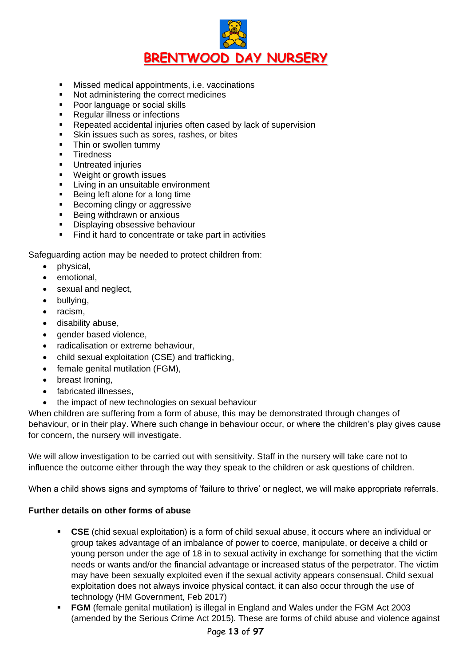

- Missed medical appointments, i.e. vaccinations<br>■ Not administering the correct medicines
- Not administering the correct medicines
- Poor language or social skills
- Regular illness or infections
- Repeated accidental injuries often cased by lack of supervision
- Skin issues such as sores, rashes, or bites
- Thin or swollen tummy
- Tiredness
- Untreated injuries
- Weight or growth issues
- **EXECT** Living in an unsuitable environment
- Being left alone for a long time
- Becoming clingy or aggressive
- Being withdrawn or anxious
- Displaying obsessive behaviour
- Find it hard to concentrate or take part in activities

Safeguarding action may be needed to protect children from:

- physical,
- emotional,
- sexual and neglect,
- bullying,
- racism,
- disability abuse,
- gender based violence.
- radicalisation or extreme behaviour,
- child sexual exploitation (CSE) and trafficking,
- female genital mutilation (FGM),
- breast Ironing,
- fabricated illnesses,
- the impact of new technologies on sexual behaviour

When children are suffering from a form of abuse, this may be demonstrated through changes of behaviour, or in their play. Where such change in behaviour occur, or where the children's play gives cause for concern, the nursery will investigate.

We will allow investigation to be carried out with sensitivity. Staff in the nursery will take care not to influence the outcome either through the way they speak to the children or ask questions of children.

When a child shows signs and symptoms of 'failure to thrive' or neglect, we will make appropriate referrals.

#### **Further details on other forms of abuse**

- **CSE** (chid sexual exploitation) is a form of child sexual abuse, it occurs where an individual or group takes advantage of an imbalance of power to coerce, manipulate, or deceive a child or young person under the age of 18 in to sexual activity in exchange for something that the victim needs or wants and/or the financial advantage or increased status of the perpetrator. The victim may have been sexually exploited even if the sexual activity appears consensual. Child sexual exploitation does not always invoice physical contact, it can also occur through the use of technology (HM Government, Feb 2017)
- **FGM** (female genital mutilation) is illegal in England and Wales under the FGM Act 2003 (amended by the Serious Crime Act 2015). These are forms of child abuse and violence against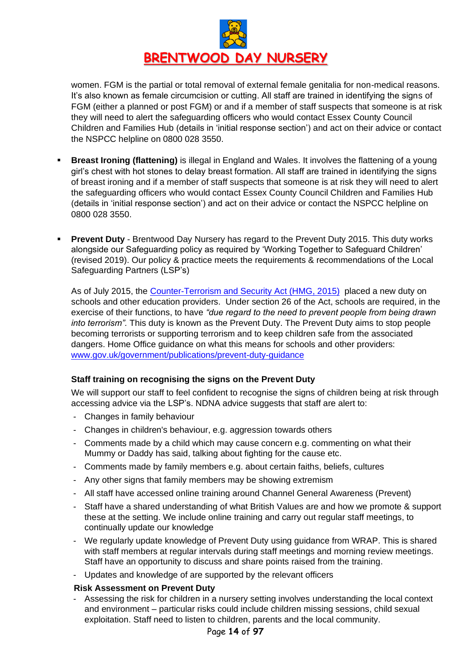

women. FGM is the partial or total removal of external female genitalia for non-medical reasons. It's also known as female circumcision or cutting. All staff are trained in identifying the signs of FGM (either a planned or post FGM) or and if a member of staff suspects that someone is at risk they will need to alert the safeguarding officers who would contact Essex County Council Children and Families Hub (details in 'initial response section') and act on their advice or contact the NSPCC helpline on 0800 028 3550.

- **Example 15 Firms Ironing (flattening)** is illegal in England and Wales. It involves the flattening of a young girl's chest with hot stones to delay breast formation. All staff are trained in identifying the signs of breast ironing and if a member of staff suspects that someone is at risk they will need to alert the safeguarding officers who would contact Essex County Council Children and Families Hub (details in 'initial response section') and act on their advice or contact the NSPCC helpline on 0800 028 3550.
- **Prevent Duty** Brentwood Day Nursery has regard to the Prevent Duty 2015. This duty works alongside our Safeguarding policy as required by 'Working Together to Safeguard Children' (revised 2019). Our policy & practice meets the requirements & recommendations of the Local Safeguarding Partners (LSP's)

As of July 2015, the [Counter-Terrorism and Security Act \(HMG, 2015\)](http://www.legislation.gov.uk/ukpga/2015/6/contents) placed a new duty on schools and other education providers. Under section 26 of the Act, schools are required, in the exercise of their functions, to have *"due regard to the need to prevent people from being drawn into terrorism".* This duty is known as the Prevent Duty. The Prevent Duty aims to stop people becoming terrorists or supporting terrorism and to keep children safe from the associated dangers. Home Office guidance on what this means for schools and other providers: [www.gov.uk/government/publications/prevent-duty-guidance](http://www.gov.uk/government/publications/prevent-duty-guidance)

#### **Staff training on recognising the signs on the Prevent Duty**

We will support our staff to feel confident to recognise the signs of children being at risk through accessing advice via the LSP's. NDNA advice suggests that staff are alert to:

- Changes in family behaviour
- Changes in children's behaviour, e.g. aggression towards others
- Comments made by a child which may cause concern e.g. commenting on what their Mummy or Daddy has said, talking about fighting for the cause etc.
- Comments made by family members e.g. about certain faiths, beliefs, cultures
- Any other signs that family members may be showing extremism
- All staff have accessed online training around Channel General Awareness (Prevent)
- Staff have a shared understanding of what British Values are and how we promote & support these at the setting. We include online training and carry out regular staff meetings, to continually update our knowledge
- We regularly update knowledge of Prevent Duty using guidance from WRAP. This is shared with staff members at regular intervals during staff meetings and morning review meetings. Staff have an opportunity to discuss and share points raised from the training.
- Updates and knowledge of are supported by the relevant officers

#### **Risk Assessment on Prevent Duty**

- Assessing the risk for children in a nursery setting involves understanding the local context and environment – particular risks could include children missing sessions, child sexual exploitation. Staff need to listen to children, parents and the local community.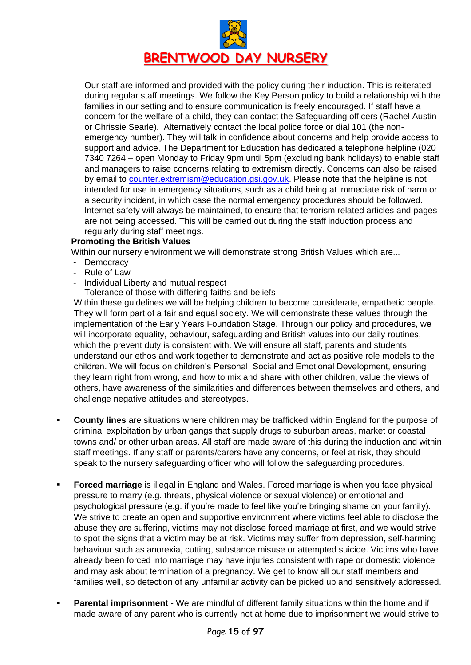# **BRENTWOOD DAY NURSERY**

- Our staff are informed and provided with the policy during their induction. This is reiterated during regular staff meetings. We follow the Key Person policy to build a relationship with the families in our setting and to ensure communication is freely encouraged. If staff have a concern for the welfare of a child, they can contact the Safeguarding officers (Rachel Austin or Chrissie Searle). Alternatively contact the local police force or dial 101 (the nonemergency number). They will talk in confidence about concerns and help provide access to support and advice. The Department for Education has dedicated a telephone helpline (020 7340 7264 – open Monday to Friday 9pm until 5pm (excluding bank holidays) to enable staff and managers to raise concerns relating to extremism directly. Concerns can also be raised by email to [counter.extremism@education.gsi.gov.uk.](mailto:counter.extremism@education.gsi.gov.uk) Please note that the helpline is not intended for use in emergency situations, such as a child being at immediate risk of harm or a security incident, in which case the normal emergency procedures should be followed.
- Internet safety will always be maintained, to ensure that terrorism related articles and pages are not being accessed. This will be carried out during the staff induction process and regularly during staff meetings.

#### **Promoting the British Values**

Within our nursery environment we will demonstrate strong British Values which are...

- Democracy
- Rule of Law
- Individual Liberty and mutual respect
- Tolerance of those with differing faiths and beliefs

Within these guidelines we will be helping children to become considerate, empathetic people. They will form part of a fair and equal society. We will demonstrate these values through the implementation of the Early Years Foundation Stage. Through our policy and procedures, we will incorporate equality, behaviour, safeguarding and British values into our daily routines, which the prevent duty is consistent with. We will ensure all staff, parents and students understand our ethos and work together to demonstrate and act as positive role models to the children. We will focus on children's Personal, Social and Emotional Development, ensuring they learn right from wrong, and how to mix and share with other children, value the views of others, have awareness of the similarities and differences between themselves and others, and challenge negative attitudes and stereotypes.

- **County lines** are situations where children may be trafficked within England for the purpose of criminal exploitation by urban gangs that supply drugs to suburban areas, market or coastal towns and/ or other urban areas. All staff are made aware of this during the induction and within staff meetings. If any staff or parents/carers have any concerns, or feel at risk, they should speak to the nursery safeguarding officer who will follow the safeguarding procedures.
- **Forced marriage** is illegal in England and Wales. Forced marriage is when you face physical pressure to marry (e.g. threats, physical violence or sexual violence) or emotional and psychological pressure (e.g. if you're made to feel like you're bringing shame on your family). We strive to create an open and supportive environment where victims feel able to disclose the abuse they are suffering, victims may not disclose forced marriage at first, and we would strive to spot the signs that a victim may be at risk. Victims may suffer from depression, self-harming behaviour such as anorexia, cutting, substance misuse or attempted suicide. Victims who have already been forced into marriage may have injuries consistent with rape or domestic violence and may ask about termination of a pregnancy. We get to know all our staff members and families well, so detection of any unfamiliar activity can be picked up and sensitively addressed.
- **Parental imprisonment** We are mindful of different family situations within the home and if made aware of any parent who is currently not at home due to imprisonment we would strive to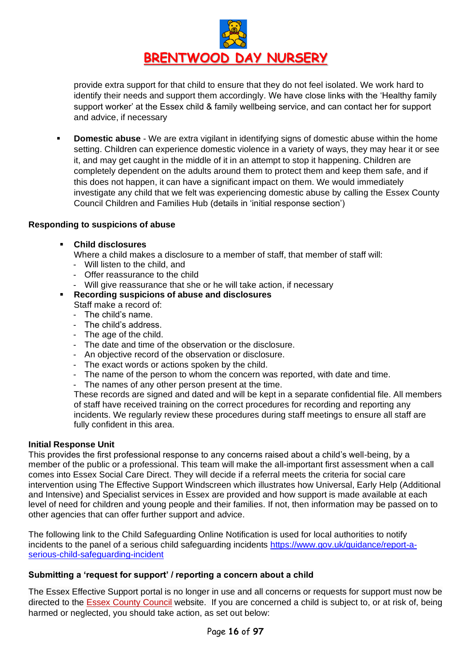

provide extra support for that child to ensure that they do not feel isolated. We work hard to identify their needs and support them accordingly. We have close links with the 'Healthy family support worker' at the Essex child & family wellbeing service, and can contact her for support and advice, if necessary

**• Domestic abuse** - We are extra vigilant in identifying signs of domestic abuse within the home setting. Children can experience domestic violence in a variety of ways, they may hear it or see it, and may get caught in the middle of it in an attempt to stop it happening. Children are completely dependent on the adults around them to protect them and keep them safe, and if this does not happen, it can have a significant impact on them. We would immediately investigate any child that we felt was experiencing domestic abuse by calling the Essex County Council Children and Families Hub (details in 'initial response section')

#### **Responding to suspicions of abuse**

#### ▪ **Child disclosures**

Where a child makes a disclosure to a member of staff, that member of staff will:

- Will listen to the child, and
- Offer reassurance to the child
- Will give reassurance that she or he will take action, if necessary
- **Recording suspicions of abuse and disclosures** Staff make a record of:
	- The child's name.
	- The child's address.
	- The age of the child.
	- The date and time of the observation or the disclosure.
	- An objective record of the observation or disclosure.
	- The exact words or actions spoken by the child.
	- The name of the person to whom the concern was reported, with date and time.
	- The names of any other person present at the time.

These records are signed and dated and will be kept in a separate confidential file. All members of staff have received training on the correct procedures for recording and reporting any incidents. We regularly review these procedures during staff meetings to ensure all staff are fully confident in this area.

#### **Initial Response Unit**

This provides the first professional response to any concerns raised about a child's well-being, by a member of the public or a professional. This team will make the all-important first assessment when a call comes into Essex Social Care Direct. They will decide if a referral meets the criteria for social care intervention using The Effective Support Windscreen which illustrates how Universal, Early Help (Additional and Intensive) and Specialist services in Essex are provided and how support is made available at each level of need for children and young people and their families. If not, then information may be passed on to other agencies that can offer further support and advice.

The following link to the Child Safeguarding Online Notification is used for local authorities to notify incidents to the panel of a serious child safeguarding incidents [https://www.gov.uk/guidance/report-a](https://www.gov.uk/guidance/report-a-serious-child-safeguarding-incident)[serious-child-safeguarding-incident](https://www.gov.uk/guidance/report-a-serious-child-safeguarding-incident)

#### **Submitting a 'request for support' / reporting a concern about a child**

The Essex Effective Support portal is no longer in use and all concerns or requests for support must now be directed to the [Essex County Council](https://eur02.safelinks.protection.outlook.com/?url=https://www.essex.gov.uk/report-a-concern-about-a-child&data=04%7c01%7c%7c6383e35a28a94d358e1008d9828b116b%7ca8b4324f155c4215a0f17ed8cc9a992f%7c0%7c0%7c637684356068483517%7cUnknown%7cTWFpbGZsb3d8eyJWIjoiMC4wLjAwMDAiLCJQIjoiV2luMzIiLCJBTiI6Ik1haWwiLCJXVCI6Mn0%3D%7c1000&sdata=uZz3uJhaCetjdX3ybxwRsahBydbMudpR1AnUuswhvYc%3D&reserved=0) website. If you are concerned a child is subject to, or at risk of, being harmed or neglected, you should take action, as set out below: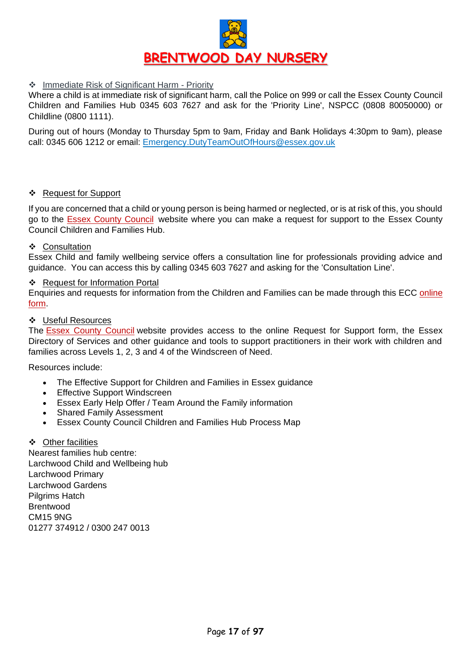

❖ Immediate Risk of Significant Harm - Priority

Where a child is at immediate risk of significant harm, call the Police on 999 or call the Essex County Council Children and Families Hub 0345 603 7627 and ask for the 'Priority Line', NSPCC (0808 80050000) or Childline (0800 1111).

During out of hours (Monday to Thursday 5pm to 9am, Friday and Bank Holidays 4:30pm to 9am), please call: 0345 606 1212 or email: [Emergency.DutyTeamOutOfHours@essex.gov.uk](mailto:Emergency.DutyTeamOutOfHours@essex.gov.uk)

#### ❖ Request for Support

If you are concerned that a child or young person is being harmed or neglected, or is at risk of this, you should go to the Essex County [Council](https://eur02.safelinks.protection.outlook.com/?url=https%3A%2F%2Fwww.essex.gov.uk%2Freport-a-concern-about-a-child&data=04%7C01%7C%7C0f985c331ff94cb6894608d988c6ac72%7Ca8b4324f155c4215a0f17ed8cc9a992f%7C0%7C0%7C637691209135232683%7CUnknown%7CTWFpbGZsb3d8eyJWIjoiMC4wLjAwMDAiLCJQIjoiV2luMzIiLCJBTiI6Ik1haWwiLCJXVCI6Mn0%3D%7C1000&sdata=n8W5g3urfqeo%2BNMuoQJxo0awuMcXTpoUg9WVTZeIMHI%3D&reserved=0) website where you can make a request for support to the Essex County Council Children and Families Hub.

#### ❖ Consultation

Essex Child and family wellbeing service offers a consultation line for professionals providing advice and guidance. You can access this by calling 0345 603 7627 and asking for the 'Consultation Line'.

#### ❖ Request for Information Portal

Enquiries and requests for information from the Children and Families can be made through this ECC [online](https://eur02.safelinks.protection.outlook.com/?url=https%3A%2F%2Fessex-self.achieveservice.com%2Fservice%2FChildren_and_families_request_for_information&data=04%7C01%7C%7C0f985c331ff94cb6894608d988c6ac72%7Ca8b4324f155c4215a0f17ed8cc9a992f%7C0%7C0%7C637691209135242675%7CUnknown%7CTWFpbGZsb3d8eyJWIjoiMC4wLjAwMDAiLCJQIjoiV2luMzIiLCJBTiI6Ik1haWwiLCJXVCI6Mn0%3D%7C1000&sdata=ZOf9%2BooWn8X6zQf8MbKd%2FYCbtZelJVQoY7C3Wlma4FU%3D&reserved=0) [form.](https://eur02.safelinks.protection.outlook.com/?url=https%3A%2F%2Fessex-self.achieveservice.com%2Fservice%2FChildren_and_families_request_for_information&data=04%7C01%7C%7C0f985c331ff94cb6894608d988c6ac72%7Ca8b4324f155c4215a0f17ed8cc9a992f%7C0%7C0%7C637691209135242675%7CUnknown%7CTWFpbGZsb3d8eyJWIjoiMC4wLjAwMDAiLCJQIjoiV2luMzIiLCJBTiI6Ik1haWwiLCJXVCI6Mn0%3D%7C1000&sdata=ZOf9%2BooWn8X6zQf8MbKd%2FYCbtZelJVQoY7C3Wlma4FU%3D&reserved=0)

#### ❖ Useful Resources

The Essex County [Council](https://eur02.safelinks.protection.outlook.com/?url=https%3A%2F%2Fwww.essex.gov.uk%2Freport-a-concern-about-a-child&data=04%7C01%7C%7C0f985c331ff94cb6894608d988c6ac72%7Ca8b4324f155c4215a0f17ed8cc9a992f%7C0%7C0%7C637691209135242675%7CUnknown%7CTWFpbGZsb3d8eyJWIjoiMC4wLjAwMDAiLCJQIjoiV2luMzIiLCJBTiI6Ik1haWwiLCJXVCI6Mn0%3D%7C1000&sdata=C3cTi1xlsC9N4po0jor35KKu4rpGHder1m1q0HWUTQ8%3D&reserved=0) website provides access to the online Request for Support form, the Essex Directory of Services and other guidance and tools to support practitioners in their work with children and families across Levels 1, 2, 3 and 4 of the Windscreen of Need.

Resources include:

- The Effective Support for Children and Families in Essex guidance
- Effective Support Windscreen
- Essex Early Help Offer / Team Around the Family information
- Shared Family Assessment
- Essex County Council Children and Families Hub Process Map

#### ❖ Other facilities

Nearest families hub centre: Larchwood Child and Wellbeing hub Larchwood Primary Larchwood Gardens Pilgrims Hatch Brentwood CM15 9NG 01277 374912 / [0300 247 0013](tel:%200300%20247%200013)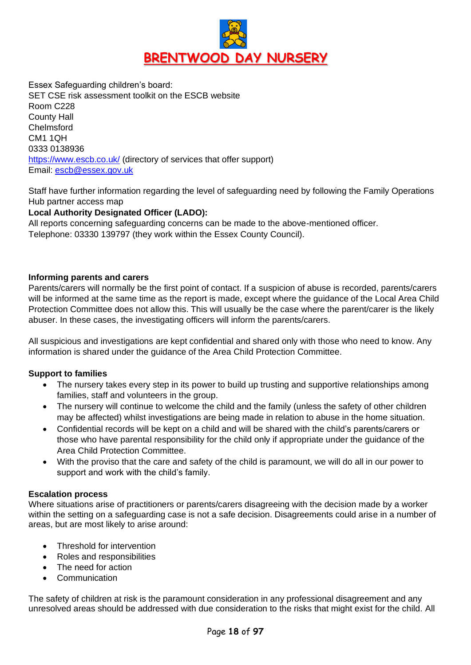

Essex Safeguarding children's board: SET CSE risk assessment toolkit on the ESCB website Room C228 County Hall Chelmsford CM1 1QH 0333 0138936 <https://www.escb.co.uk/> (directory of services that offer support) Email: [escb@essex.gov.uk](mailto:escb@essex.gov.uk)

Staff have further information regarding the level of safeguarding need by following the Family Operations Hub partner access map

#### **Local Authority Designated Officer (LADO):**

All reports concerning safeguarding concerns can be made to the above-mentioned officer. Telephone: 03330 139797 (they work within the Essex County Council).

#### **Informing parents and carers**

Parents/carers will normally be the first point of contact. If a suspicion of abuse is recorded, parents/carers will be informed at the same time as the report is made, except where the guidance of the Local Area Child Protection Committee does not allow this. This will usually be the case where the parent/carer is the likely abuser. In these cases, the investigating officers will inform the parents/carers.

All suspicious and investigations are kept confidential and shared only with those who need to know. Any information is shared under the guidance of the Area Child Protection Committee.

#### **Support to families**

- The nursery takes every step in its power to build up trusting and supportive relationships among families, staff and volunteers in the group.
- The nursery will continue to welcome the child and the family (unless the safety of other children may be affected) whilst investigations are being made in relation to abuse in the home situation.
- Confidential records will be kept on a child and will be shared with the child's parents/carers or those who have parental responsibility for the child only if appropriate under the guidance of the Area Child Protection Committee.
- With the proviso that the care and safety of the child is paramount, we will do all in our power to support and work with the child's family.

#### **Escalation process**

Where situations arise of practitioners or parents/carers disagreeing with the decision made by a worker within the setting on a safeguarding case is not a safe decision. Disagreements could arise in a number of areas, but are most likely to arise around:

- Threshold for intervention
- Roles and responsibilities
- The need for action
- Communication

The safety of children at risk is the paramount consideration in any professional disagreement and any unresolved areas should be addressed with due consideration to the risks that might exist for the child. All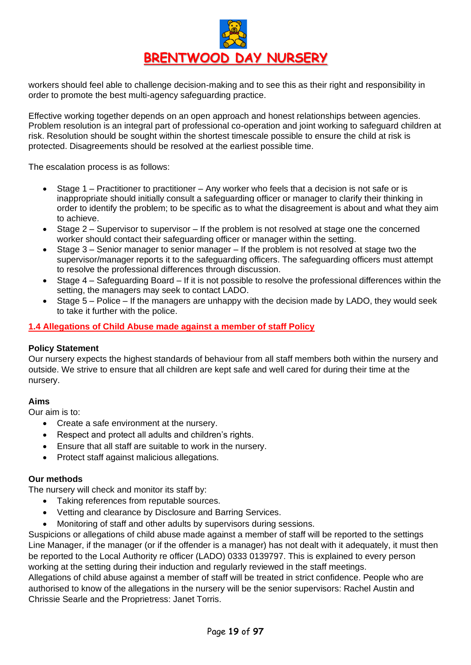

workers should feel able to challenge decision-making and to see this as their right and responsibility in order to promote the best multi-agency safeguarding practice.

Effective working together depends on an open approach and honest relationships between agencies. Problem resolution is an integral part of professional co-operation and joint working to safeguard children at risk. Resolution should be sought within the shortest timescale possible to ensure the child at risk is protected. Disagreements should be resolved at the earliest possible time.

The escalation process is as follows:

- Stage 1 Practitioner to practitioner Any worker who feels that a decision is not safe or is inappropriate should initially consult a safeguarding officer or manager to clarify their thinking in order to identify the problem; to be specific as to what the disagreement is about and what they aim to achieve.
- Stage 2 Supervisor to supervisor If the problem is not resolved at stage one the concerned worker should contact their safeguarding officer or manager within the setting.
- Stage 3 Senior manager to senior manager If the problem is not resolved at stage two the supervisor/manager reports it to the safeguarding officers. The safeguarding officers must attempt to resolve the professional differences through discussion.
- Stage 4 Safeguarding Board If it is not possible to resolve the professional differences within the setting, the managers may seek to contact LADO.
- Stage 5 Police If the managers are unhappy with the decision made by LADO, they would seek to take it further with the police.

#### **1.4 Allegations of Child Abuse made against a member of staff Policy**

#### **Policy Statement**

Our nursery expects the highest standards of behaviour from all staff members both within the nursery and outside. We strive to ensure that all children are kept safe and well cared for during their time at the nursery.

#### **Aims**

Our aim is to:

- Create a safe environment at the nursery.
- Respect and protect all adults and children's rights.
- Ensure that all staff are suitable to work in the nursery.
- Protect staff against malicious allegations.

#### **Our methods**

The nursery will check and monitor its staff by:

- Taking references from reputable sources.
- Vetting and clearance by Disclosure and Barring Services.
- Monitoring of staff and other adults by supervisors during sessions.

Suspicions or allegations of child abuse made against a member of staff will be reported to the settings Line Manager, if the manager (or if the offender is a manager) has not dealt with it adequately, it must then be reported to the Local Authority re officer (LADO) 0333 0139797. This is explained to every person working at the setting during their induction and regularly reviewed in the staff meetings. Allegations of child abuse against a member of staff will be treated in strict confidence. People who are

authorised to know of the allegations in the nursery will be the senior supervisors: Rachel Austin and Chrissie Searle and the Proprietress: Janet Torris.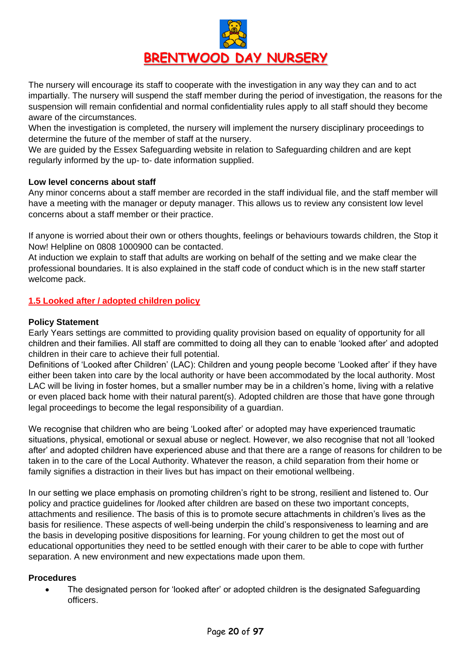

The nursery will encourage its staff to cooperate with the investigation in any way they can and to act impartially. The nursery will suspend the staff member during the period of investigation, the reasons for the suspension will remain confidential and normal confidentiality rules apply to all staff should they become aware of the circumstances.

When the investigation is completed, the nursery will implement the nursery disciplinary proceedings to determine the future of the member of staff at the nursery.

We are guided by the Essex Safeguarding website in relation to Safeguarding children and are kept regularly informed by the up- to- date information supplied.

#### **Low level concerns about staff**

Any minor concerns about a staff member are recorded in the staff individual file, and the staff member will have a meeting with the manager or deputy manager. This allows us to review any consistent low level concerns about a staff member or their practice.

If anyone is worried about their own or others thoughts, feelings or behaviours towards children, the Stop it Now! Helpline on 0808 1000900 can be contacted.

At induction we explain to staff that adults are working on behalf of the setting and we make clear the professional boundaries. It is also explained in the staff code of conduct which is in the new staff starter welcome pack.

#### **1.5 Looked after / adopted children policy**

#### **Policy Statement**

Early Years settings are committed to providing quality provision based on equality of opportunity for all children and their families. All staff are committed to doing all they can to enable 'looked after' and adopted children in their care to achieve their full potential.

Definitions of 'Looked after Children' (LAC): Children and young people become 'Looked after' if they have either been taken into care by the local authority or have been accommodated by the local authority. Most LAC will be living in foster homes, but a smaller number may be in a children's home, living with a relative or even placed back home with their natural parent(s). Adopted children are those that have gone through legal proceedings to become the legal responsibility of a guardian.

We recognise that children who are being 'Looked after' or adopted may have experienced traumatic situations, physical, emotional or sexual abuse or neglect. However, we also recognise that not all 'looked after' and adopted children have experienced abuse and that there are a range of reasons for children to be taken in to the care of the Local Authority. Whatever the reason, a child separation from their home or family signifies a distraction in their lives but has impact on their emotional wellbeing.

In our setting we place emphasis on promoting children's right to be strong, resilient and listened to. Our policy and practice guidelines for /looked after children are based on these two important concepts, attachments and resilience. The basis of this is to promote secure attachments in children's lives as the basis for resilience. These aspects of well-being underpin the child's responsiveness to learning and are the basis in developing positive dispositions for learning. For young children to get the most out of educational opportunities they need to be settled enough with their carer to be able to cope with further separation. A new environment and new expectations made upon them.

#### **Procedures**

• The designated person for 'looked after' or adopted children is the designated Safeguarding officers.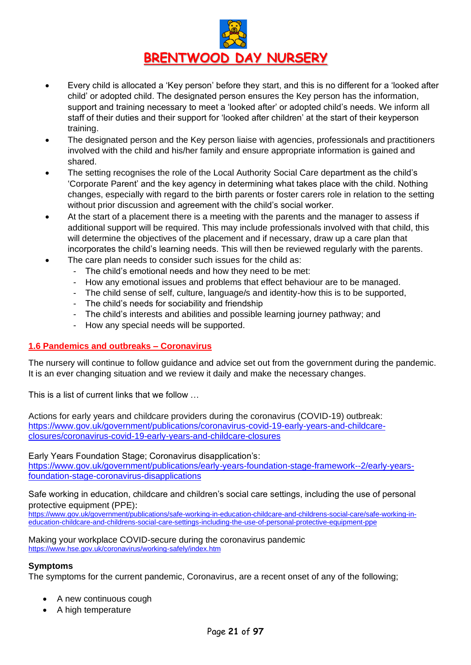# **BRENTWOOD DAY NURSERY**

- Every child is allocated a 'Key person' before they start, and this is no different for a 'looked after child' or adopted child. The designated person ensures the Key person has the information, support and training necessary to meet a 'looked after' or adopted child's needs. We inform all staff of their duties and their support for 'looked after children' at the start of their keyperson training.
- The designated person and the Key person liaise with agencies, professionals and practitioners involved with the child and his/her family and ensure appropriate information is gained and shared.
- The setting recognises the role of the Local Authority Social Care department as the child's 'Corporate Parent' and the key agency in determining what takes place with the child. Nothing changes, especially with regard to the birth parents or foster carers role in relation to the setting without prior discussion and agreement with the child's social worker.
- At the start of a placement there is a meeting with the parents and the manager to assess if additional support will be required. This may include professionals involved with that child, this will determine the objectives of the placement and if necessary, draw up a care plan that incorporates the child's learning needs. This will then be reviewed regularly with the parents.
- The care plan needs to consider such issues for the child as:
	- The child's emotional needs and how they need to be met:
	- How any emotional issues and problems that effect behaviour are to be managed.
	- The child sense of self, culture, language/s and identity-how this is to be supported,
	- The child's needs for sociability and friendship
	- The child's interests and abilities and possible learning journey pathway; and
	- How any special needs will be supported.

#### **1.6 Pandemics and outbreaks – Coronavirus**

The nursery will continue to follow guidance and advice set out from the government during the pandemic. It is an ever changing situation and we review it daily and make the necessary changes.

This is a list of current links that we follow …

Actions for early years and childcare providers during the coronavirus (COVID-19) outbreak: [https://www.gov.uk/government/publications/coronavirus-covid-19-early-years-and-childcare](https://www.gov.uk/government/publications/coronavirus-covid-19-early-years-and-childcare-closures/coronavirus-covid-19-early-years-and-childcare-closures)[closures/coronavirus-covid-19-early-years-and-childcare-closures](https://www.gov.uk/government/publications/coronavirus-covid-19-early-years-and-childcare-closures/coronavirus-covid-19-early-years-and-childcare-closures)

#### Early Years Foundation Stage; Coronavirus disapplication's: [https://www.gov.uk/government/publications/early-years-foundation-stage-framework--2/early-years](https://www.gov.uk/government/publications/early-years-foundation-stage-framework--2/early-years-foundation-stage-coronavirus-disapplications)[foundation-stage-coronavirus-disapplications](https://www.gov.uk/government/publications/early-years-foundation-stage-framework--2/early-years-foundation-stage-coronavirus-disapplications)

Safe working in education, childcare and children's social care settings, including the use of personal protective equipment (PPE):

[https://www.gov.uk/government/publications/safe-working-in-education-childcare-and-childrens-social-care/safe-working-in](https://www.gov.uk/government/publications/safe-working-in-education-childcare-and-childrens-social-care/safe-working-in-education-childcare-and-childrens-social-care-settings-including-the-use-of-personal-protective-equipment-ppe)[education-childcare-and-childrens-social-care-settings-including-the-use-of-personal-protective-equipment-ppe](https://www.gov.uk/government/publications/safe-working-in-education-childcare-and-childrens-social-care/safe-working-in-education-childcare-and-childrens-social-care-settings-including-the-use-of-personal-protective-equipment-ppe)

Making your workplace COVID-secure during the coronavirus pandemic <https://www.hse.gov.uk/coronavirus/working-safely/index.htm>

#### **Symptoms**

The symptoms for the current pandemic, Coronavirus, are a recent onset of any of the following;

- A new continuous cough
- A high temperature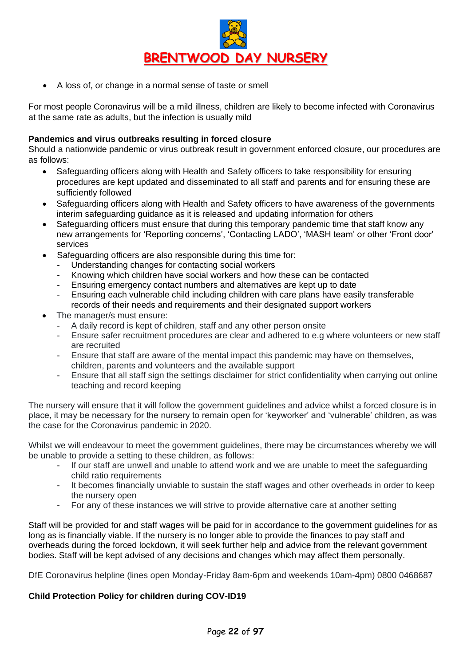

• A loss of, or change in a normal sense of taste or smell

For most people Coronavirus will be a mild illness, children are likely to become infected with Coronavirus at the same rate as adults, but the infection is usually mild

#### **Pandemics and virus outbreaks resulting in forced closure**

Should a nationwide pandemic or virus outbreak result in government enforced closure, our procedures are as follows:

- Safeguarding officers along with Health and Safety officers to take responsibility for ensuring procedures are kept updated and disseminated to all staff and parents and for ensuring these are sufficiently followed
- Safeguarding officers along with Health and Safety officers to have awareness of the governments interim safeguarding guidance as it is released and updating information for others
- Safeguarding officers must ensure that during this temporary pandemic time that staff know any new arrangements for 'Reporting concerns', 'Contacting LADO', 'MASH team' or other 'Front door' services
- Safeguarding officers are also responsible during this time for:
	- Understanding changes for contacting social workers
	- Knowing which children have social workers and how these can be contacted
	- Ensuring emergency contact numbers and alternatives are kept up to date
	- Ensuring each vulnerable child including children with care plans have easily transferable records of their needs and requirements and their designated support workers
- The manager/s must ensure:
	- A daily record is kept of children, staff and any other person onsite
	- Ensure safer recruitment procedures are clear and adhered to e.g where volunteers or new staff are recruited
	- Ensure that staff are aware of the mental impact this pandemic may have on themselves, children, parents and volunteers and the available support
	- Ensure that all staff sign the settings disclaimer for strict confidentiality when carrying out online teaching and record keeping

The nursery will ensure that it will follow the government guidelines and advice whilst a forced closure is in place, it may be necessary for the nursery to remain open for 'keyworker' and 'vulnerable' children, as was the case for the Coronavirus pandemic in 2020.

Whilst we will endeavour to meet the government guidelines, there may be circumstances whereby we will be unable to provide a setting to these children, as follows:

- If our staff are unwell and unable to attend work and we are unable to meet the safeguarding child ratio requirements
- It becomes financially unviable to sustain the staff wages and other overheads in order to keep the nursery open
- For any of these instances we will strive to provide alternative care at another setting

Staff will be provided for and staff wages will be paid for in accordance to the government guidelines for as long as is financially viable. If the nursery is no longer able to provide the finances to pay staff and overheads during the forced lockdown, it will seek further help and advice from the relevant government bodies. Staff will be kept advised of any decisions and changes which may affect them personally.

DfE Coronavirus helpline (lines open Monday-Friday 8am-6pm and weekends 10am-4pm) 0800 0468687

#### **Child Protection Policy for children during COV-ID19**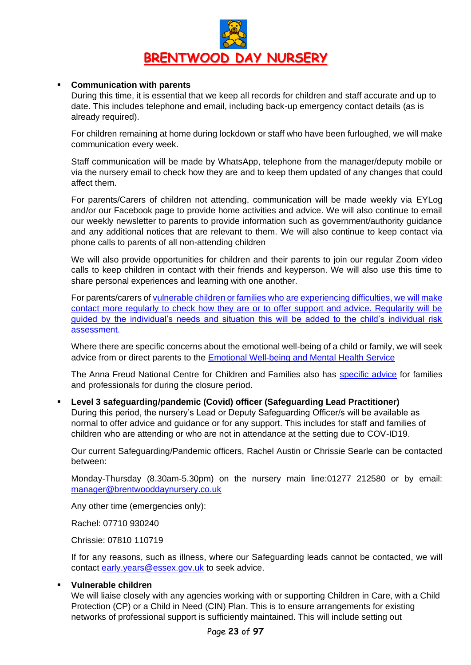

#### ▪ **Communication with parents**

During this time, it is essential that we keep all records for children and staff accurate and up to date. This includes telephone and email, including back-up emergency contact details (as is already required).

For children remaining at home during lockdown or staff who have been furloughed, we will make communication every week.

Staff communication will be made by WhatsApp, telephone from the manager/deputy mobile or via the nursery email to check how they are and to keep them updated of any changes that could affect them.

For parents/Carers of children not attending, communication will be made weekly via EYLog and/or our Facebook page to provide home activities and advice. We will also continue to email our weekly newsletter to parents to provide information such as government/authority guidance and any additional notices that are relevant to them. We will also continue to keep contact via phone calls to parents of all non-attending children

We will also provide opportunities for children and their parents to join our regular Zoom video calls to keep children in contact with their friends and keyperson. We will also use this time to share personal experiences and learning with one another.

For parents/carers of [vulnerable children or families who](https://www.gov.uk/government/publications/coronavirus-covid-19-guidance-on-vulnerable-children-and-young-people/coronavirus-covid-19-guidance-on-vulnerable-children-and-young-people) are experiencing difficulties, we will make contact more regularly to check how they are or to offer support and advice. Regularity will be guided by the individual's needs and situation this will be added to the child's individual risk assessment.

Where there are specific concerns about the emotional well-being of a child or family, we will seek advice from or direct parents to the **Emotional Well-being and Mental Health Service** 

The Anna Freud National Centre for Children and Families also has [specific advice](https://www.annafreud.org/what-we-do/anna-freud-learning-network/coronavirus/) for families and professionals for during the closure period.

▪ **Level 3 safeguarding/pandemic (Covid) officer (Safeguarding Lead Practitioner)** During this period, the nursery's Lead or Deputy Safeguarding Officer/s will be available as normal to offer advice and guidance or for any support. This includes for staff and families of children who are attending or who are not in attendance at the setting due to COV-ID19.

Our current Safeguarding/Pandemic officers, Rachel Austin or Chrissie Searle can be contacted between:

Monday-Thursday (8.30am-5.30pm) on the nursery main line:01277 212580 or by email: [manager@brentwooddaynursery.co.uk](mailto:manager@brentwooddaynursery.co.uk)

Any other time (emergencies only):

Rachel: 07710 930240

Chrissie: 07810 110719

If for any reasons, such as illness, where our Safeguarding leads cannot be contacted, we will contact [early.years@essex.gov.uk](mailto:early.years@essex.gov.uk) to seek advice.

#### ▪ **Vulnerable children**

We will liaise closely with any agencies working with or supporting Children in Care, with a Child Protection (CP) or a Child in Need (CIN) Plan. This is to ensure arrangements for existing networks of professional support is sufficiently maintained. This will include setting out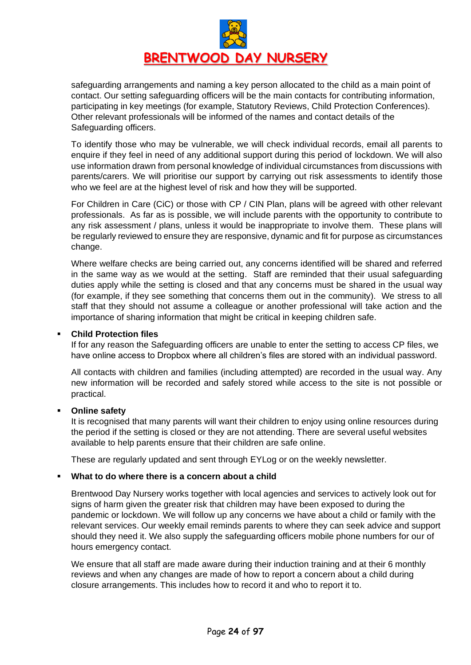

safeguarding arrangements and naming a key person allocated to the child as a main point of contact. Our setting safeguarding officers will be the main contacts for contributing information, participating in key meetings (for example, Statutory Reviews, Child Protection Conferences). Other relevant professionals will be informed of the names and contact details of the Safeguarding officers.

To identify those who may be vulnerable, we will check individual records, email all parents to enquire if they feel in need of any additional support during this period of lockdown. We will also use information drawn from personal knowledge of individual circumstances from discussions with parents/carers. We will prioritise our support by carrying out risk assessments to identify those who we feel are at the highest level of risk and how they will be supported.

For Children in Care (CiC) or those with CP / CIN Plan, plans will be agreed with other relevant professionals. As far as is possible, we will include parents with the opportunity to contribute to any risk assessment / plans, unless it would be inappropriate to involve them. These plans will be regularly reviewed to ensure they are responsive, dynamic and fit for purpose as circumstances change.

Where welfare checks are being carried out, any concerns identified will be shared and referred in the same way as we would at the setting. Staff are reminded that their usual safeguarding duties apply while the setting is closed and that any concerns must be shared in the usual way (for example, if they see something that concerns them out in the community). We stress to all staff that they should not assume a colleague or another professional will take action and the importance of sharing information that might be critical in keeping children safe.

#### ▪ **Child Protection files**

If for any reason the Safeguarding officers are unable to enter the setting to access CP files, we have online access to Dropbox where all children's files are stored with an individual password.

All contacts with children and families (including attempted) are recorded in the usual way. Any new information will be recorded and safely stored while access to the site is not possible or practical.

#### ▪ **Online safety**

It is recognised that many parents will want their children to enjoy using online resources during the period if the setting is closed or they are not attending. There are several useful websites available to help parents ensure that their children are safe online.

These are regularly updated and sent through EYLog or on the weekly newsletter.

#### **What to do where there is a concern about a child**

Brentwood Day Nursery works together with local agencies and services to actively look out for signs of harm given the greater risk that children may have been exposed to during the pandemic or lockdown. We will follow up any concerns we have about a child or family with the relevant services. Our weekly email reminds parents to where they can seek advice and support should they need it. We also supply the safeguarding officers mobile phone numbers for our of hours emergency contact.

We ensure that all staff are made aware during their induction training and at their 6 monthly reviews and when any changes are made of how to report a concern about a child during closure arrangements. This includes how to record it and who to report it to.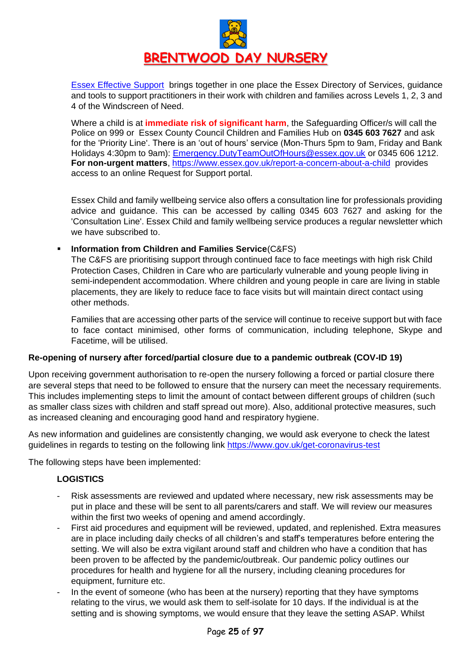

[Essex Effective Support](https://www.essexeffectivesupport.org.uk/) brings together in one place the Essex Directory of Services, guidance and tools to support practitioners in their work with children and families across Levels 1, 2, 3 and 4 of the Windscreen of Need.

Where a child is at **immediate risk of significant harm**, the Safeguarding Officer/s will call the Police on 999 or Essex County Council Children and Families Hub on **0345 603 7627** and ask for the 'Priority Line'. There is an 'out of hours' service (Mon-Thurs 5pm to 9am, Friday and Bank Holidays 4:30pm to 9am): [Emergency.DutyTeamOutOfHours@essex.gov.uk](mailto:Emergency.DutyTeamOutOfHours@essex.gov.uk) or 0345 606 1212. **For non-urgent matters**,<https://www.essex.gov.uk/report-a-concern-about-a-child> provides access to an online Request for Support portal.

Essex Child and family wellbeing service also offers a consultation line for professionals providing advice and guidance. This can be accessed by calling 0345 603 7627 and asking for the 'Consultation Line'. Essex Child and family wellbeing service produces a regular newsletter which we have subscribed to.

#### **Information from Children and Families Service(C&FS)**

The C&FS are prioritising support through continued face to face meetings with high risk Child Protection Cases, Children in Care who are particularly vulnerable and young people living in semi-independent accommodation. Where children and young people in care are living in stable placements, they are likely to reduce face to face visits but will maintain direct contact using other methods.

Families that are accessing other parts of the service will continue to receive support but with face to face contact minimised, other forms of communication, including telephone, Skype and Facetime, will be utilised.

#### **Re-opening of nursery after forced/partial closure due to a pandemic outbreak (COV-ID 19)**

Upon receiving government authorisation to re-open the nursery following a forced or partial closure there are several steps that need to be followed to ensure that the nursery can meet the necessary requirements. This includes implementing steps to limit the amount of contact between different groups of children (such as smaller class sizes with children and staff spread out more). Also, additional protective measures, such as increased cleaning and encouraging good hand and respiratory hygiene.

As new information and guidelines are consistently changing, we would ask everyone to check the latest guidelines in regards to testing on the following link<https://www.gov.uk/get-coronavirus-test>

The following steps have been implemented:

#### **LOGISTICS**

- Risk assessments are reviewed and updated where necessary, new risk assessments may be put in place and these will be sent to all parents/carers and staff. We will review our measures within the first two weeks of opening and amend accordingly.
- First aid procedures and equipment will be reviewed, updated, and replenished. Extra measures are in place including daily checks of all children's and staff's temperatures before entering the setting. We will also be extra vigilant around staff and children who have a condition that has been proven to be affected by the pandemic/outbreak. Our pandemic policy outlines our procedures for health and hygiene for all the nursery, including cleaning procedures for equipment, furniture etc.
- In the event of someone (who has been at the nursery) reporting that they have symptoms relating to the virus, we would ask them to self-isolate for 10 days. If the individual is at the setting and is showing symptoms, we would ensure that they leave the setting ASAP. Whilst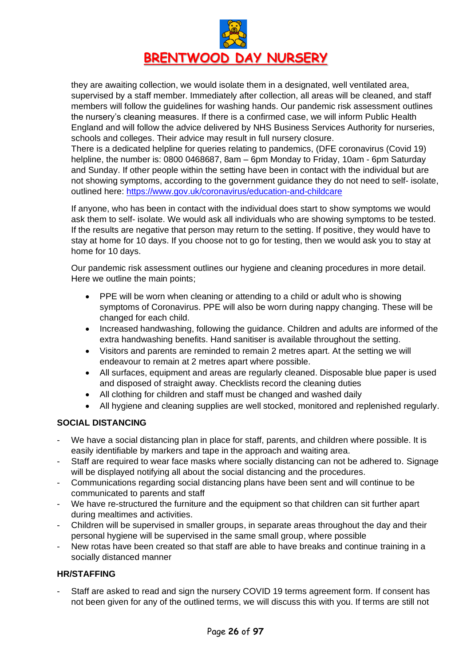

they are awaiting collection, we would isolate them in a designated, well ventilated area, supervised by a staff member. Immediately after collection, all areas will be cleaned, and staff members will follow the guidelines for washing hands. Our pandemic risk assessment outlines the nursery's cleaning measures. If there is a confirmed case, we will inform Public Health England and will follow the advice delivered by NHS Business Services Authority for nurseries, schools and colleges. Their advice may result in full nursery closure.

There is a dedicated helpline for queries relating to pandemics, (DFE coronavirus (Covid 19) helpline, the number is: 0800 0468687, 8am – 6pm Monday to Friday, 10am - 6pm Saturday and Sunday. If other people within the setting have been in contact with the individual but are not showing symptoms, according to the government guidance they do not need to self- isolate, outlined here: <https://www.gov.uk/coronavirus/education-and-childcare>

If anyone, who has been in contact with the individual does start to show symptoms we would ask them to self- isolate. We would ask all individuals who are showing symptoms to be tested. If the results are negative that person may return to the setting. If positive, they would have to stay at home for 10 days. If you choose not to go for testing, then we would ask you to stay at home for 10 days.

Our pandemic risk assessment outlines our hygiene and cleaning procedures in more detail. Here we outline the main points;

- PPE will be worn when cleaning or attending to a child or adult who is showing symptoms of Coronavirus. PPE will also be worn during nappy changing. These will be changed for each child.
- Increased handwashing, following the guidance. Children and adults are informed of the extra handwashing benefits. Hand sanitiser is available throughout the setting.
- Visitors and parents are reminded to remain 2 metres apart. At the setting we will endeavour to remain at 2 metres apart where possible.
- All surfaces, equipment and areas are regularly cleaned. Disposable blue paper is used and disposed of straight away. Checklists record the cleaning duties
- All clothing for children and staff must be changed and washed daily
- All hygiene and cleaning supplies are well stocked, monitored and replenished regularly.

#### **SOCIAL DISTANCING**

- We have a social distancing plan in place for staff, parents, and children where possible. It is easily identifiable by markers and tape in the approach and waiting area.
- Staff are required to wear face masks where socially distancing can not be adhered to. Signage will be displayed notifying all about the social distancing and the procedures.
- Communications regarding social distancing plans have been sent and will continue to be communicated to parents and staff
- We have re-structured the furniture and the equipment so that children can sit further apart during mealtimes and activities.
- Children will be supervised in smaller groups, in separate areas throughout the day and their personal hygiene will be supervised in the same small group, where possible
- New rotas have been created so that staff are able to have breaks and continue training in a socially distanced manner

## **HR/STAFFING**

Staff are asked to read and sign the nursery COVID 19 terms agreement form. If consent has not been given for any of the outlined terms, we will discuss this with you. If terms are still not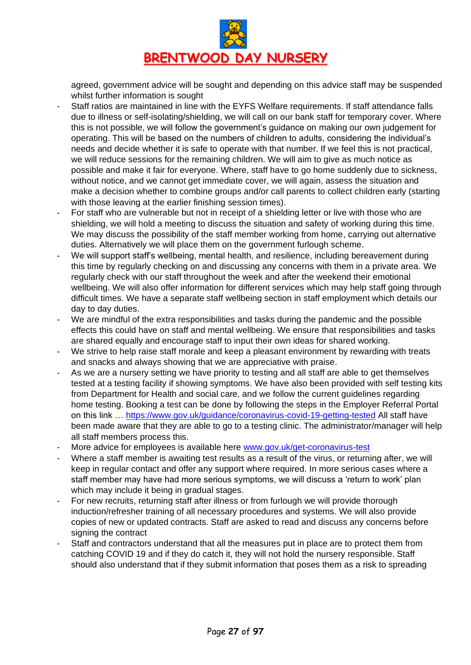

agreed, government advice will be sought and depending on this advice staff may be suspended whilst further information is sought

- Staff ratios are maintained in line with the EYFS Welfare requirements. If staff attendance falls due to illness or self-isolating/shielding, we will call on our bank staff for temporary cover. Where this is not possible, we will follow the government's guidance on making our own judgement for operating. This will be based on the numbers of children to adults, considering the individual's needs and decide whether it is safe to operate with that number. If we feel this is not practical, we will reduce sessions for the remaining children. We will aim to give as much notice as possible and make it fair for everyone. Where, staff have to go home suddenly due to sickness, without notice, and we cannot get immediate cover, we will again, assess the situation and make a decision whether to combine groups and/or call parents to collect children early (starting with those leaving at the earlier finishing session times).
- For staff who are vulnerable but not in receipt of a shielding letter or live with those who are shielding, we will hold a meeting to discuss the situation and safety of working during this time. We may discuss the possibility of the staff member working from home, carrying out alternative duties. Alternatively we will place them on the government furlough scheme.
- We will support staff's wellbeing, mental health, and resilience, including bereavement during this time by regularly checking on and discussing any concerns with them in a private area. We regularly check with our staff throughout the week and after the weekend their emotional wellbeing. We will also offer information for different services which may help staff going through difficult times. We have a separate staff wellbeing section in staff employment which details our day to day duties.
- We are mindful of the extra responsibilities and tasks during the pandemic and the possible effects this could have on staff and mental wellbeing. We ensure that responsibilities and tasks are shared equally and encourage staff to input their own ideas for shared working.
- We strive to help raise staff morale and keep a pleasant environment by rewarding with treats and snacks and always showing that we are appreciative with praise.
- As we are a nursery setting we have priority to testing and all staff are able to get themselves tested at a testing facility if showing symptoms. We have also been provided with self testing kits from Department for Health and social care, and we follow the current guidelines regarding home testing. Booking a test can be done by following the steps in the Employer Referral Portal on this link ...<https://www.gov.uk/guidance/coronavirus-covid-19-getting-tested> All staff have been made aware that they are able to go to a testing clinic. The administrator/manager will help all staff members process this.
- More advice for employees is available here [www.gov.uk/get-coronavirus-test](http://www.gov.uk/get-coronavirus-test)
- Where a staff member is awaiting test results as a result of the virus, or returning after, we will keep in regular contact and offer any support where required. In more serious cases where a staff member may have had more serious symptoms, we will discuss a 'return to work' plan which may include it being in gradual stages.
- For new recruits, returning staff after illness or from furlough we will provide thorough induction/refresher training of all necessary procedures and systems. We will also provide copies of new or updated contracts. Staff are asked to read and discuss any concerns before signing the contract
- Staff and contractors understand that all the measures put in place are to protect them from catching COVID 19 and if they do catch it, they will not hold the nursery responsible. Staff should also understand that if they submit information that poses them as a risk to spreading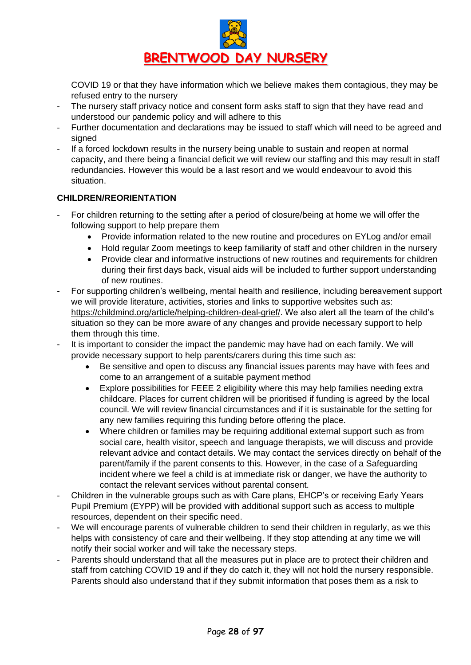

COVID 19 or that they have information which we believe makes them contagious, they may be refused entry to the nursery

- The nursery staff privacy notice and consent form asks staff to sign that they have read and understood our pandemic policy and will adhere to this
- Further documentation and declarations may be issued to staff which will need to be agreed and signed
- If a forced lockdown results in the nursery being unable to sustain and reopen at normal capacity, and there being a financial deficit we will review our staffing and this may result in staff redundancies. However this would be a last resort and we would endeavour to avoid this situation.

#### **CHILDREN/REORIENTATION**

- For children returning to the setting after a period of closure/being at home we will offer the following support to help prepare them
	- Provide information related to the new routine and procedures on EYLog and/or email
	- Hold regular Zoom meetings to keep familiarity of staff and other children in the nursery
	- Provide clear and informative instructions of new routines and requirements for children during their first days back, visual aids will be included to further support understanding of new routines.
- For supporting children's wellbeing, mental health and resilience, including bereavement support we will provide literature, activities, stories and links to supportive websites such as: [https://childmind.org/article/helping-children-deal-grief/.](https://childmind.org/article/helping-children-deal-grief/) We also alert all the team of the child's situation so they can be more aware of any changes and provide necessary support to help them through this time.
- It is important to consider the impact the pandemic may have had on each family. We will provide necessary support to help parents/carers during this time such as:
	- Be sensitive and open to discuss any financial issues parents may have with fees and come to an arrangement of a suitable payment method
	- Explore possibilities for FEEE 2 eligibility where this may help families needing extra childcare. Places for current children will be prioritised if funding is agreed by the local council. We will review financial circumstances and if it is sustainable for the setting for any new families requiring this funding before offering the place.
	- Where children or families may be requiring additional external support such as from social care, health visitor, speech and language therapists, we will discuss and provide relevant advice and contact details. We may contact the services directly on behalf of the parent/family if the parent consents to this. However, in the case of a Safeguarding incident where we feel a child is at immediate risk or danger, we have the authority to contact the relevant services without parental consent.
- Children in the vulnerable groups such as with Care plans, EHCP's or receiving Early Years Pupil Premium (EYPP) will be provided with additional support such as access to multiple resources, dependent on their specific need.
- We will encourage parents of vulnerable children to send their children in regularly, as we this helps with consistency of care and their wellbeing. If they stop attending at any time we will notify their social worker and will take the necessary steps.
- Parents should understand that all the measures put in place are to protect their children and staff from catching COVID 19 and if they do catch it, they will not hold the nursery responsible. Parents should also understand that if they submit information that poses them as a risk to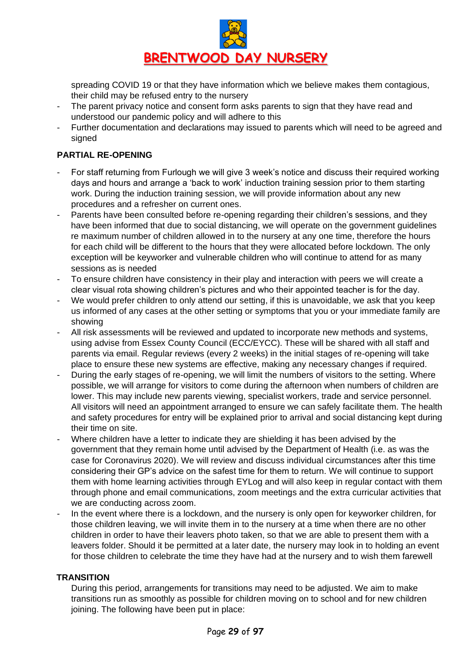

spreading COVID 19 or that they have information which we believe makes them contagious, their child may be refused entry to the nursery

- The parent privacy notice and consent form asks parents to sign that they have read and understood our pandemic policy and will adhere to this
- Further documentation and declarations may issued to parents which will need to be agreed and signed

#### **PARTIAL RE-OPENING**

- For staff returning from Furlough we will give 3 week's notice and discuss their required working days and hours and arrange a 'back to work' induction training session prior to them starting work. During the induction training session, we will provide information about any new procedures and a refresher on current ones.
- Parents have been consulted before re-opening regarding their children's sessions, and they have been informed that due to social distancing, we will operate on the government guidelines re maximum number of children allowed in to the nursery at any one time, therefore the hours for each child will be different to the hours that they were allocated before lockdown. The only exception will be keyworker and vulnerable children who will continue to attend for as many sessions as is needed
- To ensure children have consistency in their play and interaction with peers we will create a clear visual rota showing children's pictures and who their appointed teacher is for the day.
- We would prefer children to only attend our setting, if this is unavoidable, we ask that you keep us informed of any cases at the other setting or symptoms that you or your immediate family are showing
- All risk assessments will be reviewed and updated to incorporate new methods and systems, using advise from Essex County Council (ECC/EYCC). These will be shared with all staff and parents via email. Regular reviews (every 2 weeks) in the initial stages of re-opening will take place to ensure these new systems are effective, making any necessary changes if required.
- During the early stages of re-opening, we will limit the numbers of visitors to the setting. Where possible, we will arrange for visitors to come during the afternoon when numbers of children are lower. This may include new parents viewing, specialist workers, trade and service personnel. All visitors will need an appointment arranged to ensure we can safely facilitate them. The health and safety procedures for entry will be explained prior to arrival and social distancing kept during their time on site.
- Where children have a letter to indicate they are shielding it has been advised by the government that they remain home until advised by the Department of Health (i.e. as was the case for Coronavirus 2020). We will review and discuss individual circumstances after this time considering their GP's advice on the safest time for them to return. We will continue to support them with home learning activities through EYLog and will also keep in regular contact with them through phone and email communications, zoom meetings and the extra curricular activities that we are conducting across zoom.
- In the event where there is a lockdown, and the nursery is only open for keyworker children, for those children leaving, we will invite them in to the nursery at a time when there are no other children in order to have their leavers photo taken, so that we are able to present them with a leavers folder. Should it be permitted at a later date, the nursery may look in to holding an event for those children to celebrate the time they have had at the nursery and to wish them farewell

#### **TRANSITION**

During this period, arrangements for transitions may need to be adjusted. We aim to make transitions run as smoothly as possible for children moving on to school and for new children joining. The following have been put in place: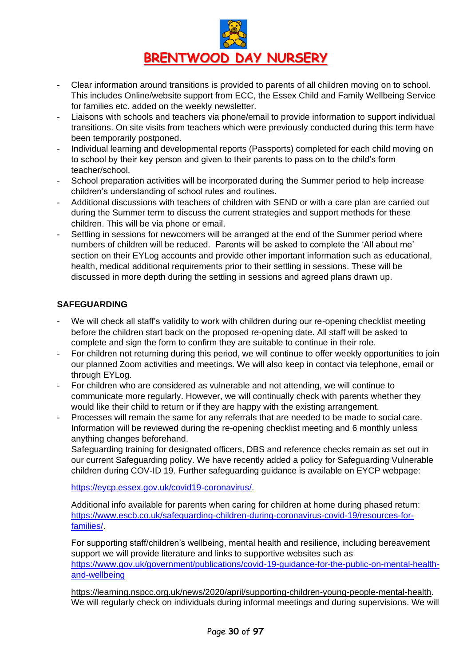

- Clear information around transitions is provided to parents of all children moving on to school. This includes Online/website support from ECC, the Essex Child and Family Wellbeing Service for families etc. added on the weekly newsletter.
- Liaisons with schools and teachers via phone/email to provide information to support individual transitions. On site visits from teachers which were previously conducted during this term have been temporarily postponed.
- Individual learning and developmental reports (Passports) completed for each child moving on to school by their key person and given to their parents to pass on to the child's form teacher/school.
- School preparation activities will be incorporated during the Summer period to help increase children's understanding of school rules and routines.
- Additional discussions with teachers of children with SEND or with a care plan are carried out during the Summer term to discuss the current strategies and support methods for these children. This will be via phone or email.
- Settling in sessions for newcomers will be arranged at the end of the Summer period where numbers of children will be reduced. Parents will be asked to complete the 'All about me' section on their EYLog accounts and provide other important information such as educational, health, medical additional requirements prior to their settling in sessions. These will be discussed in more depth during the settling in sessions and agreed plans drawn up.

#### **SAFEGUARDING**

- We will check all staff's validity to work with children during our re-opening checklist meeting before the children start back on the proposed re-opening date. All staff will be asked to complete and sign the form to confirm they are suitable to continue in their role.
- For children not returning during this period, we will continue to offer weekly opportunities to join our planned Zoom activities and meetings. We will also keep in contact via telephone, email or through EYLog.
- For children who are considered as vulnerable and not attending, we will continue to communicate more regularly. However, we will continually check with parents whether they would like their child to return or if they are happy with the existing arrangement.
- Processes will remain the same for any referrals that are needed to be made to social care. Information will be reviewed during the re-opening checklist meeting and 6 monthly unless anything changes beforehand.

Safeguarding training for designated officers, DBS and reference checks remain as set out in our current Safeguarding policy. We have recently added a policy for Safeguarding Vulnerable children during COV-ID 19. Further safeguarding guidance is available on EYCP webpage:

[https://eycp.essex.gov.uk/covid19-coronavirus/.](https://eycp.essex.gov.uk/covid19-coronavirus/)

Additional info available for parents when caring for children at home during phased return: [https://www.escb.co.uk/safeguarding-children-during-coronavirus-covid-19/resources-for](https://www.escb.co.uk/safeguarding-children-during-coronavirus-covid-19/resources-for-families/)[families/.](https://www.escb.co.uk/safeguarding-children-during-coronavirus-covid-19/resources-for-families/)

For supporting staff/children's wellbeing, mental health and resilience, including bereavement support we will provide literature and links to supportive websites such as [https://www.gov.uk/government/publications/covid-19-guidance-for-the-public-on-mental-health](https://www.gov.uk/government/publications/covid-19-guidance-for-the-public-on-mental-health-and-wellbeing)[and-wellbeing](https://www.gov.uk/government/publications/covid-19-guidance-for-the-public-on-mental-health-and-wellbeing)

[https://learning.nspcc.org.uk/news/2020/april/supporting-children-young-people-mental-health.](https://learning.nspcc.org.uk/news/2020/april/supporting-children-young-people-mental-health) We will regularly check on individuals during informal meetings and during supervisions. We will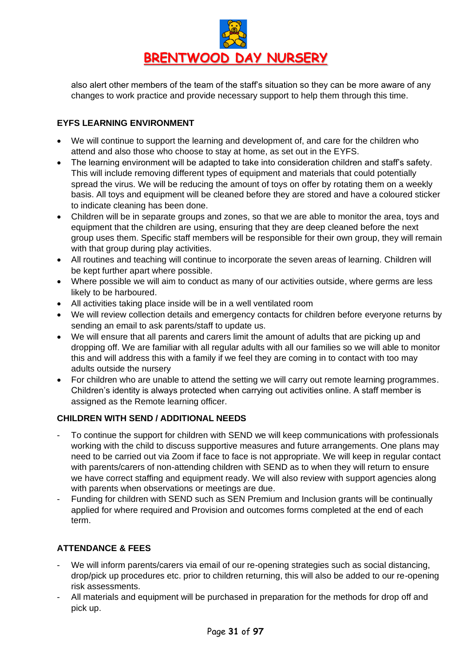

also alert other members of the team of the staff's situation so they can be more aware of any changes to work practice and provide necessary support to help them through this time.

#### **EYFS LEARNING ENVIRONMENT**

- We will continue to support the learning and development of, and care for the children who attend and also those who choose to stay at home, as set out in the EYFS.
- The learning environment will be adapted to take into consideration children and staff's safety. This will include removing different types of equipment and materials that could potentially spread the virus. We will be reducing the amount of toys on offer by rotating them on a weekly basis. All toys and equipment will be cleaned before they are stored and have a coloured sticker to indicate cleaning has been done.
- Children will be in separate groups and zones, so that we are able to monitor the area, toys and equipment that the children are using, ensuring that they are deep cleaned before the next group uses them. Specific staff members will be responsible for their own group, they will remain with that group during play activities.
- All routines and teaching will continue to incorporate the seven areas of learning. Children will be kept further apart where possible.
- Where possible we will aim to conduct as many of our activities outside, where germs are less likely to be harboured.
- All activities taking place inside will be in a well ventilated room
- We will review collection details and emergency contacts for children before everyone returns by sending an email to ask parents/staff to update us.
- We will ensure that all parents and carers limit the amount of adults that are picking up and dropping off. We are familiar with all regular adults with all our families so we will able to monitor this and will address this with a family if we feel they are coming in to contact with too may adults outside the nursery
- For children who are unable to attend the setting we will carry out remote learning programmes. Children's identity is always protected when carrying out activities online. A staff member is assigned as the Remote learning officer.

#### **CHILDREN WITH SEND / ADDITIONAL NEEDS**

- To continue the support for children with SEND we will keep communications with professionals working with the child to discuss supportive measures and future arrangements. One plans may need to be carried out via Zoom if face to face is not appropriate. We will keep in regular contact with parents/carers of non-attending children with SEND as to when they will return to ensure we have correct staffing and equipment ready. We will also review with support agencies along with parents when observations or meetings are due.
- Funding for children with SEND such as SEN Premium and Inclusion grants will be continually applied for where required and Provision and outcomes forms completed at the end of each term.

#### **ATTENDANCE & FEES**

- We will inform parents/carers via email of our re-opening strategies such as social distancing, drop/pick up procedures etc. prior to children returning, this will also be added to our re-opening risk assessments.
- All materials and equipment will be purchased in preparation for the methods for drop off and pick up.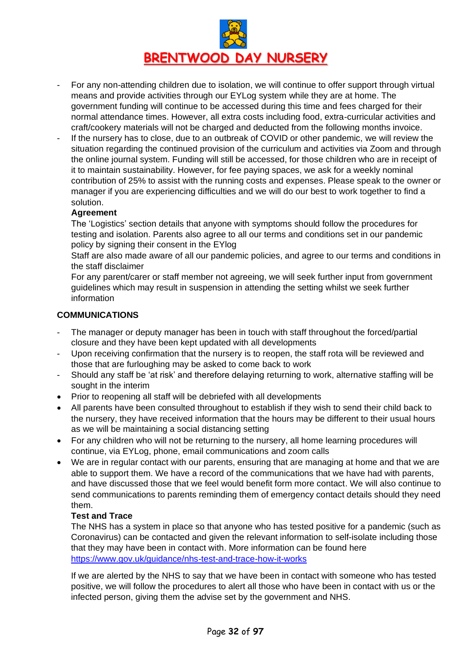# **BRENTWOOD DAY NURSERY**

- For any non-attending children due to isolation, we will continue to offer support through virtual means and provide activities through our EYLog system while they are at home. The government funding will continue to be accessed during this time and fees charged for their normal attendance times. However, all extra costs including food, extra-curricular activities and craft/cookery materials will not be charged and deducted from the following months invoice.
- If the nursery has to close, due to an outbreak of COVID or other pandemic, we will review the situation regarding the continued provision of the curriculum and activities via Zoom and through the online journal system. Funding will still be accessed, for those children who are in receipt of it to maintain sustainability. However, for fee paying spaces, we ask for a weekly nominal contribution of 25% to assist with the running costs and expenses. Please speak to the owner or manager if you are experiencing difficulties and we will do our best to work together to find a solution.

#### **Agreement**

The 'Logistics' section details that anyone with symptoms should follow the procedures for testing and isolation. Parents also agree to all our terms and conditions set in our pandemic policy by signing their consent in the EYlog

Staff are also made aware of all our pandemic policies, and agree to our terms and conditions in the staff disclaimer

For any parent/carer or staff member not agreeing, we will seek further input from government guidelines which may result in suspension in attending the setting whilst we seek further information

#### **COMMUNICATIONS**

- The manager or deputy manager has been in touch with staff throughout the forced/partial closure and they have been kept updated with all developments
- Upon receiving confirmation that the nursery is to reopen, the staff rota will be reviewed and those that are furloughing may be asked to come back to work
- Should any staff be 'at risk' and therefore delaying returning to work, alternative staffing will be sought in the interim
- Prior to reopening all staff will be debriefed with all developments
- All parents have been consulted throughout to establish if they wish to send their child back to the nursery, they have received information that the hours may be different to their usual hours as we will be maintaining a social distancing setting
- For any children who will not be returning to the nursery, all home learning procedures will continue, via EYLog, phone, email communications and zoom calls
- We are in regular contact with our parents, ensuring that are managing at home and that we are able to support them. We have a record of the communications that we have had with parents, and have discussed those that we feel would benefit form more contact. We will also continue to send communications to parents reminding them of emergency contact details should they need them.

#### **Test and Trace**

The NHS has a system in place so that anyone who has tested positive for a pandemic (such as Coronavirus) can be contacted and given the relevant information to self-isolate including those that they may have been in contact with. More information can be found here <https://www.gov.uk/guidance/nhs-test-and-trace-how-it-works>

If we are alerted by the NHS to say that we have been in contact with someone who has tested positive, we will follow the procedures to alert all those who have been in contact with us or the infected person, giving them the advise set by the government and NHS.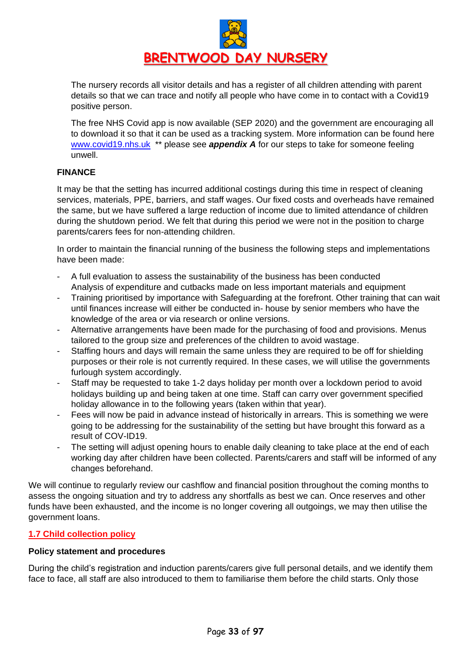

The nursery records all visitor details and has a register of all children attending with parent details so that we can trace and notify all people who have come in to contact with a Covid19 positive person.

The free NHS Covid app is now available (SEP 2020) and the government are encouraging all to download it so that it can be used as a tracking system. More information can be found here [www.covid19.nhs.uk](http://www.covid19.nhs.uk/) \*\* please see *appendix A* for our steps to take for someone feeling unwell.

#### **FINANCE**

It may be that the setting has incurred additional costings during this time in respect of cleaning services, materials, PPE, barriers, and staff wages. Our fixed costs and overheads have remained the same, but we have suffered a large reduction of income due to limited attendance of children during the shutdown period. We felt that during this period we were not in the position to charge parents/carers fees for non-attending children.

In order to maintain the financial running of the business the following steps and implementations have been made:

- A full evaluation to assess the sustainability of the business has been conducted Analysis of expenditure and cutbacks made on less important materials and equipment
- Training prioritised by importance with Safeguarding at the forefront. Other training that can wait until finances increase will either be conducted in- house by senior members who have the knowledge of the area or via research or online versions.
- Alternative arrangements have been made for the purchasing of food and provisions. Menus tailored to the group size and preferences of the children to avoid wastage.
- Staffing hours and days will remain the same unless they are required to be off for shielding purposes or their role is not currently required. In these cases, we will utilise the governments furlough system accordingly.
- Staff may be requested to take 1-2 days holiday per month over a lockdown period to avoid holidays building up and being taken at one time. Staff can carry over government specified holiday allowance in to the following years (taken within that year).
- Fees will now be paid in advance instead of historically in arrears. This is something we were going to be addressing for the sustainability of the setting but have brought this forward as a result of COV-ID19.
- The setting will adjust opening hours to enable daily cleaning to take place at the end of each working day after children have been collected. Parents/carers and staff will be informed of any changes beforehand.

We will continue to regularly review our cashflow and financial position throughout the coming months to assess the ongoing situation and try to address any shortfalls as best we can. Once reserves and other funds have been exhausted, and the income is no longer covering all outgoings, we may then utilise the government loans.

#### **1.7 Child collection policy**

#### **Policy statement and procedures**

During the child's registration and induction parents/carers give full personal details, and we identify them face to face, all staff are also introduced to them to familiarise them before the child starts. Only those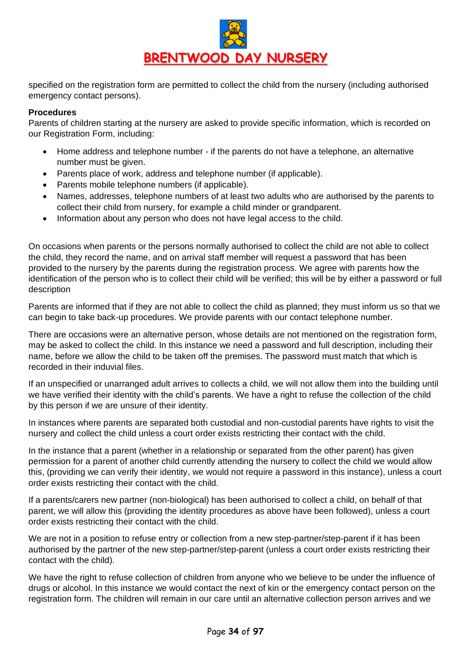

specified on the registration form are permitted to collect the child from the nursery (including authorised emergency contact persons).

#### **Procedures**

Parents of children starting at the nursery are asked to provide specific information, which is recorded on our Registration Form, including:

- Home address and telephone number if the parents do not have a telephone, an alternative number must be given.
- Parents place of work, address and telephone number (if applicable).
- Parents mobile telephone numbers (if applicable).
- Names, addresses, telephone numbers of at least two adults who are authorised by the parents to collect their child from nursery, for example a child minder or grandparent.
- Information about any person who does not have legal access to the child.

On occasions when parents or the persons normally authorised to collect the child are not able to collect the child, they record the name, and on arrival staff member will request a password that has been provided to the nursery by the parents during the registration process. We agree with parents how the identification of the person who is to collect their child will be verified; this will be by either a password or full description

Parents are informed that if they are not able to collect the child as planned; they must inform us so that we can begin to take back-up procedures. We provide parents with our contact telephone number.

There are occasions were an alternative person, whose details are not mentioned on the registration form, may be asked to collect the child. In this instance we need a password and full description, including their name, before we allow the child to be taken off the premises. The password must match that which is recorded in their induvial files.

If an unspecified or unarranged adult arrives to collects a child, we will not allow them into the building until we have verified their identity with the child's parents. We have a right to refuse the collection of the child by this person if we are unsure of their identity.

In instances where parents are separated both custodial and non-custodial parents have rights to visit the nursery and collect the child unless a court order exists restricting their contact with the child.

In the instance that a parent (whether in a relationship or separated from the other parent) has given permission for a parent of another child currently attending the nursery to collect the child we would allow this, (providing we can verify their identity, we would not require a password in this instance), unless a court order exists restricting their contact with the child.

If a parents/carers new partner (non-biological) has been authorised to collect a child, on behalf of that parent, we will allow this (providing the identity procedures as above have been followed), unless a court order exists restricting their contact with the child.

We are not in a position to refuse entry or collection from a new step-partner/step-parent if it has been authorised by the partner of the new step-partner/step-parent (unless a court order exists restricting their contact with the child).

We have the right to refuse collection of children from anyone who we believe to be under the influence of drugs or alcohol. In this instance we would contact the next of kin or the emergency contact person on the registration form. The children will remain in our care until an alternative collection person arrives and we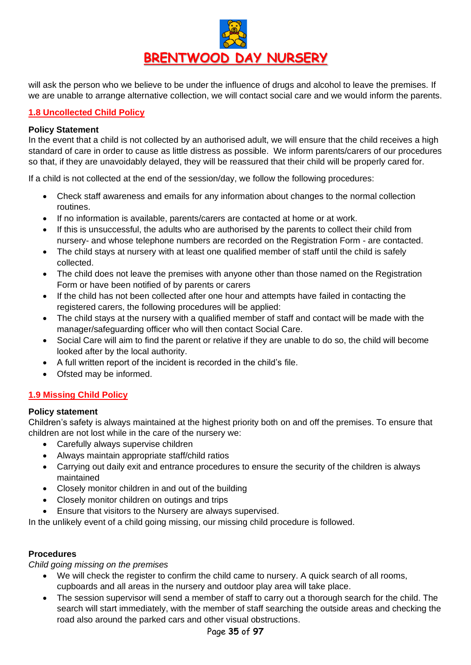

will ask the person who we believe to be under the influence of drugs and alcohol to leave the premises. If we are unable to arrange alternative collection, we will contact social care and we would inform the parents.

#### **1.8 Uncollected Child Policy**

#### **Policy Statement**

In the event that a child is not collected by an authorised adult, we will ensure that the child receives a high standard of care in order to cause as little distress as possible. We inform parents/carers of our procedures so that, if they are unavoidably delayed, they will be reassured that their child will be properly cared for.

If a child is not collected at the end of the session/day, we follow the following procedures:

- Check staff awareness and emails for any information about changes to the normal collection routines.
- If no information is available, parents/carers are contacted at home or at work.
- If this is unsuccessful, the adults who are authorised by the parents to collect their child from nursery- and whose telephone numbers are recorded on the Registration Form - are contacted.
- The child stays at nursery with at least one qualified member of staff until the child is safely collected.
- The child does not leave the premises with anyone other than those named on the Registration Form or have been notified of by parents or carers
- If the child has not been collected after one hour and attempts have failed in contacting the registered carers, the following procedures will be applied:
- The child stays at the nursery with a qualified member of staff and contact will be made with the manager/safeguarding officer who will then contact Social Care.
- Social Care will aim to find the parent or relative if they are unable to do so, the child will become looked after by the local authority.
- A full written report of the incident is recorded in the child's file.
- Ofsted may be informed.

#### **1.9 Missing Child Policy**

#### **Policy statement**

Children's safety is always maintained at the highest priority both on and off the premises. To ensure that children are not lost while in the care of the nursery we:

- Carefully always supervise children
- Always maintain appropriate staff/child ratios
- Carrying out daily exit and entrance procedures to ensure the security of the children is always maintained
- Closely monitor children in and out of the building
- Closely monitor children on outings and trips
- Ensure that visitors to the Nursery are always supervised.

In the unlikely event of a child going missing, our missing child procedure is followed.

#### **Procedures**

*Child going missing on the premises*

- We will check the register to confirm the child came to nursery. A quick search of all rooms, cupboards and all areas in the nursery and outdoor play area will take place.
- The session supervisor will send a member of staff to carry out a thorough search for the child. The search will start immediately, with the member of staff searching the outside areas and checking the road also around the parked cars and other visual obstructions.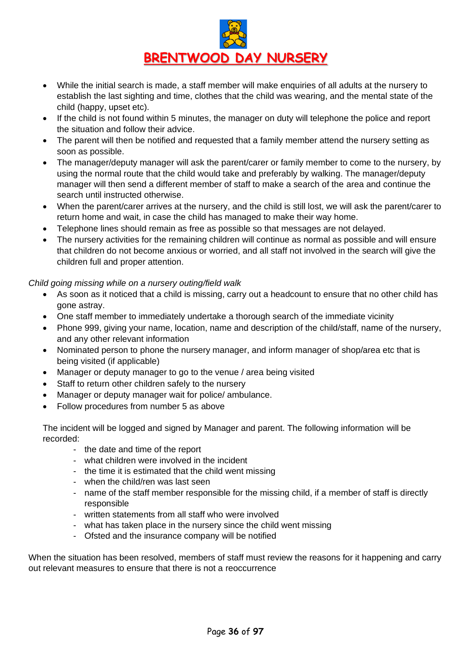

- While the initial search is made, a staff member will make enquiries of all adults at the nursery to establish the last sighting and time, clothes that the child was wearing, and the mental state of the child (happy, upset etc).
- If the child is not found within 5 minutes, the manager on duty will telephone the police and report the situation and follow their advice.
- The parent will then be notified and requested that a family member attend the nursery setting as soon as possible.
- The manager/deputy manager will ask the parent/carer or family member to come to the nursery, by using the normal route that the child would take and preferably by walking. The manager/deputy manager will then send a different member of staff to make a search of the area and continue the search until instructed otherwise.
- When the parent/carer arrives at the nursery, and the child is still lost, we will ask the parent/carer to return home and wait, in case the child has managed to make their way home.
- Telephone lines should remain as free as possible so that messages are not delayed.
- The nursery activities for the remaining children will continue as normal as possible and will ensure that children do not become anxious or worried, and all staff not involved in the search will give the children full and proper attention.

#### *Child going missing while on a nursery outing/field walk*

- As soon as it noticed that a child is missing, carry out a headcount to ensure that no other child has gone astray.
- One staff member to immediately undertake a thorough search of the immediate vicinity
- Phone 999, giving your name, location, name and description of the child/staff, name of the nursery, and any other relevant information
- Nominated person to phone the nursery manager, and inform manager of shop/area etc that is being visited (if applicable)
- Manager or deputy manager to go to the venue / area being visited
- Staff to return other children safely to the nursery
- Manager or deputy manager wait for police/ ambulance.
- Follow procedures from number 5 as above

The incident will be logged and signed by Manager and parent. The following information will be recorded:

- the date and time of the report
- what children were involved in the incident
- the time it is estimated that the child went missing
- when the child/ren was last seen
- name of the staff member responsible for the missing child, if a member of staff is directly responsible
- written statements from all staff who were involved
- what has taken place in the nursery since the child went missing
- Ofsted and the insurance company will be notified

When the situation has been resolved, members of staff must review the reasons for it happening and carry out relevant measures to ensure that there is not a reoccurrence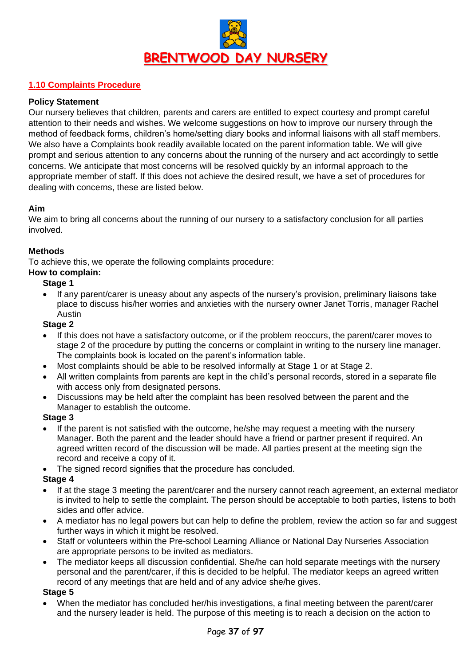

# **1.10 Complaints Procedure**

## **Policy Statement**

Our nursery believes that children, parents and carers are entitled to expect courtesy and prompt careful attention to their needs and wishes. We welcome suggestions on how to improve our nursery through the method of feedback forms, children's home/setting diary books and informal liaisons with all staff members. We also have a Complaints book readily available located on the parent information table. We will give prompt and serious attention to any concerns about the running of the nursery and act accordingly to settle concerns. We anticipate that most concerns will be resolved quickly by an informal approach to the appropriate member of staff. If this does not achieve the desired result, we have a set of procedures for dealing with concerns, these are listed below.

## **Aim**

We aim to bring all concerns about the running of our nursery to a satisfactory conclusion for all parties involved.

## **Methods**

To achieve this, we operate the following complaints procedure:

## **How to complain:**

## **Stage 1**

• If any parent/carer is uneasy about any aspects of the nursery's provision, preliminary liaisons take place to discuss his/her worries and anxieties with the nursery owner Janet Torris, manager Rachel Austin

#### **Stage 2**

- If this does not have a satisfactory outcome, or if the problem reoccurs, the parent/carer moves to stage 2 of the procedure by putting the concerns or complaint in writing to the nursery line manager. The complaints book is located on the parent's information table.
- Most complaints should be able to be resolved informally at Stage 1 or at Stage 2.
- All written complaints from parents are kept in the child's personal records, stored in a separate file with access only from designated persons.
- Discussions may be held after the complaint has been resolved between the parent and the Manager to establish the outcome.

#### **Stage 3**

- If the parent is not satisfied with the outcome, he/she may request a meeting with the nursery Manager. Both the parent and the leader should have a friend or partner present if required. An agreed written record of the discussion will be made. All parties present at the meeting sign the record and receive a copy of it.
- The signed record signifies that the procedure has concluded.

## **Stage 4**

- If at the stage 3 meeting the parent/carer and the nursery cannot reach agreement, an external mediator is invited to help to settle the complaint. The person should be acceptable to both parties, listens to both sides and offer advice.
- A mediator has no legal powers but can help to define the problem, review the action so far and suggest further ways in which it might be resolved.
- Staff or volunteers within the Pre-school Learning Alliance or National Day Nurseries Association are appropriate persons to be invited as mediators.
- The mediator keeps all discussion confidential. She/he can hold separate meetings with the nursery personal and the parent/carer, if this is decided to be helpful. The mediator keeps an agreed written record of any meetings that are held and of any advice she/he gives.

#### **Stage 5**

• When the mediator has concluded her/his investigations, a final meeting between the parent/carer and the nursery leader is held. The purpose of this meeting is to reach a decision on the action to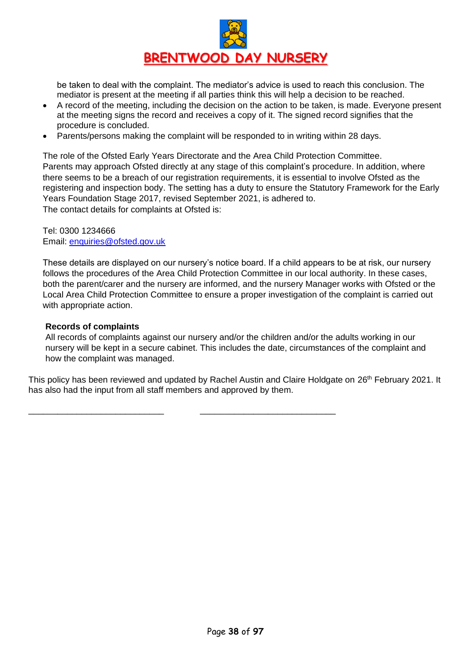

be taken to deal with the complaint. The mediator's advice is used to reach this conclusion. The mediator is present at the meeting if all parties think this will help a decision to be reached.

- A record of the meeting, including the decision on the action to be taken, is made. Everyone present at the meeting signs the record and receives a copy of it. The signed record signifies that the procedure is concluded.
- Parents/persons making the complaint will be responded to in writing within 28 days.

The role of the Ofsted Early Years Directorate and the Area Child Protection Committee. Parents may approach Ofsted directly at any stage of this complaint's procedure. In addition, where there seems to be a breach of our registration requirements, it is essential to involve Ofsted as the registering and inspection body. The setting has a duty to ensure the Statutory Framework for the Early Years Foundation Stage 2017, revised September 2021, is adhered to. The contact details for complaints at Ofsted is:

Tel: 0300 1234666 Email: [enquiries@ofsted.gov.uk](mailto:enquiries@ofsted.gov.uk)

These details are displayed on our nursery's notice board. If a child appears to be at risk, our nursery follows the procedures of the Area Child Protection Committee in our local authority. In these cases, both the parent/carer and the nursery are informed, and the nursery Manager works with Ofsted or the Local Area Child Protection Committee to ensure a proper investigation of the complaint is carried out with appropriate action.

#### **Records of complaints**

All records of complaints against our nursery and/or the children and/or the adults working in our nursery will be kept in a secure cabinet. This includes the date, circumstances of the complaint and how the complaint was managed.

This policy has been reviewed and updated by Rachel Austin and Claire Holdgate on 26<sup>th</sup> February 2021. It has also had the input from all staff members and approved by them.

\_\_\_\_\_\_\_\_\_\_\_\_\_\_\_\_\_\_\_\_\_\_\_\_\_\_\_\_ \_\_\_\_\_\_\_\_\_\_\_\_\_\_\_\_\_\_\_\_\_\_\_\_\_\_\_\_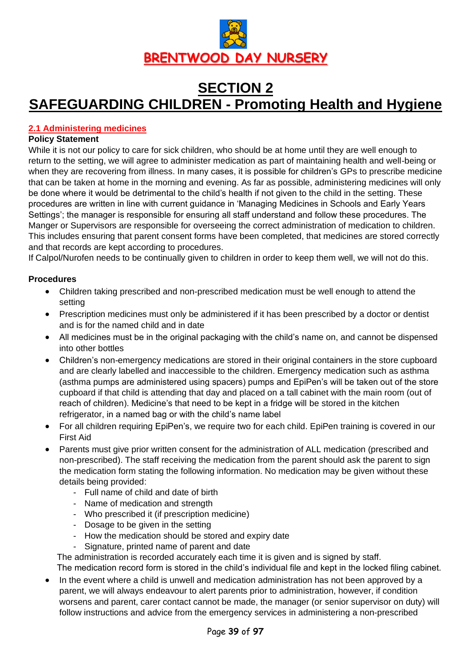

# **SECTION 2 SAFEGUARDING CHILDREN - Promoting Health and Hygiene**

# **2.1 Administering medicines**

# **Policy Statement**

While it is not our policy to care for sick children, who should be at home until they are well enough to return to the setting, we will agree to administer medication as part of maintaining health and well-being or when they are recovering from illness. In many cases, it is possible for children's GPs to prescribe medicine that can be taken at home in the morning and evening. As far as possible, administering medicines will only be done where it would be detrimental to the child's health if not given to the child in the setting. These procedures are written in line with current guidance in 'Managing Medicines in Schools and Early Years Settings'; the manager is responsible for ensuring all staff understand and follow these procedures. The Manger or Supervisors are responsible for overseeing the correct administration of medication to children. This includes ensuring that parent consent forms have been completed, that medicines are stored correctly and that records are kept according to procedures.

If Calpol/Nurofen needs to be continually given to children in order to keep them well, we will not do this.

## **Procedures**

- Children taking prescribed and non-prescribed medication must be well enough to attend the setting
- Prescription medicines must only be administered if it has been prescribed by a doctor or dentist and is for the named child and in date
- All medicines must be in the original packaging with the child's name on, and cannot be dispensed into other bottles
- Children's non-emergency medications are stored in their original containers in the store cupboard and are clearly labelled and inaccessible to the children. Emergency medication such as asthma (asthma pumps are administered using spacers) pumps and EpiPen's will be taken out of the store cupboard if that child is attending that day and placed on a tall cabinet with the main room (out of reach of children). Medicine's that need to be kept in a fridge will be stored in the kitchen refrigerator, in a named bag or with the child's name label
- For all children requiring EpiPen's, we require two for each child. EpiPen training is covered in our First Aid
- Parents must give prior written consent for the administration of ALL medication (prescribed and non-prescribed). The staff receiving the medication from the parent should ask the parent to sign the medication form stating the following information. No medication may be given without these details being provided:
	- Full name of child and date of birth
	- Name of medication and strength
	- Who prescribed it (if prescription medicine)
	- Dosage to be given in the setting
	- How the medication should be stored and expiry date
	- Signature, printed name of parent and date

The administration is recorded accurately each time it is given and is signed by staff.

The medication record form is stored in the child's individual file and kept in the locked filing cabinet.

• In the event where a child is unwell and medication administration has not been approved by a parent, we will always endeavour to alert parents prior to administration, however, if condition worsens and parent, carer contact cannot be made, the manager (or senior supervisor on duty) will follow instructions and advice from the emergency services in administering a non-prescribed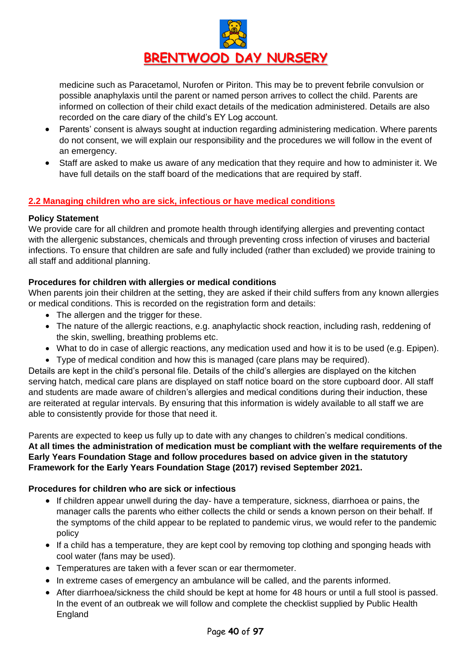

medicine such as Paracetamol, Nurofen or Piriton. This may be to prevent febrile convulsion or possible anaphylaxis until the parent or named person arrives to collect the child. Parents are informed on collection of their child exact details of the medication administered. Details are also recorded on the care diary of the child's EY Log account.

- Parents' consent is always sought at induction regarding administering medication. Where parents do not consent, we will explain our responsibility and the procedures we will follow in the event of an emergency.
- Staff are asked to make us aware of any medication that they require and how to administer it. We have full details on the staff board of the medications that are required by staff.

# **2.2 Managing children who are sick, infectious or have medical conditions**

#### **Policy Statement**

We provide care for all children and promote health through identifying allergies and preventing contact with the allergenic substances, chemicals and through preventing cross infection of viruses and bacterial infections. To ensure that children are safe and fully included (rather than excluded) we provide training to all staff and additional planning.

## **Procedures for children with allergies or medical conditions**

When parents join their children at the setting, they are asked if their child suffers from any known allergies or medical conditions. This is recorded on the registration form and details:

- The allergen and the trigger for these.
- The nature of the allergic reactions, e.g. anaphylactic shock reaction, including rash, reddening of the skin, swelling, breathing problems etc.
- What to do in case of allergic reactions, any medication used and how it is to be used (e.g. Epipen).
- Type of medical condition and how this is managed (care plans may be required).

Details are kept in the child's personal file. Details of the child's allergies are displayed on the kitchen serving hatch, medical care plans are displayed on staff notice board on the store cupboard door. All staff and students are made aware of children's allergies and medical conditions during their induction, these are reiterated at regular intervals. By ensuring that this information is widely available to all staff we are able to consistently provide for those that need it.

Parents are expected to keep us fully up to date with any changes to children's medical conditions. **At all times the administration of medication must be compliant with the welfare requirements of the Early Years Foundation Stage and follow procedures based on advice given in the statutory Framework for the Early Years Foundation Stage (2017) revised September 2021.**

## **Procedures for children who are sick or infectious**

- If children appear unwell during the day- have a temperature, sickness, diarrhoea or pains, the manager calls the parents who either collects the child or sends a known person on their behalf. If the symptoms of the child appear to be replated to pandemic virus, we would refer to the pandemic policy
- If a child has a temperature, they are kept cool by removing top clothing and sponging heads with cool water (fans may be used).
- Temperatures are taken with a fever scan or ear thermometer.
- In extreme cases of emergency an ambulance will be called, and the parents informed.
- After diarrhoea/sickness the child should be kept at home for 48 hours or until a full stool is passed. In the event of an outbreak we will follow and complete the checklist supplied by Public Health England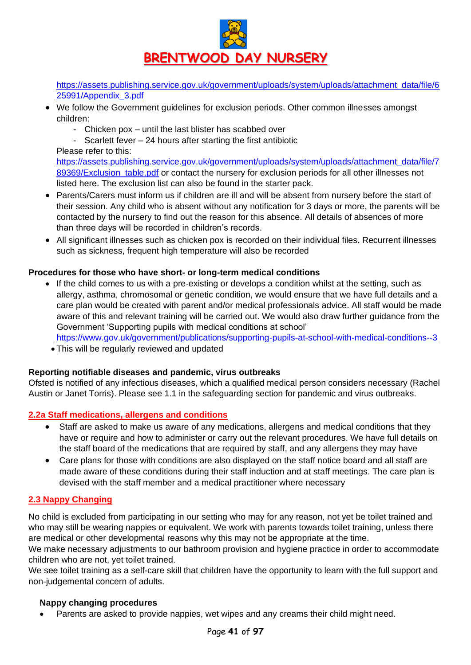

[https://assets.publishing.service.gov.uk/government/uploads/system/uploads/attachment\\_data/file/6](https://assets.publishing.service.gov.uk/government/uploads/system/uploads/attachment_data/file/625991/Appendix_3.pdf) [25991/Appendix\\_3.pdf](https://assets.publishing.service.gov.uk/government/uploads/system/uploads/attachment_data/file/625991/Appendix_3.pdf)

- We follow the Government guidelines for exclusion periods. Other common illnesses amongst children:
	- Chicken pox until the last blister has scabbed over
	- Scarlett fever 24 hours after starting the first antibiotic

Please refer to this:

[https://assets.publishing.service.gov.uk/government/uploads/system/uploads/attachment\\_data/file/7](https://assets.publishing.service.gov.uk/government/uploads/system/uploads/attachment_data/file/789369/Exclusion_table.pdf) 89369/Exclusion table.pdf or contact the nursery for exclusion periods for all other illnesses not listed here. The exclusion list can also be found in the starter pack.

- Parents/Carers must inform us if children are ill and will be absent from nursery before the start of their session. Any child who is absent without any notification for 3 days or more, the parents will be contacted by the nursery to find out the reason for this absence. All details of absences of more than three days will be recorded in children's records.
- All significant illnesses such as chicken pox is recorded on their individual files. Recurrent illnesses such as sickness, frequent high temperature will also be recorded

# **Procedures for those who have short- or long-term medical conditions**

- If the child comes to us with a pre-existing or develops a condition whilst at the setting, such as allergy, asthma, chromosomal or genetic condition, we would ensure that we have full details and a care plan would be created with parent and/or medical professionals advice. All staff would be made aware of this and relevant training will be carried out. We would also draw further guidance from the Government 'Supporting pupils with medical conditions at school' <https://www.gov.uk/government/publications/supporting-pupils-at-school-with-medical-conditions--3>
- This will be regularly reviewed and updated

## **Reporting notifiable diseases and pandemic, virus outbreaks**

Ofsted is notified of any infectious diseases, which a qualified medical person considers necessary (Rachel Austin or Janet Torris). Please see 1.1 in the safeguarding section for pandemic and virus outbreaks.

# **2.2a Staff medications, allergens and conditions**

- Staff are asked to make us aware of any medications, allergens and medical conditions that they have or require and how to administer or carry out the relevant procedures. We have full details on the staff board of the medications that are required by staff, and any allergens they may have
- Care plans for those with conditions are also displayed on the staff notice board and all staff are made aware of these conditions during their staff induction and at staff meetings. The care plan is devised with the staff member and a medical practitioner where necessary

## **2.3 Nappy Changing**

No child is excluded from participating in our setting who may for any reason, not yet be toilet trained and who may still be wearing nappies or equivalent. We work with parents towards toilet training, unless there are medical or other developmental reasons why this may not be appropriate at the time.

We make necessary adjustments to our bathroom provision and hygiene practice in order to accommodate children who are not, yet toilet trained.

We see toilet training as a self-care skill that children have the opportunity to learn with the full support and non-judgemental concern of adults.

## **Nappy changing procedures**

• Parents are asked to provide nappies, wet wipes and any creams their child might need.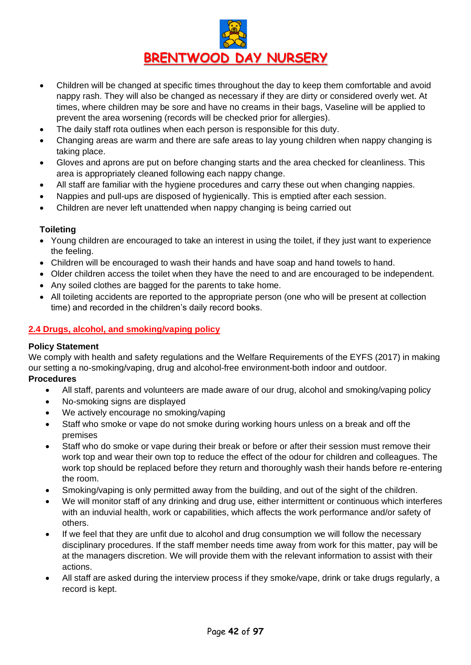

- Children will be changed at specific times throughout the day to keep them comfortable and avoid nappy rash. They will also be changed as necessary if they are dirty or considered overly wet. At times, where children may be sore and have no creams in their bags, Vaseline will be applied to prevent the area worsening (records will be checked prior for allergies).
- The daily staff rota outlines when each person is responsible for this duty.
- Changing areas are warm and there are safe areas to lay young children when nappy changing is taking place.
- Gloves and aprons are put on before changing starts and the area checked for cleanliness. This area is appropriately cleaned following each nappy change.
- All staff are familiar with the hygiene procedures and carry these out when changing nappies.
- Nappies and pull-ups are disposed of hygienically. This is emptied after each session.
- Children are never left unattended when nappy changing is being carried out

## **Toileting**

- Young children are encouraged to take an interest in using the toilet, if they just want to experience the feeling.
- Children will be encouraged to wash their hands and have soap and hand towels to hand.
- Older children access the toilet when they have the need to and are encouraged to be independent.
- Any soiled clothes are bagged for the parents to take home.
- All toileting accidents are reported to the appropriate person (one who will be present at collection time) and recorded in the children's daily record books.

# **2.4 Drugs, alcohol, and smoking/vaping policy**

## **Policy Statement**

We comply with health and safety regulations and the Welfare Requirements of the EYFS (2017) in making our setting a no-smoking/vaping, drug and alcohol-free environment-both indoor and outdoor.

# **Procedures**

- All staff, parents and volunteers are made aware of our drug, alcohol and smoking/vaping policy
- No-smoking signs are displayed
- We actively encourage no smoking/vaping
- Staff who smoke or vape do not smoke during working hours unless on a break and off the premises
- Staff who do smoke or vape during their break or before or after their session must remove their work top and wear their own top to reduce the effect of the odour for children and colleagues. The work top should be replaced before they return and thoroughly wash their hands before re-entering the room.
- Smoking/vaping is only permitted away from the building, and out of the sight of the children.
- We will monitor staff of any drinking and drug use, either intermittent or continuous which interferes with an induvial health, work or capabilities, which affects the work performance and/or safety of others.
- If we feel that they are unfit due to alcohol and drug consumption we will follow the necessary disciplinary procedures. If the staff member needs time away from work for this matter, pay will be at the managers discretion. We will provide them with the relevant information to assist with their actions.
- All staff are asked during the interview process if they smoke/vape, drink or take drugs regularly, a record is kept.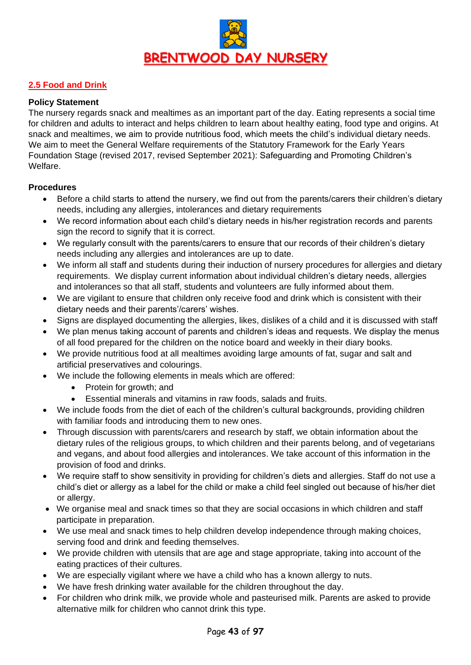

# **2.5 Food and Drink**

## **Policy Statement**

The nursery regards snack and mealtimes as an important part of the day. Eating represents a social time for children and adults to interact and helps children to learn about healthy eating, food type and origins. At snack and mealtimes, we aim to provide nutritious food, which meets the child's individual dietary needs. We aim to meet the General Welfare requirements of the Statutory Framework for the Early Years Foundation Stage (revised 2017, revised September 2021): Safeguarding and Promoting Children's Welfare.

## **Procedures**

- Before a child starts to attend the nursery, we find out from the parents/carers their children's dietary needs, including any allergies, intolerances and dietary requirements
- We record information about each child's dietary needs in his/her registration records and parents sign the record to signify that it is correct.
- We regularly consult with the parents/carers to ensure that our records of their children's dietary needs including any allergies and intolerances are up to date.
- We inform all staff and students during their induction of nursery procedures for allergies and dietary requirements. We display current information about individual children's dietary needs, allergies and intolerances so that all staff, students and volunteers are fully informed about them.
- We are vigilant to ensure that children only receive food and drink which is consistent with their dietary needs and their parents'/carers' wishes.
- Signs are displayed documenting the allergies, likes, dislikes of a child and it is discussed with staff
- We plan menus taking account of parents and children's ideas and requests. We display the menus of all food prepared for the children on the notice board and weekly in their diary books.
- We provide nutritious food at all mealtimes avoiding large amounts of fat, sugar and salt and artificial preservatives and colourings.
- We include the following elements in meals which are offered:
	- Protein for growth; and
	- Essential minerals and vitamins in raw foods, salads and fruits.
- We include foods from the diet of each of the children's cultural backgrounds, providing children with familiar foods and introducing them to new ones.
- Through discussion with parents/carers and research by staff, we obtain information about the dietary rules of the religious groups, to which children and their parents belong, and of vegetarians and vegans, and about food allergies and intolerances. We take account of this information in the provision of food and drinks.
- We require staff to show sensitivity in providing for children's diets and allergies. Staff do not use a child's diet or allergy as a label for the child or make a child feel singled out because of his/her diet or allergy.
- We organise meal and snack times so that they are social occasions in which children and staff participate in preparation.
- We use meal and snack times to help children develop independence through making choices, serving food and drink and feeding themselves.
- We provide children with utensils that are age and stage appropriate, taking into account of the eating practices of their cultures.
- We are especially vigilant where we have a child who has a known allergy to nuts.
- We have fresh drinking water available for the children throughout the day.
- For children who drink milk, we provide whole and pasteurised milk. Parents are asked to provide alternative milk for children who cannot drink this type.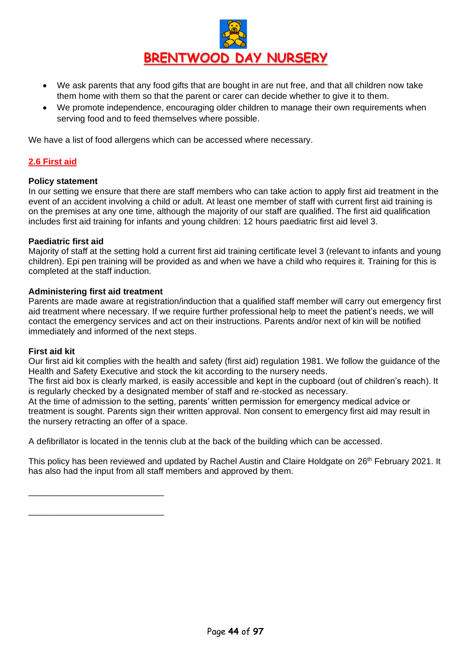

- We ask parents that any food gifts that are bought in are nut free, and that all children now take them home with them so that the parent or carer can decide whether to give it to them.
- We promote independence, encouraging older children to manage their own requirements when serving food and to feed themselves where possible.

We have a list of food allergens which can be accessed where necessary.

## **2.6 First aid**

#### **Policy statement**

In our setting we ensure that there are staff members who can take action to apply first aid treatment in the event of an accident involving a child or adult. At least one member of staff with current first aid training is on the premises at any one time, although the majority of our staff are qualified. The first aid qualification includes first aid training for infants and young children: 12 hours paediatric first aid level 3.

#### **Paediatric first aid**

Majority of staff at the setting hold a current first aid training certificate level 3 (relevant to infants and young children). Epi pen training will be provided as and when we have a child who requires it. Training for this is completed at the staff induction.

#### **Administering first aid treatment**

\_\_\_\_\_\_\_\_\_\_\_\_\_\_\_\_\_\_\_\_\_\_\_\_\_\_\_\_

\_\_\_\_\_\_\_\_\_\_\_\_\_\_\_\_\_\_\_\_\_\_\_\_\_\_\_\_

Parents are made aware at registration/induction that a qualified staff member will carry out emergency first aid treatment where necessary. If we require further professional help to meet the patient's needs, we will contact the emergency services and act on their instructions. Parents and/or next of kin will be notified immediately and informed of the next steps.

#### **First aid kit**

Our first aid kit complies with the health and safety (first aid) regulation 1981. We follow the guidance of the Health and Safety Executive and stock the kit according to the nursery needs.

The first aid box is clearly marked, is easily accessible and kept in the cupboard (out of children's reach). It is regularly checked by a designated member of staff and re-stocked as necessary.

At the time of admission to the setting, parents' written permission for emergency medical advice or treatment is sought. Parents sign their written approval. Non consent to emergency first aid may result in the nursery retracting an offer of a space.

A defibrillator is located in the tennis club at the back of the building which can be accessed.

This policy has been reviewed and updated by Rachel Austin and Claire Holdgate on 26<sup>th</sup> February 2021. It has also had the input from all staff members and approved by them.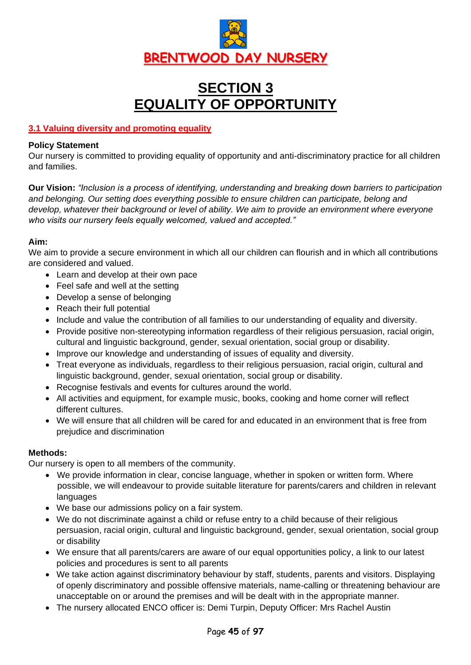

# **SECTION 3 EQUALITY OF OPPORTUNITY**

# **3.1 Valuing diversity and promoting equality**

## **Policy Statement**

Our nursery is committed to providing equality of opportunity and anti-discriminatory practice for all children and families.

**Our Vision:** *"Inclusion is a process of identifying, understanding and breaking down barriers to participation and belonging. Our setting does everything possible to ensure children can participate, belong and develop, whatever their background or level of ability. We aim to provide an environment where everyone who visits our nursery feels equally welcomed, valued and accepted."*

## **Aim:**

We aim to provide a secure environment in which all our children can flourish and in which all contributions are considered and valued.

- Learn and develop at their own pace
- Feel safe and well at the setting
- Develop a sense of belonging
- Reach their full potential
- Include and value the contribution of all families to our understanding of equality and diversity.
- Provide positive non-stereotyping information regardless of their religious persuasion, racial origin, cultural and linguistic background, gender, sexual orientation, social group or disability.
- Improve our knowledge and understanding of issues of equality and diversity.
- Treat everyone as individuals, regardless to their religious persuasion, racial origin, cultural and linguistic background, gender, sexual orientation, social group or disability.
- Recognise festivals and events for cultures around the world.
- All activities and equipment, for example music, books, cooking and home corner will reflect different cultures.
- We will ensure that all children will be cared for and educated in an environment that is free from prejudice and discrimination

## **Methods:**

Our nursery is open to all members of the community.

- We provide information in clear, concise language, whether in spoken or written form. Where possible, we will endeavour to provide suitable literature for parents/carers and children in relevant languages
- We base our admissions policy on a fair system.
- We do not discriminate against a child or refuse entry to a child because of their religious persuasion, racial origin, cultural and linguistic background, gender, sexual orientation, social group or disability
- We ensure that all parents/carers are aware of our equal opportunities policy, a link to our latest policies and procedures is sent to all parents
- We take action against discriminatory behaviour by staff, students, parents and visitors. Displaying of openly discriminatory and possible offensive materials, name-calling or threatening behaviour are unacceptable on or around the premises and will be dealt with in the appropriate manner.
- The nursery allocated ENCO officer is: Demi Turpin, Deputy Officer: Mrs Rachel Austin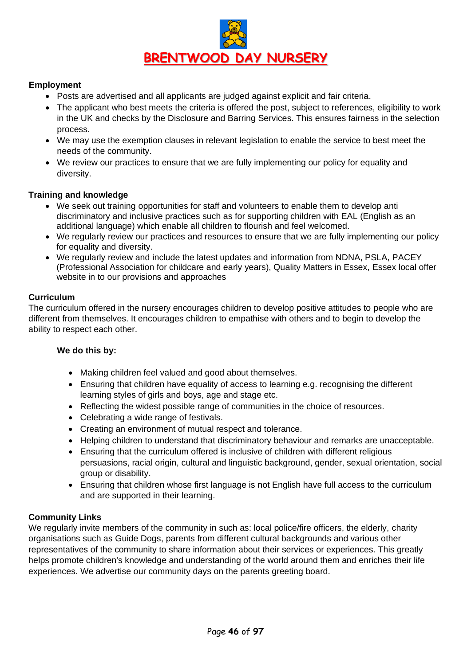

## **Employment**

- Posts are advertised and all applicants are judged against explicit and fair criteria.
- The applicant who best meets the criteria is offered the post, subject to references, eligibility to work in the UK and checks by the Disclosure and Barring Services. This ensures fairness in the selection process.
- We may use the exemption clauses in relevant legislation to enable the service to best meet the needs of the community.
- We review our practices to ensure that we are fully implementing our policy for equality and diversity.

## **Training and knowledge**

- We seek out training opportunities for staff and volunteers to enable them to develop anti discriminatory and inclusive practices such as for supporting children with EAL (English as an additional language) which enable all children to flourish and feel welcomed.
- We regularly review our practices and resources to ensure that we are fully implementing our policy for equality and diversity.
- We regularly review and include the latest updates and information from NDNA, PSLA, PACEY (Professional Association for childcare and early years), Quality Matters in Essex, Essex local offer website in to our provisions and approaches

# **Curriculum**

The curriculum offered in the nursery encourages children to develop positive attitudes to people who are different from themselves. It encourages children to empathise with others and to begin to develop the ability to respect each other.

## **We do this by:**

- Making children feel valued and good about themselves.
- Ensuring that children have equality of access to learning e.g. recognising the different learning styles of girls and boys, age and stage etc.
- Reflecting the widest possible range of communities in the choice of resources.
- Celebrating a wide range of festivals.
- Creating an environment of mutual respect and tolerance.
- Helping children to understand that discriminatory behaviour and remarks are unacceptable.
- Ensuring that the curriculum offered is inclusive of children with different religious persuasions, racial origin, cultural and linguistic background, gender, sexual orientation, social group or disability.
- Ensuring that children whose first language is not English have full access to the curriculum and are supported in their learning.

## **Community Links**

We regularly invite members of the community in such as: local police/fire officers, the elderly, charity organisations such as Guide Dogs, parents from different cultural backgrounds and various other representatives of the community to share information about their services or experiences. This greatly helps promote children's knowledge and understanding of the world around them and enriches their life experiences. We advertise our community days on the parents greeting board.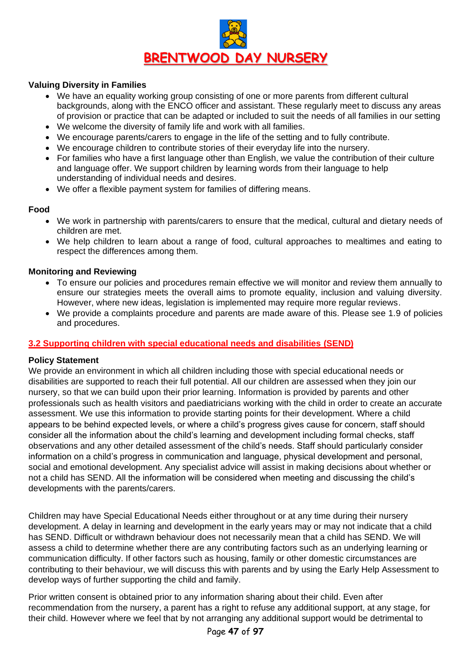

## **Valuing Diversity in Families**

- We have an equality working group consisting of one or more parents from different cultural backgrounds, along with the ENCO officer and assistant. These regularly meet to discuss any areas of provision or practice that can be adapted or included to suit the needs of all families in our setting
- We welcome the diversity of family life and work with all families.
- We encourage parents/carers to engage in the life of the setting and to fully contribute.
- We encourage children to contribute stories of their everyday life into the nursery.
- For families who have a first language other than English, we value the contribution of their culture and language offer. We support children by learning words from their language to help understanding of individual needs and desires.
- We offer a flexible payment system for families of differing means.

## **Food**

- We work in partnership with parents/carers to ensure that the medical, cultural and dietary needs of children are met.
- We help children to learn about a range of food, cultural approaches to mealtimes and eating to respect the differences among them.

## **Monitoring and Reviewing**

- To ensure our policies and procedures remain effective we will monitor and review them annually to ensure our strategies meets the overall aims to promote equality, inclusion and valuing diversity. However, where new ideas, legislation is implemented may require more regular reviews.
- We provide a complaints procedure and parents are made aware of this. Please see 1.9 of policies and procedures.

## **3.2 Supporting children with special educational needs and disabilities (SEND)**

## **Policy Statement**

We provide an environment in which all children including those with special educational needs or disabilities are supported to reach their full potential. All our children are assessed when they join our nursery, so that we can build upon their prior learning. Information is provided by parents and other professionals such as health visitors and paediatricians working with the child in order to create an accurate assessment. We use this information to provide starting points for their development. Where a child appears to be behind expected levels, or where a child's progress gives cause for concern, staff should consider all the information about the child's learning and development including formal checks, staff observations and any other detailed assessment of the child's needs. Staff should particularly consider information on a child's progress in communication and language, physical development and personal, social and emotional development. Any specialist advice will assist in making decisions about whether or not a child has SEND. All the information will be considered when meeting and discussing the child's developments with the parents/carers.

Children may have Special Educational Needs either throughout or at any time during their nursery development. A delay in learning and development in the early years may or may not indicate that a child has SEND. Difficult or withdrawn behaviour does not necessarily mean that a child has SEND. We will assess a child to determine whether there are any contributing factors such as an underlying learning or communication difficulty. If other factors such as housing, family or other domestic circumstances are contributing to their behaviour, we will discuss this with parents and by using the Early Help Assessment to develop ways of further supporting the child and family.

Prior written consent is obtained prior to any information sharing about their child. Even after recommendation from the nursery, a parent has a right to refuse any additional support, at any stage, for their child. However where we feel that by not arranging any additional support would be detrimental to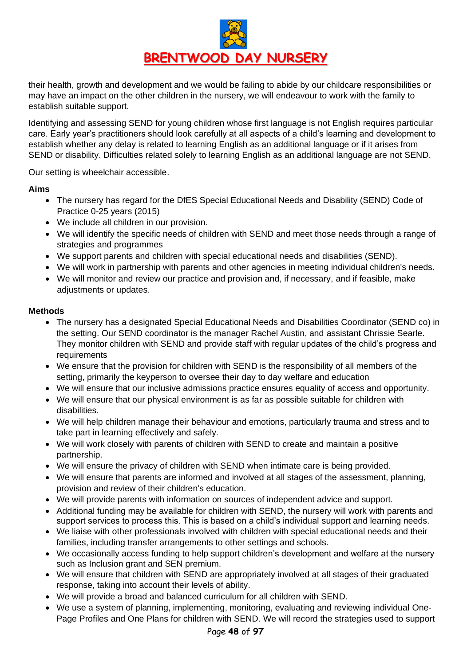

their health, growth and development and we would be failing to abide by our childcare responsibilities or may have an impact on the other children in the nursery, we will endeavour to work with the family to establish suitable support.

Identifying and assessing SEND for young children whose first language is not English requires particular care. Early year's practitioners should look carefully at all aspects of a child's learning and development to establish whether any delay is related to learning English as an additional language or if it arises from SEND or disability. Difficulties related solely to learning English as an additional language are not SEND.

Our setting is wheelchair accessible.

## **Aims**

- The nursery has regard for the DfES Special Educational Needs and Disability (SEND) Code of Practice 0-25 years (2015)
- We include all children in our provision.
- We will identify the specific needs of children with SEND and meet those needs through a range of strategies and programmes
- We support parents and children with special educational needs and disabilities (SEND).
- We will work in partnership with parents and other agencies in meeting individual children's needs.
- We will monitor and review our practice and provision and, if necessary, and if feasible, make adjustments or updates.

## **Methods**

- The nursery has a designated Special Educational Needs and Disabilities Coordinator (SEND co) in the setting. Our SEND coordinator is the manager Rachel Austin, and assistant Chrissie Searle. They monitor children with SEND and provide staff with regular updates of the child's progress and requirements
- We ensure that the provision for children with SEND is the responsibility of all members of the setting, primarily the keyperson to oversee their day to day welfare and education
- We will ensure that our inclusive admissions practice ensures equality of access and opportunity.
- We will ensure that our physical environment is as far as possible suitable for children with disabilities.
- We will help children manage their behaviour and emotions, particularly trauma and stress and to take part in learning effectively and safely.
- We will work closely with parents of children with SEND to create and maintain a positive partnership.
- We will ensure the privacy of children with SEND when intimate care is being provided.
- We will ensure that parents are informed and involved at all stages of the assessment, planning, provision and review of their children's education.
- We will provide parents with information on sources of independent advice and support.
- Additional funding may be available for children with SEND, the nursery will work with parents and support services to process this. This is based on a child's individual support and learning needs.
- We liaise with other professionals involved with children with special educational needs and their families, including transfer arrangements to other settings and schools.
- We occasionally access funding to help support children's development and welfare at the nursery such as Inclusion grant and SEN premium.
- We will ensure that children with SEND are appropriately involved at all stages of their graduated response, taking into account their levels of ability.
- We will provide a broad and balanced curriculum for all children with SEND.
- We use a system of planning, implementing, monitoring, evaluating and reviewing individual One-Page Profiles and One Plans for children with SEND. We will record the strategies used to support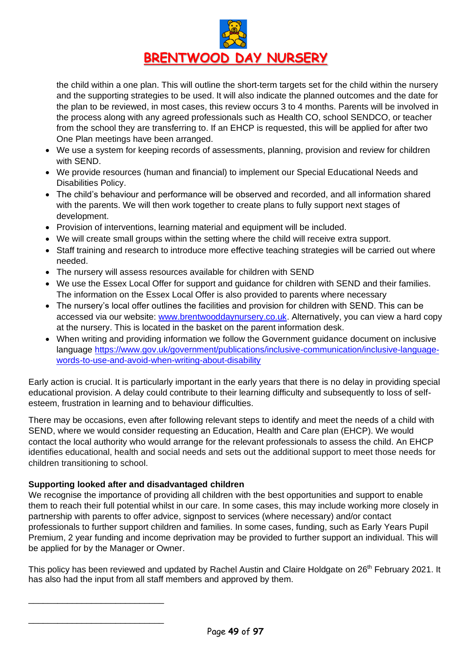

the child within a one plan. This will outline the short-term targets set for the child within the nursery and the supporting strategies to be used. It will also indicate the planned outcomes and the date for the plan to be reviewed, in most cases, this review occurs 3 to 4 months. Parents will be involved in the process along with any agreed professionals such as Health CO, school SENDCO, or teacher from the school they are transferring to. If an EHCP is requested, this will be applied for after two One Plan meetings have been arranged.

- We use a system for keeping records of assessments, planning, provision and review for children with SEND.
- We provide resources (human and financial) to implement our Special Educational Needs and Disabilities Policy.
- The child's behaviour and performance will be observed and recorded, and all information shared with the parents. We will then work together to create plans to fully support next stages of development.
- Provision of interventions, learning material and equipment will be included.
- We will create small groups within the setting where the child will receive extra support.
- Staff training and research to introduce more effective teaching strategies will be carried out where needed.
- The nursery will assess resources available for children with SEND
- We use the Essex Local Offer for support and guidance for children with SEND and their families. The information on the Essex Local Offer is also provided to parents where necessary
- The nursery's local offer outlines the facilities and provision for children with SEND. This can be accessed via our website: [www.brentwooddaynursery.co.uk.](http://www.brentwooddaynursery.co.uk/) Alternatively, you can view a hard copy at the nursery. This is located in the basket on the parent information desk.
- When writing and providing information we follow the Government guidance document on inclusive language [https://www.gov.uk/government/publications/inclusive-communication/inclusive-language](https://www.gov.uk/government/publications/inclusive-communication/inclusive-language-words-to-use-and-avoid-when-writing-about-disability)[words-to-use-and-avoid-when-writing-about-disability](https://www.gov.uk/government/publications/inclusive-communication/inclusive-language-words-to-use-and-avoid-when-writing-about-disability)

Early action is crucial. It is particularly important in the early years that there is no delay in providing special educational provision. A delay could contribute to their learning difficulty and subsequently to loss of selfesteem, frustration in learning and to behaviour difficulties.

There may be occasions, even after following relevant steps to identify and meet the needs of a child with SEND, where we would consider requesting an Education, Health and Care plan (EHCP). We would contact the local authority who would arrange for the relevant professionals to assess the child. An EHCP identifies educational, health and social needs and sets out the additional support to meet those needs for children transitioning to school.

## **Supporting looked after and disadvantaged children**

\_\_\_\_\_\_\_\_\_\_\_\_\_\_\_\_\_\_\_\_\_\_\_\_\_\_\_\_

\_\_\_\_\_\_\_\_\_\_\_\_\_\_\_\_\_\_\_\_\_\_\_\_\_\_\_\_

We recognise the importance of providing all children with the best opportunities and support to enable them to reach their full potential whilst in our care. In some cases, this may include working more closely in partnership with parents to offer advice, signpost to services (where necessary) and/or contact professionals to further support children and families. In some cases, funding, such as Early Years Pupil Premium, 2 year funding and income deprivation may be provided to further support an individual. This will be applied for by the Manager or Owner.

This policy has been reviewed and updated by Rachel Austin and Claire Holdgate on 26<sup>th</sup> February 2021. It has also had the input from all staff members and approved by them.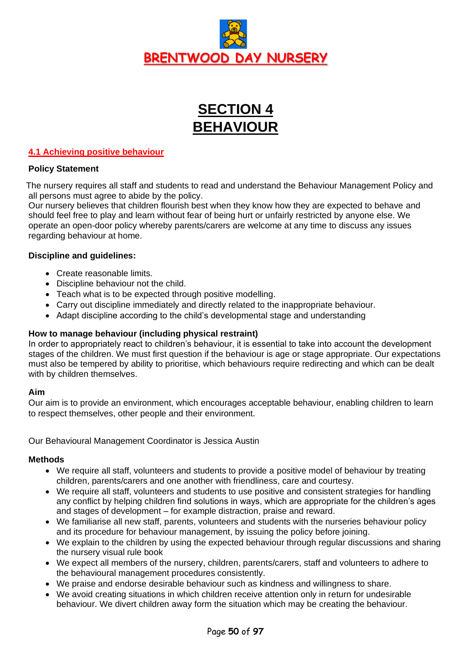

# **SECTION 4 BEHAVIOUR**

#### **4.1 Achieving positive behaviour**

## **Policy Statement**

 The nursery requires all staff and students to read and understand the Behaviour Management Policy and all persons must agree to abide by the policy.

Our nursery believes that children flourish best when they know how they are expected to behave and should feel free to play and learn without fear of being hurt or unfairly restricted by anyone else. We operate an open-door policy whereby parents/carers are welcome at any time to discuss any issues regarding behaviour at home.

#### **Discipline and guidelines:**

- Create reasonable limits.
- Discipline behaviour not the child.
- Teach what is to be expected through positive modelling.
- Carry out discipline immediately and directly related to the inappropriate behaviour.
- Adapt discipline according to the child's developmental stage and understanding

#### **How to manage behaviour (including physical restraint)**

In order to appropriately react to children's behaviour, it is essential to take into account the development stages of the children. We must first question if the behaviour is age or stage appropriate. Our expectations must also be tempered by ability to prioritise, which behaviours require redirecting and which can be dealt with by children themselves.

#### **Aim**

Our aim is to provide an environment, which encourages acceptable behaviour, enabling children to learn to respect themselves, other people and their environment.

Our Behavioural Management Coordinator is Jessica Austin

#### **Methods**

- We require all staff, volunteers and students to provide a positive model of behaviour by treating children, parents/carers and one another with friendliness, care and courtesy.
- We require all staff, volunteers and students to use positive and consistent strategies for handling any conflict by helping children find solutions in ways, which are appropriate for the children's ages and stages of development – for example distraction, praise and reward.
- We familiarise all new staff, parents, volunteers and students with the nurseries behaviour policy and its procedure for behaviour management, by issuing the policy before joining.
- We explain to the children by using the expected behaviour through regular discussions and sharing the nursery visual rule book
- We expect all members of the nursery, children, parents/carers, staff and volunteers to adhere to the behavioural management procedures consistently.
- We praise and endorse desirable behaviour such as kindness and willingness to share.
- We avoid creating situations in which children receive attention only in return for undesirable behaviour. We divert children away form the situation which may be creating the behaviour.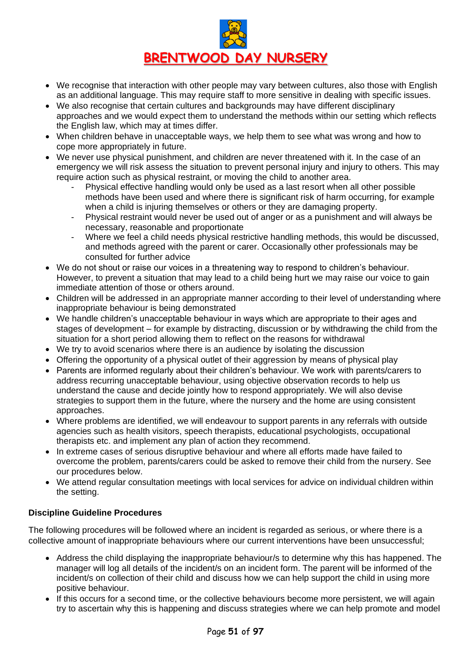

- We recognise that interaction with other people may vary between cultures, also those with English as an additional language. This may require staff to more sensitive in dealing with specific issues.
- We also recognise that certain cultures and backgrounds may have different disciplinary approaches and we would expect them to understand the methods within our setting which reflects the English law, which may at times differ.
- When children behave in unacceptable ways, we help them to see what was wrong and how to cope more appropriately in future.
- We never use physical punishment, and children are never threatened with it. In the case of an emergency we will risk assess the situation to prevent personal injury and injury to others. This may require action such as physical restraint, or moving the child to another area.
	- Physical effective handling would only be used as a last resort when all other possible methods have been used and where there is significant risk of harm occurring, for example when a child is injuring themselves or others or they are damaging property.
	- Physical restraint would never be used out of anger or as a punishment and will always be necessary, reasonable and proportionate
	- Where we feel a child needs physical restrictive handling methods, this would be discussed, and methods agreed with the parent or carer. Occasionally other professionals may be consulted for further advice
- We do not shout or raise our voices in a threatening way to respond to children's behaviour. However, to prevent a situation that may lead to a child being hurt we may raise our voice to gain immediate attention of those or others around.
- Children will be addressed in an appropriate manner according to their level of understanding where inappropriate behaviour is being demonstrated
- We handle children's unacceptable behaviour in ways which are appropriate to their ages and stages of development – for example by distracting, discussion or by withdrawing the child from the situation for a short period allowing them to reflect on the reasons for withdrawal
- We try to avoid scenarios where there is an audience by isolating the discussion
- Offering the opportunity of a physical outlet of their aggression by means of physical play
- Parents are informed regularly about their children's behaviour. We work with parents/carers to address recurring unacceptable behaviour, using objective observation records to help us understand the cause and decide jointly how to respond appropriately. We will also devise strategies to support them in the future, where the nursery and the home are using consistent approaches.
- Where problems are identified, we will endeavour to support parents in any referrals with outside agencies such as health visitors, speech therapists, educational psychologists, occupational therapists etc. and implement any plan of action they recommend.
- In extreme cases of serious disruptive behaviour and where all efforts made have failed to overcome the problem, parents/carers could be asked to remove their child from the nursery. See our procedures below.
- We attend regular consultation meetings with local services for advice on individual children within the setting.

# **Discipline Guideline Procedures**

The following procedures will be followed where an incident is regarded as serious, or where there is a collective amount of inappropriate behaviours where our current interventions have been unsuccessful;

- Address the child displaying the inappropriate behaviour/s to determine why this has happened. The manager will log all details of the incident/s on an incident form. The parent will be informed of the incident/s on collection of their child and discuss how we can help support the child in using more positive behaviour.
- If this occurs for a second time, or the collective behaviours become more persistent, we will again try to ascertain why this is happening and discuss strategies where we can help promote and model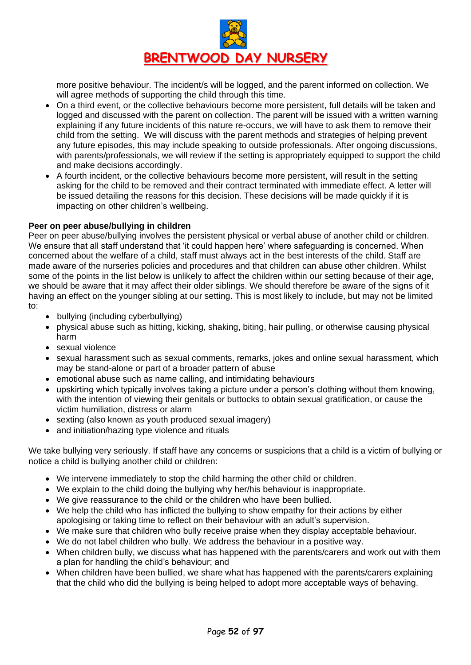

more positive behaviour. The incident/s will be logged, and the parent informed on collection. We will agree methods of supporting the child through this time.

- On a third event, or the collective behaviours become more persistent, full details will be taken and logged and discussed with the parent on collection. The parent will be issued with a written warning explaining if any future incidents of this nature re-occurs, we will have to ask them to remove their child from the setting. We will discuss with the parent methods and strategies of helping prevent any future episodes, this may include speaking to outside professionals. After ongoing discussions, with parents/professionals, we will review if the setting is appropriately equipped to support the child and make decisions accordingly.
- A fourth incident, or the collective behaviours become more persistent, will result in the setting asking for the child to be removed and their contract terminated with immediate effect. A letter will be issued detailing the reasons for this decision. These decisions will be made quickly if it is impacting on other children's wellbeing.

## **Peer on peer abuse/bullying in children**

Peer on peer abuse/bullying involves the persistent physical or verbal abuse of another child or children. We ensure that all staff understand that 'it could happen here' where safeguarding is concerned. When concerned about the welfare of a child, staff must always act in the best interests of the child. Staff are made aware of the nurseries policies and procedures and that children can abuse other children. Whilst some of the points in the list below is unlikely to affect the children within our setting because of their age, we should be aware that it may affect their older siblings. We should therefore be aware of the signs of it having an effect on the younger sibling at our setting. This is most likely to include, but may not be limited to:

- bullying (including cyberbullying)
- physical abuse such as hitting, kicking, shaking, biting, hair pulling, or otherwise causing physical harm
- sexual violence
- sexual harassment such as sexual comments, remarks, jokes and online sexual harassment, which may be stand-alone or part of a broader pattern of abuse
- emotional abuse such as name calling, and intimidating behaviours
- upskirting which typically involves taking a picture under a person's clothing without them knowing, with the intention of viewing their genitals or buttocks to obtain sexual gratification, or cause the victim humiliation, distress or alarm
- sexting (also known as youth produced sexual imagery)
- and initiation/hazing type violence and rituals

We take bullying very seriously. If staff have any concerns or suspicions that a child is a victim of bullying or notice a child is bullying another child or children:

- We intervene immediately to stop the child harming the other child or children.
- We explain to the child doing the bullying why her/his behaviour is inappropriate.
- We give reassurance to the child or the children who have been bullied.
- We help the child who has inflicted the bullying to show empathy for their actions by either apologising or taking time to reflect on their behaviour with an adult's supervision.
- We make sure that children who bully receive praise when they display acceptable behaviour.
- We do not label children who bully. We address the behaviour in a positive way.
- When children bully, we discuss what has happened with the parents/carers and work out with them a plan for handling the child's behaviour; and
- When children have been bullied, we share what has happened with the parents/carers explaining that the child who did the bullying is being helped to adopt more acceptable ways of behaving.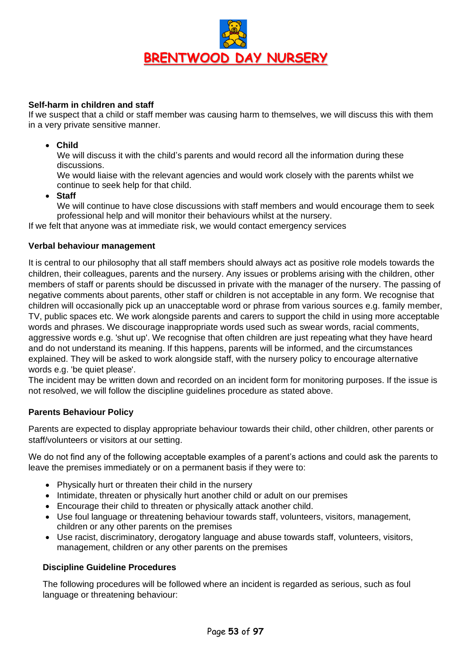

#### **Self-harm in children and staff**

If we suspect that a child or staff member was causing harm to themselves, we will discuss this with them in a very private sensitive manner.

• **Child**

We will discuss it with the child's parents and would record all the information during these discussions.

We would liaise with the relevant agencies and would work closely with the parents whilst we continue to seek help for that child.

• **Staff**

We will continue to have close discussions with staff members and would encourage them to seek professional help and will monitor their behaviours whilst at the nursery.

If we felt that anyone was at immediate risk, we would contact emergency services

#### **Verbal behaviour management**

It is central to our philosophy that all staff members should always act as positive role models towards the children, their colleagues, parents and the nursery. Any issues or problems arising with the children, other members of staff or parents should be discussed in private with the manager of the nursery. The passing of negative comments about parents, other staff or children is not acceptable in any form. We recognise that children will occasionally pick up an unacceptable word or phrase from various sources e.g. family member, TV, public spaces etc. We work alongside parents and carers to support the child in using more acceptable words and phrases. We discourage inappropriate words used such as swear words, racial comments, aggressive words e.g. 'shut up'. We recognise that often children are just repeating what they have heard and do not understand its meaning. If this happens, parents will be informed, and the circumstances explained. They will be asked to work alongside staff, with the nursery policy to encourage alternative words e.g. 'be quiet please'.

The incident may be written down and recorded on an incident form for monitoring purposes. If the issue is not resolved, we will follow the discipline guidelines procedure as stated above.

## **Parents Behaviour Policy**

Parents are expected to display appropriate behaviour towards their child, other children, other parents or staff/volunteers or visitors at our setting.

We do not find any of the following acceptable examples of a parent's actions and could ask the parents to leave the premises immediately or on a permanent basis if they were to:

- Physically hurt or threaten their child in the nursery
- Intimidate, threaten or physically hurt another child or adult on our premises
- Encourage their child to threaten or physically attack another child.
- Use foul language or threatening behaviour towards staff, volunteers, visitors, management, children or any other parents on the premises
- Use racist, discriminatory, derogatory language and abuse towards staff, volunteers, visitors, management, children or any other parents on the premises

#### **Discipline Guideline Procedures**

The following procedures will be followed where an incident is regarded as serious, such as foul language or threatening behaviour: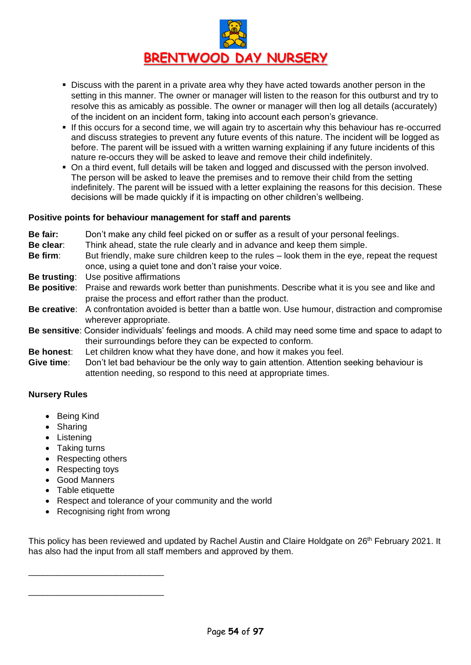

- **•** Discuss with the parent in a private area why they have acted towards another person in the setting in this manner. The owner or manager will listen to the reason for this outburst and try to resolve this as amicably as possible. The owner or manager will then log all details (accurately) of the incident on an incident form, taking into account each person's grievance.
- **.** If this occurs for a second time, we will again try to ascertain why this behaviour has re-occurred and discuss strategies to prevent any future events of this nature. The incident will be logged as before. The parent will be issued with a written warning explaining if any future incidents of this nature re-occurs they will be asked to leave and remove their child indefinitely.
- On a third event, full details will be taken and logged and discussed with the person involved. The person will be asked to leave the premises and to remove their child from the setting indefinitely. The parent will be issued with a letter explaining the reasons for this decision. These decisions will be made quickly if it is impacting on other children's wellbeing.

#### **Positive points for behaviour management for staff and parents**

| Be fair:<br>Be clear:<br>Be firm: | Don't make any child feel picked on or suffer as a result of your personal feelings.<br>Think ahead, state the rule clearly and in advance and keep them simple.<br>But friendly, make sure children keep to the rules – look them in the eye, repeat the request<br>once, using a quiet tone and don't raise your voice. |
|-----------------------------------|---------------------------------------------------------------------------------------------------------------------------------------------------------------------------------------------------------------------------------------------------------------------------------------------------------------------------|
| Be trusting:                      | Use positive affirmations                                                                                                                                                                                                                                                                                                 |
|                                   | Be positive: Praise and rewards work better than punishments. Describe what it is you see and like and<br>praise the process and effort rather than the product.                                                                                                                                                          |
|                                   | Be creative: A confrontation avoided is better than a battle won. Use humour, distraction and compromise<br>wherever appropriate.                                                                                                                                                                                         |
|                                   | Be sensitive: Consider individuals' feelings and moods. A child may need some time and space to adapt to<br>their surroundings before they can be expected to conform.                                                                                                                                                    |
| <b>Be honest:</b>                 | Let children know what they have done, and how it makes you feel.                                                                                                                                                                                                                                                         |
| Give time:                        | Don't let bad behaviour be the only way to gain attention. Attention seeking behaviour is                                                                                                                                                                                                                                 |

## attention needing, so respond to this need at appropriate times.

## **Nursery Rules**

- Being Kind
- Sharing
- Listening
- Taking turns
- Respecting others
- Respecting toys
- Good Manners
- Table etiquette
- Respect and tolerance of your community and the world
- Recognising right from wrong

\_\_\_\_\_\_\_\_\_\_\_\_\_\_\_\_\_\_\_\_\_\_\_\_\_\_\_\_

\_\_\_\_\_\_\_\_\_\_\_\_\_\_\_\_\_\_\_\_\_\_\_\_\_\_\_\_

This policy has been reviewed and updated by Rachel Austin and Claire Holdgate on 26<sup>th</sup> February 2021. It has also had the input from all staff members and approved by them.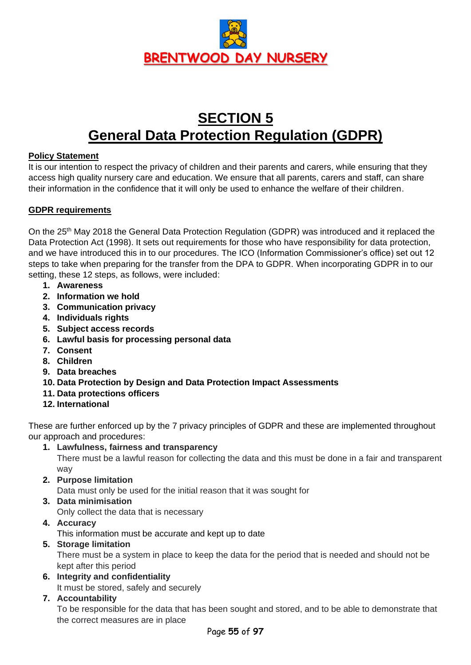

# **SECTION 5 General Data Protection Regulation (GDPR)**

# **Policy Statement**

It is our intention to respect the privacy of children and their parents and carers, while ensuring that they access high quality nursery care and education. We ensure that all parents, carers and staff, can share their information in the confidence that it will only be used to enhance the welfare of their children.

# **GDPR requirements**

On the 25th May 2018 the General Data Protection Regulation (GDPR) was introduced and it replaced the Data Protection Act (1998). It sets out requirements for those who have responsibility for data protection, and we have introduced this in to our procedures. The ICO (Information Commissioner's office) set out 12 steps to take when preparing for the transfer from the DPA to GDPR. When incorporating GDPR in to our setting, these 12 steps, as follows, were included:

- **1. Awareness**
- **2. Information we hold**
- **3. Communication privacy**
- **4. Individuals rights**
- **5. Subject access records**
- **6. Lawful basis for processing personal data**
- **7. Consent**
- **8. Children**
- **9. Data breaches**
- **10. Data Protection by Design and Data Protection Impact Assessments**
- **11. Data protections officers**
- **12. International**

These are further enforced up by the 7 privacy principles of GDPR and these are implemented throughout our approach and procedures:

**1. Lawfulness, fairness and transparency**

There must be a lawful reason for collecting the data and this must be done in a fair and transparent way

**2. Purpose limitation**

Data must only be used for the initial reason that it was sought for

- **3. Data minimisation**
	- Only collect the data that is necessary
- **4. Accuracy**

This information must be accurate and kept up to date

**5. Storage limitation**

There must be a system in place to keep the data for the period that is needed and should not be kept after this period

- **6. Integrity and confidentiality** It must be stored, safely and securely
- **7. Accountability**

To be responsible for the data that has been sought and stored, and to be able to demonstrate that the correct measures are in place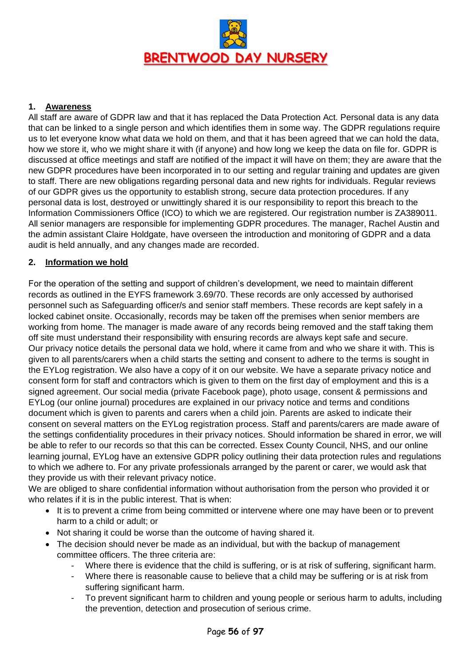

## **1. Awareness**

All staff are aware of GDPR law and that it has replaced the Data Protection Act. Personal data is any data that can be linked to a single person and which identifies them in some way. The GDPR regulations require us to let everyone know what data we hold on them, and that it has been agreed that we can hold the data, how we store it, who we might share it with (if anyone) and how long we keep the data on file for. GDPR is discussed at office meetings and staff are notified of the impact it will have on them; they are aware that the new GDPR procedures have been incorporated in to our setting and regular training and updates are given to staff. There are new obligations regarding personal data and new rights for individuals. Regular reviews of our GDPR gives us the opportunity to establish strong, secure data protection procedures. If any personal data is lost, destroyed or unwittingly shared it is our responsibility to report this breach to the Information Commissioners Office (ICO) to which we are registered. Our registration number is ZA389011. All senior managers are responsible for implementing GDPR procedures. The manager, Rachel Austin and the admin assistant Claire Holdgate, have overseen the introduction and monitoring of GDPR and a data audit is held annually, and any changes made are recorded.

## **2. Information we hold**

For the operation of the setting and support of children's development, we need to maintain different records as outlined in the EYFS framework 3.69/70. These records are only accessed by authorised personnel such as Safeguarding officer/s and senior staff members. These records are kept safely in a locked cabinet onsite. Occasionally, records may be taken off the premises when senior members are working from home. The manager is made aware of any records being removed and the staff taking them off site must understand their responsibility with ensuring records are always kept safe and secure. Our privacy notice details the personal data we hold, where it came from and who we share it with. This is given to all parents/carers when a child starts the setting and consent to adhere to the terms is sought in the EYLog registration. We also have a copy of it on our website. We have a separate privacy notice and consent form for staff and contractors which is given to them on the first day of employment and this is a signed agreement. Our social media (private Facebook page), photo usage, consent & permissions and EYLog (our online journal) procedures are explained in our privacy notice and terms and conditions document which is given to parents and carers when a child join. Parents are asked to indicate their consent on several matters on the EYLog registration process. Staff and parents/carers are made aware of the settings confidentiality procedures in their privacy notices. Should information be shared in error, we will be able to refer to our records so that this can be corrected. Essex County Council, NHS, and our online learning journal, EYLog have an extensive GDPR policy outlining their data protection rules and regulations to which we adhere to. For any private professionals arranged by the parent or carer, we would ask that they provide us with their relevant privacy notice.

We are obliged to share confidential information without authorisation from the person who provided it or who relates if it is in the public interest. That is when:

- It is to prevent a crime from being committed or intervene where one may have been or to prevent harm to a child or adult; or
- Not sharing it could be worse than the outcome of having shared it.
- The decision should never be made as an individual, but with the backup of management committee officers. The three criteria are:
	- Where there is evidence that the child is suffering, or is at risk of suffering, significant harm.
	- Where there is reasonable cause to believe that a child may be suffering or is at risk from suffering significant harm.
	- To prevent significant harm to children and young people or serious harm to adults, including the prevention, detection and prosecution of serious crime.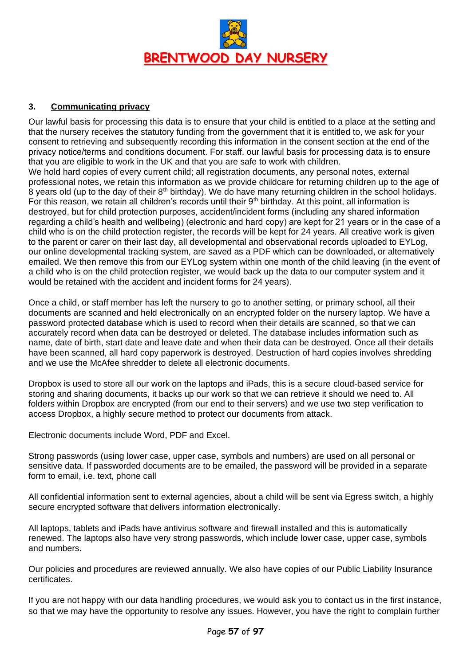

# **3. Communicating privacy**

Our lawful basis for processing this data is to ensure that your child is entitled to a place at the setting and that the nursery receives the statutory funding from the government that it is entitled to, we ask for your consent to retrieving and subsequently recording this information in the consent section at the end of the privacy notice/terms and conditions document. For staff, our lawful basis for processing data is to ensure that you are eligible to work in the UK and that you are safe to work with children.

We hold hard copies of every current child; all registration documents, any personal notes, external professional notes, we retain this information as we provide childcare for returning children up to the age of 8 years old (up to the day of their  $8<sup>th</sup>$  birthday). We do have many returning children in the school holidays. For this reason, we retain all children's records until their 9<sup>th</sup> birthday. At this point, all information is destroyed, but for child protection purposes, accident/incident forms (including any shared information regarding a child's health and wellbeing) (electronic and hard copy) are kept for 21 years or in the case of a child who is on the child protection register, the records will be kept for 24 years. All creative work is given to the parent or carer on their last day, all developmental and observational records uploaded to EYLog, our online developmental tracking system, are saved as a PDF which can be downloaded, or alternatively emailed. We then remove this from our EYLog system within one month of the child leaving (in the event of a child who is on the child protection register, we would back up the data to our computer system and it would be retained with the accident and incident forms for 24 years).

Once a child, or staff member has left the nursery to go to another setting, or primary school, all their documents are scanned and held electronically on an encrypted folder on the nursery laptop. We have a password protected database which is used to record when their details are scanned, so that we can accurately record when data can be destroyed or deleted. The database includes information such as name, date of birth, start date and leave date and when their data can be destroyed. Once all their details have been scanned, all hard copy paperwork is destroyed. Destruction of hard copies involves shredding and we use the McAfee shredder to delete all electronic documents.

Dropbox is used to store all our work on the laptops and iPads, this is a secure cloud-based service for storing and sharing documents, it backs up our work so that we can retrieve it should we need to. All folders within Dropbox are encrypted (from our end to their servers) and we use two step verification to access Dropbox, a highly secure method to protect our documents from attack.

Electronic documents include Word, PDF and Excel.

Strong passwords (using lower case, upper case, symbols and numbers) are used on all personal or sensitive data. If passworded documents are to be emailed, the password will be provided in a separate form to email, i.e. text, phone call

All confidential information sent to external agencies, about a child will be sent via Egress switch, a highly secure encrypted software that delivers information electronically.

All laptops, tablets and iPads have antivirus software and firewall installed and this is automatically renewed. The laptops also have very strong passwords, which include lower case, upper case, symbols and numbers.

Our policies and procedures are reviewed annually. We also have copies of our Public Liability Insurance certificates.

If you are not happy with our data handling procedures, we would ask you to contact us in the first instance, so that we may have the opportunity to resolve any issues. However, you have the right to complain further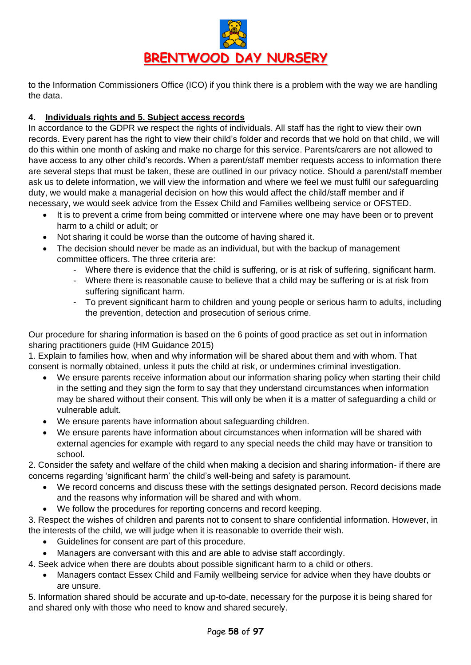

to the Information Commissioners Office (ICO) if you think there is a problem with the way we are handling the data.

# **4. Individuals rights and 5. Subject access records**

In accordance to the GDPR we respect the rights of individuals. All staff has the right to view their own records. Every parent has the right to view their child's folder and records that we hold on that child, we will do this within one month of asking and make no charge for this service. Parents/carers are not allowed to have access to any other child's records. When a parent/staff member requests access to information there are several steps that must be taken, these are outlined in our privacy notice. Should a parent/staff member ask us to delete information, we will view the information and where we feel we must fulfil our safeguarding duty, we would make a managerial decision on how this would affect the child/staff member and if necessary, we would seek advice from the Essex Child and Families wellbeing service or OFSTED.

- It is to prevent a crime from being committed or intervene where one may have been or to prevent harm to a child or adult; or
- Not sharing it could be worse than the outcome of having shared it.
- The decision should never be made as an individual, but with the backup of management committee officers. The three criteria are:
	- Where there is evidence that the child is suffering, or is at risk of suffering, significant harm.
	- Where there is reasonable cause to believe that a child may be suffering or is at risk from suffering significant harm.
	- To prevent significant harm to children and young people or serious harm to adults, including the prevention, detection and prosecution of serious crime.

Our procedure for sharing information is based on the 6 points of good practice as set out in information sharing practitioners guide (HM Guidance 2015)

1. Explain to families how, when and why information will be shared about them and with whom. That consent is normally obtained, unless it puts the child at risk, or undermines criminal investigation.

- We ensure parents receive information about our information sharing policy when starting their child in the setting and they sign the form to say that they understand circumstances when information may be shared without their consent. This will only be when it is a matter of safeguarding a child or vulnerable adult.
- We ensure parents have information about safeguarding children.
- We ensure parents have information about circumstances when information will be shared with external agencies for example with regard to any special needs the child may have or transition to school.

2. Consider the safety and welfare of the child when making a decision and sharing information- if there are concerns regarding 'significant harm' the child's well-being and safety is paramount.

- We record concerns and discuss these with the settings designated person. Record decisions made and the reasons why information will be shared and with whom.
- We follow the procedures for reporting concerns and record keeping.

3. Respect the wishes of children and parents not to consent to share confidential information. However, in the interests of the child, we will judge when it is reasonable to override their wish.

- Guidelines for consent are part of this procedure.
- Managers are conversant with this and are able to advise staff accordingly.
- 4. Seek advice when there are doubts about possible significant harm to a child or others.
	- Managers contact Essex Child and Family wellbeing service for advice when they have doubts or are unsure.

5. Information shared should be accurate and up-to-date, necessary for the purpose it is being shared for and shared only with those who need to know and shared securely.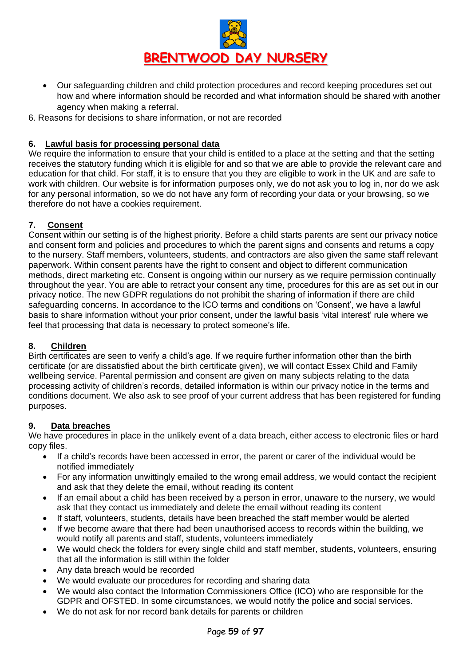

- Our safeguarding children and child protection procedures and record keeping procedures set out how and where information should be recorded and what information should be shared with another agency when making a referral.
- 6. Reasons for decisions to share information, or not are recorded

# **6. Lawful basis for processing personal data**

We require the information to ensure that your child is entitled to a place at the setting and that the setting receives the statutory funding which it is eligible for and so that we are able to provide the relevant care and education for that child. For staff, it is to ensure that you they are eligible to work in the UK and are safe to work with children. Our website is for information purposes only, we do not ask you to log in, nor do we ask for any personal information, so we do not have any form of recording your data or your browsing, so we therefore do not have a cookies requirement.

# **7. Consent**

Consent within our setting is of the highest priority. Before a child starts parents are sent our privacy notice and consent form and policies and procedures to which the parent signs and consents and returns a copy to the nursery. Staff members, volunteers, students, and contractors are also given the same staff relevant paperwork. Within consent parents have the right to consent and object to different communication methods, direct marketing etc. Consent is ongoing within our nursery as we require permission continually throughout the year. You are able to retract your consent any time, procedures for this are as set out in our privacy notice. The new GDPR regulations do not prohibit the sharing of information if there are child safeguarding concerns. In accordance to the ICO terms and conditions on 'Consent', we have a lawful basis to share information without your prior consent, under the lawful basis 'vital interest' rule where we feel that processing that data is necessary to protect someone's life.

## **8. Children**

Birth certificates are seen to verify a child's age. If we require further information other than the birth certificate (or are dissatisfied about the birth certificate given), we will contact Essex Child and Family wellbeing service. Parental permission and consent are given on many subjects relating to the data processing activity of children's records, detailed information is within our privacy notice in the terms and conditions document. We also ask to see proof of your current address that has been registered for funding purposes.

## **9. Data breaches**

We have procedures in place in the unlikely event of a data breach, either access to electronic files or hard copy files.

- If a child's records have been accessed in error, the parent or carer of the individual would be notified immediately
- For any information unwittingly emailed to the wrong email address, we would contact the recipient and ask that they delete the email, without reading its content
- If an email about a child has been received by a person in error, unaware to the nursery, we would ask that they contact us immediately and delete the email without reading its content
- If staff, volunteers, students, details have been breached the staff member would be alerted
- If we become aware that there had been unauthorised access to records within the building, we would notify all parents and staff, students, volunteers immediately
- We would check the folders for every single child and staff member, students, volunteers, ensuring that all the information is still within the folder
- Any data breach would be recorded
- We would evaluate our procedures for recording and sharing data
- We would also contact the Information Commissioners Office (ICO) who are responsible for the GDPR and OFSTED. In some circumstances, we would notify the police and social services.
- We do not ask for nor record bank details for parents or children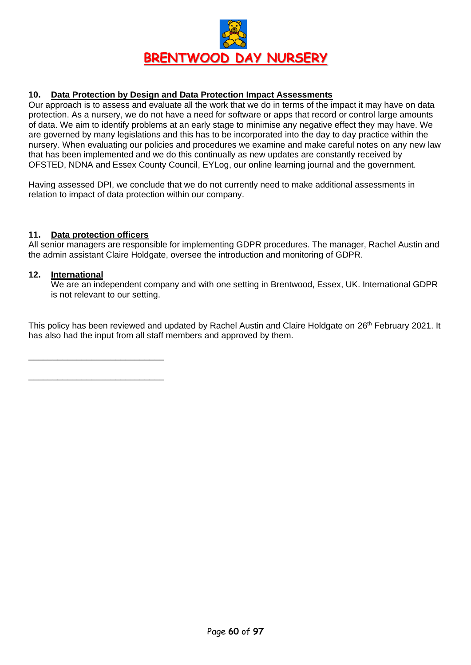

# **10. Data Protection by Design and Data Protection Impact Assessments**

Our approach is to assess and evaluate all the work that we do in terms of the impact it may have on data protection. As a nursery, we do not have a need for software or apps that record or control large amounts of data. We aim to identify problems at an early stage to minimise any negative effect they may have. We are governed by many legislations and this has to be incorporated into the day to day practice within the nursery. When evaluating our policies and procedures we examine and make careful notes on any new law that has been implemented and we do this continually as new updates are constantly received by OFSTED, NDNA and Essex County Council, EYLog, our online learning journal and the government.

Having assessed DPI, we conclude that we do not currently need to make additional assessments in relation to impact of data protection within our company.

#### **11. Data protection officers**

\_\_\_\_\_\_\_\_\_\_\_\_\_\_\_\_\_\_\_\_\_\_\_\_\_\_\_\_

\_\_\_\_\_\_\_\_\_\_\_\_\_\_\_\_\_\_\_\_\_\_\_\_\_\_\_\_

All senior managers are responsible for implementing GDPR procedures. The manager, Rachel Austin and the admin assistant Claire Holdgate, oversee the introduction and monitoring of GDPR.

#### **12. International**

We are an independent company and with one setting in Brentwood, Essex, UK. International GDPR is not relevant to our setting.

This policy has been reviewed and updated by Rachel Austin and Claire Holdgate on 26<sup>th</sup> February 2021. It has also had the input from all staff members and approved by them.

Page **60** of **97**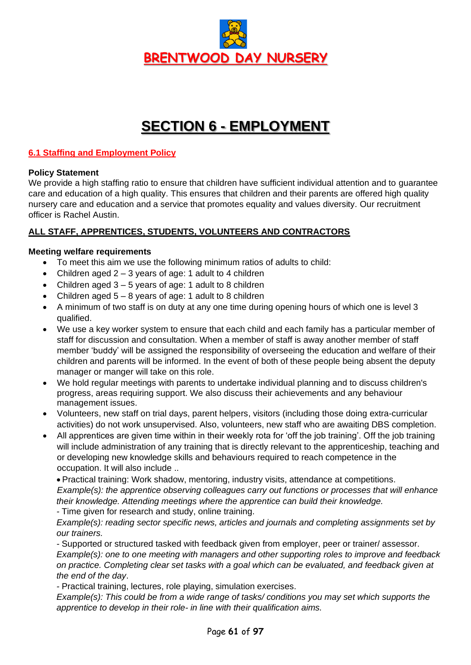

# **SECTION 6 - EMPLOYMENT**

# **6.1 Staffing and Employment Policy**

## **Policy Statement**

We provide a high staffing ratio to ensure that children have sufficient individual attention and to guarantee care and education of a high quality. This ensures that children and their parents are offered high quality nursery care and education and a service that promotes equality and values diversity. Our recruitment officer is Rachel Austin.

# **ALL STAFF, APPRENTICES, STUDENTS, VOLUNTEERS AND CONTRACTORS**

## **Meeting welfare requirements**

- To meet this aim we use the following minimum ratios of adults to child:
- Children aged  $2 3$  years of age: 1 adult to 4 children
- Children aged  $3 5$  years of age: 1 adult to 8 children
- Children aged  $5 8$  years of age: 1 adult to 8 children
- A minimum of two staff is on duty at any one time during opening hours of which one is level 3 qualified.
- We use a key worker system to ensure that each child and each family has a particular member of staff for discussion and consultation. When a member of staff is away another member of staff member 'buddy' will be assigned the responsibility of overseeing the education and welfare of their children and parents will be informed. In the event of both of these people being absent the deputy manager or manger will take on this role.
- We hold regular meetings with parents to undertake individual planning and to discuss children's progress, areas requiring support. We also discuss their achievements and any behaviour management issues.
- Volunteers, new staff on trial days, parent helpers, visitors (including those doing extra-curricular activities) do not work unsupervised. Also, volunteers, new staff who are awaiting DBS completion.
- All apprentices are given time within in their weekly rota for 'off the job training'. Off the job training will include administration of any training that is directly relevant to the apprenticeship, teaching and or developing new knowledge skills and behaviours required to reach competence in the occupation. It will also include ..

• Practical training: Work shadow, mentoring, industry visits, attendance at competitions. *Example(s): the apprentice observing colleagues carry out functions or processes that will enhance their knowledge. Attending meetings where the apprentice can build their knowledge. -* Time given for research and study, online training.

*Example(s): reading sector specific news, articles and journals and completing assignments set by our trainers.* 

*-* Supported or structured tasked with feedback given from employer, peer or trainer/ assessor. *Example(s): one to one meeting with managers and other supporting roles to improve and feedback on practice. Completing clear set tasks with a goal which can be evaluated, and feedback given at the end of the day*.

*-* Practical training, lectures, role playing, simulation exercises.

*Example(s): This could be from a wide range of tasks/ conditions you may set which supports the apprentice to develop in their role- in line with their qualification aims.*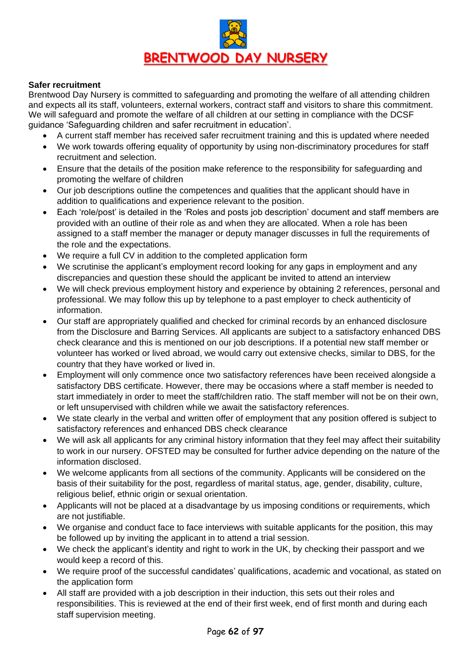

## **Safer recruitment**

Brentwood Day Nursery is committed to safeguarding and promoting the welfare of all attending children and expects all its staff, volunteers, external workers, contract staff and visitors to share this commitment. We will safeguard and promote the welfare of all children at our setting in compliance with the DCSF guidance 'Safeguarding children and safer recruitment in education'.

- A current staff member has received safer recruitment training and this is updated where needed
- We work towards offering equality of opportunity by using non-discriminatory procedures for staff recruitment and selection.
- Ensure that the details of the position make reference to the responsibility for safeguarding and promoting the welfare of children
- Our job descriptions outline the competences and qualities that the applicant should have in addition to qualifications and experience relevant to the position.
- Each 'role/post' is detailed in the 'Roles and posts job description' document and staff members are provided with an outline of their role as and when they are allocated. When a role has been assigned to a staff member the manager or deputy manager discusses in full the requirements of the role and the expectations.
- We require a full CV in addition to the completed application form
- We scrutinise the applicant's employment record looking for any gaps in employment and any discrepancies and question these should the applicant be invited to attend an interview
- We will check previous employment history and experience by obtaining 2 references, personal and professional. We may follow this up by telephone to a past employer to check authenticity of information.
- Our staff are appropriately qualified and checked for criminal records by an enhanced disclosure from the Disclosure and Barring Services. All applicants are subject to a satisfactory enhanced DBS check clearance and this is mentioned on our job descriptions. If a potential new staff member or volunteer has worked or lived abroad, we would carry out extensive checks, similar to DBS, for the country that they have worked or lived in.
- Employment will only commence once two satisfactory references have been received alongside a satisfactory DBS certificate. However, there may be occasions where a staff member is needed to start immediately in order to meet the staff/children ratio. The staff member will not be on their own, or left unsupervised with children while we await the satisfactory references.
- We state clearly in the verbal and written offer of employment that any position offered is subject to satisfactory references and enhanced DBS check clearance
- We will ask all applicants for any criminal history information that they feel may affect their suitability to work in our nursery. OFSTED may be consulted for further advice depending on the nature of the information disclosed.
- We welcome applicants from all sections of the community. Applicants will be considered on the basis of their suitability for the post, regardless of marital status, age, gender, disability, culture, religious belief, ethnic origin or sexual orientation.
- Applicants will not be placed at a disadvantage by us imposing conditions or requirements, which are not justifiable.
- We organise and conduct face to face interviews with suitable applicants for the position, this may be followed up by inviting the applicant in to attend a trial session.
- We check the applicant's identity and right to work in the UK, by checking their passport and we would keep a record of this.
- We require proof of the successful candidates' qualifications, academic and vocational, as stated on the application form
- All staff are provided with a job description in their induction, this sets out their roles and responsibilities. This is reviewed at the end of their first week, end of first month and during each staff supervision meeting.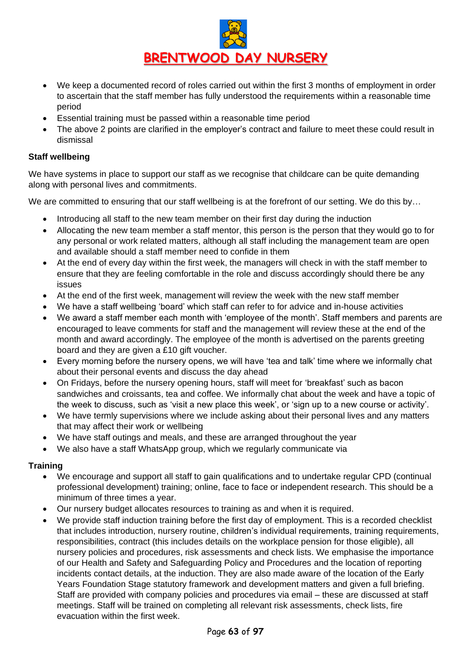

- We keep a documented record of roles carried out within the first 3 months of employment in order to ascertain that the staff member has fully understood the requirements within a reasonable time period
- Essential training must be passed within a reasonable time period
- The above 2 points are clarified in the employer's contract and failure to meet these could result in dismissal

## **Staff wellbeing**

We have systems in place to support our staff as we recognise that childcare can be quite demanding along with personal lives and commitments.

We are committed to ensuring that our staff wellbeing is at the forefront of our setting. We do this by...

- Introducing all staff to the new team member on their first day during the induction
- Allocating the new team member a staff mentor, this person is the person that they would go to for any personal or work related matters, although all staff including the management team are open and available should a staff member need to confide in them
- At the end of every day within the first week, the managers will check in with the staff member to ensure that they are feeling comfortable in the role and discuss accordingly should there be any issues
- At the end of the first week, management will review the week with the new staff member
- We have a staff wellbeing 'board' which staff can refer to for advice and in-house activities
- We award a staff member each month with 'employee of the month'. Staff members and parents are encouraged to leave comments for staff and the management will review these at the end of the month and award accordingly. The employee of the month is advertised on the parents greeting board and they are given a £10 gift voucher.
- Every morning before the nursery opens, we will have 'tea and talk' time where we informally chat about their personal events and discuss the day ahead
- On Fridays, before the nursery opening hours, staff will meet for 'breakfast' such as bacon sandwiches and croissants, tea and coffee. We informally chat about the week and have a topic of the week to discuss, such as 'visit a new place this week', or 'sign up to a new course or activity'.
- We have termly supervisions where we include asking about their personal lives and any matters that may affect their work or wellbeing
- We have staff outings and meals, and these are arranged throughout the year
- We also have a staff WhatsApp group, which we regularly communicate via

# **Training**

- We encourage and support all staff to gain qualifications and to undertake regular CPD (continual professional development) training; online, face to face or independent research. This should be a minimum of three times a year.
- Our nursery budget allocates resources to training as and when it is required.
- We provide staff induction training before the first day of employment. This is a recorded checklist that includes introduction, nursery routine, children's individual requirements, training requirements, responsibilities, contract (this includes details on the workplace pension for those eligible), all nursery policies and procedures, risk assessments and check lists. We emphasise the importance of our Health and Safety and Safeguarding Policy and Procedures and the location of reporting incidents contact details, at the induction. They are also made aware of the location of the Early Years Foundation Stage statutory framework and development matters and given a full briefing. Staff are provided with company policies and procedures via email – these are discussed at staff meetings. Staff will be trained on completing all relevant risk assessments, check lists, fire evacuation within the first week.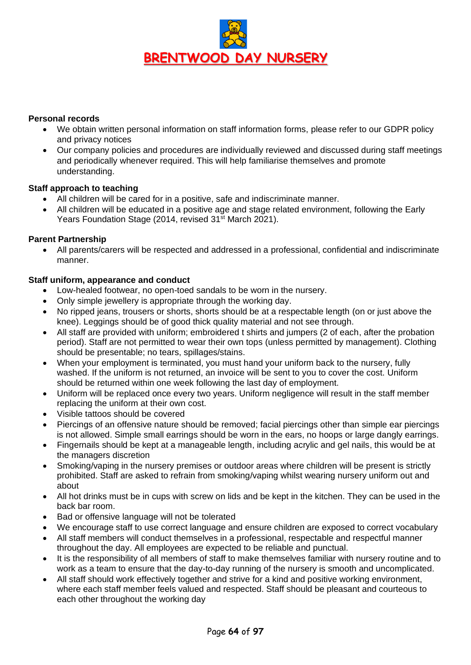

## **Personal records**

- We obtain written personal information on staff information forms, please refer to our GDPR policy and privacy notices
- Our company policies and procedures are individually reviewed and discussed during staff meetings and periodically whenever required. This will help familiarise themselves and promote understanding.

## **Staff approach to teaching**

- All children will be cared for in a positive, safe and indiscriminate manner.
- All children will be educated in a positive age and stage related environment, following the Early Years Foundation Stage (2014, revised 31<sup>st</sup> March 2021).

## **Parent Partnership**

• All parents/carers will be respected and addressed in a professional, confidential and indiscriminate manner.

#### **Staff uniform, appearance and conduct**

- Low-healed footwear, no open-toed sandals to be worn in the nursery.
- Only simple jewellery is appropriate through the working day.
- No ripped jeans, trousers or shorts, shorts should be at a respectable length (on or just above the knee). Leggings should be of good thick quality material and not see through.
- All staff are provided with uniform; embroidered t shirts and jumpers (2 of each, after the probation period). Staff are not permitted to wear their own tops (unless permitted by management). Clothing should be presentable; no tears, spillages/stains.
- When your employment is terminated, you must hand your uniform back to the nursery, fully washed. If the uniform is not returned, an invoice will be sent to you to cover the cost. Uniform should be returned within one week following the last day of employment.
- Uniform will be replaced once every two years. Uniform negligence will result in the staff member replacing the uniform at their own cost.
- Visible tattoos should be covered
- Piercings of an offensive nature should be removed; facial piercings other than simple ear piercings is not allowed. Simple small earrings should be worn in the ears, no hoops or large dangly earrings.
- Fingernails should be kept at a manageable length, including acrylic and gel nails, this would be at the managers discretion
- Smoking/vaping in the nursery premises or outdoor areas where children will be present is strictly prohibited. Staff are asked to refrain from smoking/vaping whilst wearing nursery uniform out and about
- All hot drinks must be in cups with screw on lids and be kept in the kitchen. They can be used in the back bar room.
- Bad or offensive language will not be tolerated
- We encourage staff to use correct language and ensure children are exposed to correct vocabulary
- All staff members will conduct themselves in a professional, respectable and respectful manner throughout the day. All employees are expected to be reliable and punctual.
- It is the responsibility of all members of staff to make themselves familiar with nursery routine and to work as a team to ensure that the day-to-day running of the nursery is smooth and uncomplicated.
- All staff should work effectively together and strive for a kind and positive working environment, where each staff member feels valued and respected. Staff should be pleasant and courteous to each other throughout the working day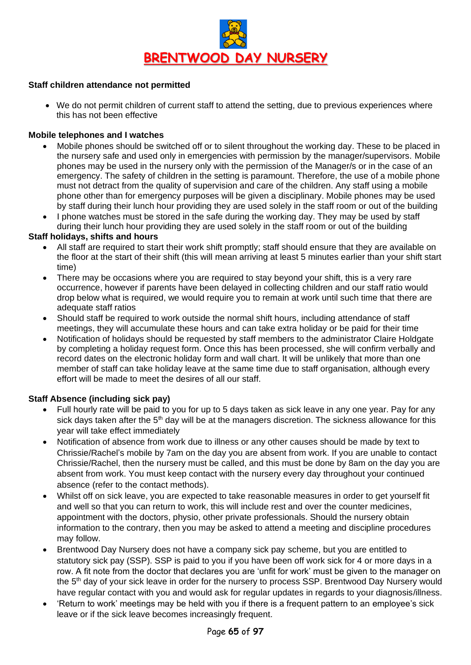

#### **Staff children attendance not permitted**

• We do not permit children of current staff to attend the setting, due to previous experiences where this has not been effective

## **Mobile telephones and I watches**

- Mobile phones should be switched off or to silent throughout the working day. These to be placed in the nursery safe and used only in emergencies with permission by the manager/supervisors. Mobile phones may be used in the nursery only with the permission of the Manager/s or in the case of an emergency. The safety of children in the setting is paramount. Therefore, the use of a mobile phone must not detract from the quality of supervision and care of the children. Any staff using a mobile phone other than for emergency purposes will be given a disciplinary. Mobile phones may be used by staff during their lunch hour providing they are used solely in the staff room or out of the building
- I phone watches must be stored in the safe during the working day. They may be used by staff during their lunch hour providing they are used solely in the staff room or out of the building

#### **Staff holidays, shifts and hours**

- All staff are required to start their work shift promptly; staff should ensure that they are available on the floor at the start of their shift (this will mean arriving at least 5 minutes earlier than your shift start time)
- There may be occasions where you are required to stay beyond your shift, this is a very rare occurrence, however if parents have been delayed in collecting children and our staff ratio would drop below what is required, we would require you to remain at work until such time that there are adequate staff ratios
- Should staff be required to work outside the normal shift hours, including attendance of staff meetings, they will accumulate these hours and can take extra holiday or be paid for their time
- Notification of holidays should be requested by staff members to the administrator Claire Holdgate by completing a holiday request form. Once this has been processed, she will confirm verbally and record dates on the electronic holiday form and wall chart. It will be unlikely that more than one member of staff can take holiday leave at the same time due to staff organisation, although every effort will be made to meet the desires of all our staff.

## **Staff Absence (including sick pay)**

- Full hourly rate will be paid to you for up to 5 days taken as sick leave in any one year. Pay for any sick days taken after the 5<sup>th</sup> day will be at the managers discretion. The sickness allowance for this year will take effect immediately
- Notification of absence from work due to illness or any other causes should be made by text to Chrissie/Rachel's mobile by 7am on the day you are absent from work. If you are unable to contact Chrissie/Rachel, then the nursery must be called, and this must be done by 8am on the day you are absent from work. You must keep contact with the nursery every day throughout your continued absence (refer to the contact methods).
- Whilst off on sick leave, you are expected to take reasonable measures in order to get yourself fit and well so that you can return to work, this will include rest and over the counter medicines, appointment with the doctors, physio, other private professionals. Should the nursery obtain information to the contrary, then you may be asked to attend a meeting and discipline procedures may follow.
- Brentwood Day Nursery does not have a company sick pay scheme, but you are entitled to statutory sick pay (SSP). SSP is paid to you if you have been off work sick for 4 or more days in a row. A fit note from the doctor that declares you are 'unfit for work' must be given to the manager on the 5<sup>th</sup> day of your sick leave in order for the nursery to process SSP. Brentwood Day Nursery would have regular contact with you and would ask for regular updates in regards to your diagnosis/illness.
- 'Return to work' meetings may be held with you if there is a frequent pattern to an employee's sick leave or if the sick leave becomes increasingly frequent.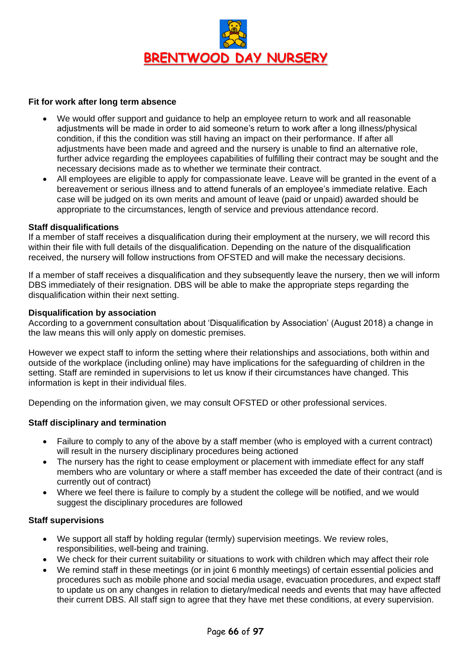

#### **Fit for work after long term absence**

- We would offer support and guidance to help an employee return to work and all reasonable adjustments will be made in order to aid someone's return to work after a long illness/physical condition, if this the condition was still having an impact on their performance. If after all adjustments have been made and agreed and the nursery is unable to find an alternative role, further advice regarding the employees capabilities of fulfilling their contract may be sought and the necessary decisions made as to whether we terminate their contract.
- All employees are eligible to apply for compassionate leave. Leave will be granted in the event of a bereavement or serious illness and to attend funerals of an employee's immediate relative. Each case will be judged on its own merits and amount of leave (paid or unpaid) awarded should be appropriate to the circumstances, length of service and previous attendance record.

#### **Staff disqualifications**

If a member of staff receives a disqualification during their employment at the nursery, we will record this within their file with full details of the disqualification. Depending on the nature of the disqualification received, the nursery will follow instructions from OFSTED and will make the necessary decisions.

If a member of staff receives a disqualification and they subsequently leave the nursery, then we will inform DBS immediately of their resignation. DBS will be able to make the appropriate steps regarding the disqualification within their next setting.

#### **Disqualification by association**

According to a government consultation about 'Disqualification by Association' (August 2018) a change in the law means this will only apply on domestic premises.

However we expect staff to inform the setting where their relationships and associations, both within and outside of the workplace (including online) may have implications for the safeguarding of children in the setting. Staff are reminded in supervisions to let us know if their circumstances have changed. This information is kept in their individual files.

Depending on the information given, we may consult OFSTED or other professional services.

## **Staff disciplinary and termination**

- Failure to comply to any of the above by a staff member (who is employed with a current contract) will result in the nursery disciplinary procedures being actioned
- The nursery has the right to cease employment or placement with immediate effect for any staff members who are voluntary or where a staff member has exceeded the date of their contract (and is currently out of contract)
- Where we feel there is failure to comply by a student the college will be notified, and we would suggest the disciplinary procedures are followed

#### **Staff supervisions**

- We support all staff by holding regular (termly) supervision meetings. We review roles, responsibilities, well-being and training.
- We check for their current suitability or situations to work with children which may affect their role
- We remind staff in these meetings (or in joint 6 monthly meetings) of certain essential policies and procedures such as mobile phone and social media usage, evacuation procedures, and expect staff to update us on any changes in relation to dietary/medical needs and events that may have affected their current DBS. All staff sign to agree that they have met these conditions, at every supervision.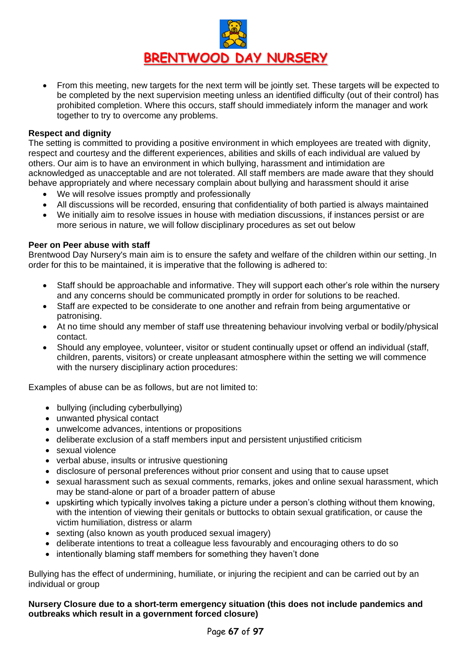

• From this meeting, new targets for the next term will be jointly set. These targets will be expected to be completed by the next supervision meeting unless an identified difficulty (out of their control) has prohibited completion. Where this occurs, staff should immediately inform the manager and work together to try to overcome any problems.

#### **Respect and dignity**

The setting is committed to providing a positive environment in which employees are treated with dignity, respect and courtesy and the different experiences, abilities and skills of each individual are valued by others. Our aim is to have an environment in which bullying, harassment and intimidation are acknowledged as unacceptable and are not tolerated. All staff members are made aware that they should behave appropriately and where necessary complain about bullying and harassment should it arise

- We will resolve issues promptly and professionally
- All discussions will be recorded, ensuring that confidentiality of both partied is always maintained
- We initially aim to resolve issues in house with mediation discussions, if instances persist or are more serious in nature, we will follow disciplinary procedures as set out below

#### **Peer on Peer abuse with staff**

Brentwood Day Nursery's main aim is to ensure the safety and welfare of the children within our setting. In order for this to be maintained, it is imperative that the following is adhered to:

- Staff should be approachable and informative. They will support each other's role within the nursery and any concerns should be communicated promptly in order for solutions to be reached.
- Staff are expected to be considerate to one another and refrain from being argumentative or patronising.
- At no time should any member of staff use threatening behaviour involving verbal or bodily/physical contact.
- Should any employee, volunteer, visitor or student continually upset or offend an individual (staff, children, parents, visitors) or create unpleasant atmosphere within the setting we will commence with the nursery disciplinary action procedures:

Examples of abuse can be as follows, but are not limited to:

- bullying (including cyberbullying)
- unwanted physical contact
- unwelcome advances, intentions or propositions
- deliberate exclusion of a staff members input and persistent unjustified criticism
- sexual violence
- verbal abuse, insults or intrusive questioning
- disclosure of personal preferences without prior consent and using that to cause upset
- sexual harassment such as sexual comments, remarks, jokes and online sexual harassment, which may be stand-alone or part of a broader pattern of abuse
- upskirting which typically involves taking a picture under a person's clothing without them knowing, with the intention of viewing their genitals or buttocks to obtain sexual gratification, or cause the victim humiliation, distress or alarm
- sexting (also known as youth produced sexual imagery)
- deliberate intentions to treat a colleague less favourably and encouraging others to do so
- intentionally blaming staff members for something they haven't done

Bullying has the effect of undermining, humiliate, or injuring the recipient and can be carried out by an individual or group

**Nursery Closure due to a short-term emergency situation (this does not include pandemics and outbreaks which result in a government forced closure)**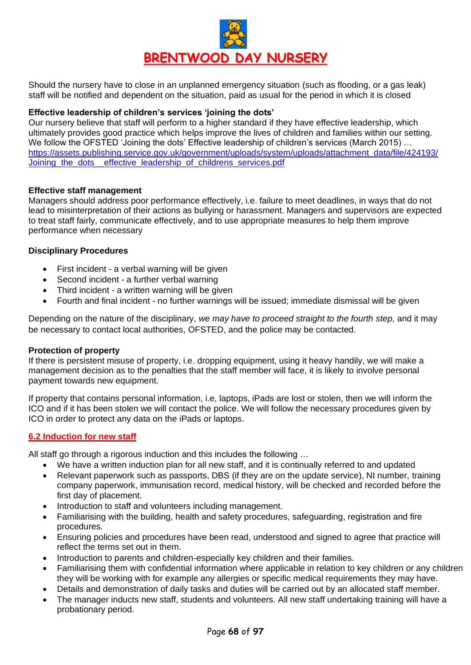

Should the nursery have to close in an unplanned emergency situation (such as flooding, or a gas leak) staff will be notified and dependent on the situation, paid as usual for the period in which it is closed

#### **Effective leadership of children's services 'joining the dots'**

Our nursery believe that staff will perform to a higher standard if they have effective leadership, which ultimately provides good practice which helps improve the lives of children and families within our setting. We follow the OFSTED 'Joining the dots' Effective leadership of children's services (March 2015) … [https://assets.publishing.service.gov.uk/government/uploads/system/uploads/attachment\\_data/file/424193/](https://assets.publishing.service.gov.uk/government/uploads/system/uploads/attachment_data/file/424193/Joining_the_dots__effective_leadership_of_childrens_services.pdf) Joining the dots effective leadership of childrens services.pdf

#### **Effective staff management**

Managers should address poor performance effectively, i.e. failure to meet deadlines, in ways that do not lead to misinterpretation of their actions as bullying or harassment. Managers and supervisors are expected to treat staff fairly, communicate effectively, and to use appropriate measures to help them improve performance when necessary

#### **Disciplinary Procedures**

- First incident a verbal warning will be given
- Second incident a further verbal warning
- Third incident a written warning will be given
- Fourth and final incident no further warnings will be issued; immediate dismissal will be given

Depending on the nature of the disciplinary, *we may have to proceed straight to the fourth step,* and it may be necessary to contact local authorities, OFSTED, and the police may be contacted.

#### **Protection of property**

If there is persistent misuse of property, i.e. dropping equipment, using it heavy handily, we will make a management decision as to the penalties that the staff member will face, it is likely to involve personal payment towards new equipment.

If property that contains personal information, i.e, laptops, iPads are lost or stolen, then we will inform the ICO and if it has been stolen we will contact the police. We will follow the necessary procedures given by ICO in order to protect any data on the iPads or laptops.

## **6.2 Induction for new staff**

All staff go through a rigorous induction and this includes the following …

- We have a written induction plan for all new staff, and it is continually referred to and updated
- Relevant paperwork such as passports, DBS (if they are on the update service), NI number, training company paperwork, immunisation record, medical history, will be checked and recorded before the first day of placement.
- Introduction to staff and volunteers including management.
- Familiarising with the building, health and safety procedures, safeguarding, registration and fire procedures.
- Ensuring policies and procedures have been read, understood and signed to agree that practice will reflect the terms set out in them.
- Introduction to parents and children-especially key children and their families.
- Familiarising them with confidential information where applicable in relation to key children or any children they will be working with for example any allergies or specific medical requirements they may have.
- Details and demonstration of daily tasks and duties will be carried out by an allocated staff member.
- The manager inducts new staff, students and volunteers. All new staff undertaking training will have a probationary period.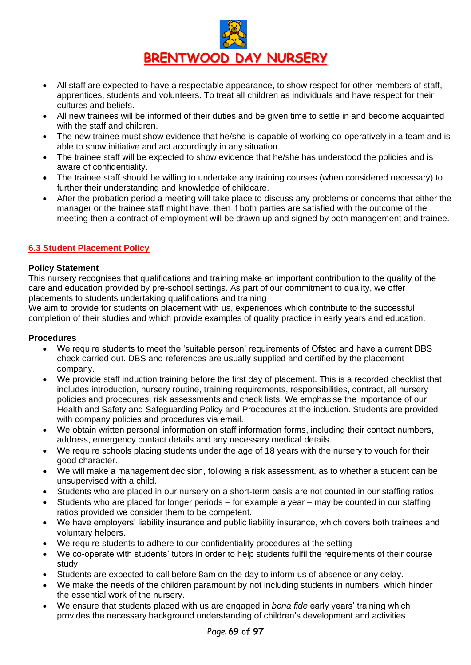

- All staff are expected to have a respectable appearance, to show respect for other members of staff, apprentices, students and volunteers. To treat all children as individuals and have respect for their cultures and beliefs.
- All new trainees will be informed of their duties and be given time to settle in and become acquainted with the staff and children.
- The new trainee must show evidence that he/she is capable of working co-operatively in a team and is able to show initiative and act accordingly in any situation.
- The trainee staff will be expected to show evidence that he/she has understood the policies and is aware of confidentiality.
- The trainee staff should be willing to undertake any training courses (when considered necessary) to further their understanding and knowledge of childcare.
- After the probation period a meeting will take place to discuss any problems or concerns that either the manager or the trainee staff might have, then if both parties are satisfied with the outcome of the meeting then a contract of employment will be drawn up and signed by both management and trainee.

# **6.3 Student Placement Policy**

#### **Policy Statement**

This nursery recognises that qualifications and training make an important contribution to the quality of the care and education provided by pre-school settings. As part of our commitment to quality, we offer placements to students undertaking qualifications and training

We aim to provide for students on placement with us, experiences which contribute to the successful completion of their studies and which provide examples of quality practice in early years and education.

#### **Procedures**

- We require students to meet the 'suitable person' requirements of Ofsted and have a current DBS check carried out. DBS and references are usually supplied and certified by the placement company.
- We provide staff induction training before the first day of placement. This is a recorded checklist that includes introduction, nursery routine, training requirements, responsibilities, contract, all nursery policies and procedures, risk assessments and check lists. We emphasise the importance of our Health and Safety and Safeguarding Policy and Procedures at the induction. Students are provided with company policies and procedures via email.
- We obtain written personal information on staff information forms, including their contact numbers, address, emergency contact details and any necessary medical details.
- We require schools placing students under the age of 18 years with the nursery to vouch for their good character.
- We will make a management decision, following a risk assessment, as to whether a student can be unsupervised with a child.
- Students who are placed in our nursery on a short-term basis are not counted in our staffing ratios.
- Students who are placed for longer periods for example a year may be counted in our staffing ratios provided we consider them to be competent.
- We have employers' liability insurance and public liability insurance, which covers both trainees and voluntary helpers.
- We require students to adhere to our confidentiality procedures at the setting
- We co-operate with students' tutors in order to help students fulfil the requirements of their course study.
- Students are expected to call before 8am on the day to inform us of absence or any delay.
- We make the needs of the children paramount by not including students in numbers, which hinder the essential work of the nursery.
- We ensure that students placed with us are engaged in *bona fide* early years' training which provides the necessary background understanding of children's development and activities.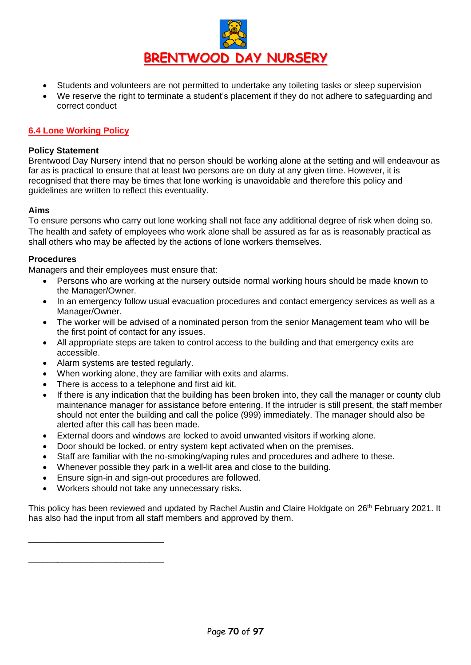

- Students and volunteers are not permitted to undertake any toileting tasks or sleep supervision
- We reserve the right to terminate a student's placement if they do not adhere to safeguarding and correct conduct

## **6.4 Lone Working Policy**

#### **Policy Statement**

Brentwood Day Nursery intend that no person should be working alone at the setting and will endeavour as far as is practical to ensure that at least two persons are on duty at any given time. However, it is recognised that there may be times that lone working is unavoidable and therefore this policy and guidelines are written to reflect this eventuality.

## **Aims**

To ensure persons who carry out lone working shall not face any additional degree of risk when doing so. The health and safety of employees who work alone shall be assured as far as is reasonably practical as shall others who may be affected by the actions of lone workers themselves.

#### **Procedures**

Managers and their employees must ensure that:

- Persons who are working at the nursery outside normal working hours should be made known to the Manager/Owner.
- In an emergency follow usual evacuation procedures and contact emergency services as well as a Manager/Owner.
- The worker will be advised of a nominated person from the senior Management team who will be the first point of contact for any issues.
- All appropriate steps are taken to control access to the building and that emergency exits are accessible.
- Alarm systems are tested regularly.
- When working alone, they are familiar with exits and alarms.
- There is access to a telephone and first aid kit.
- If there is any indication that the building has been broken into, they call the manager or county club maintenance manager for assistance before entering. If the intruder is still present, the staff member should not enter the building and call the police (999) immediately. The manager should also be alerted after this call has been made.
- External doors and windows are locked to avoid unwanted visitors if working alone.
- Door should be locked, or entry system kept activated when on the premises.
- Staff are familiar with the no-smoking/vaping rules and procedures and adhere to these.
- Whenever possible they park in a well-lit area and close to the building.
- Ensure sign-in and sign-out procedures are followed.
- Workers should not take any unnecessary risks.

\_\_\_\_\_\_\_\_\_\_\_\_\_\_\_\_\_\_\_\_\_\_\_\_\_\_\_\_

\_\_\_\_\_\_\_\_\_\_\_\_\_\_\_\_\_\_\_\_\_\_\_\_\_\_\_\_

This policy has been reviewed and updated by Rachel Austin and Claire Holdgate on 26<sup>th</sup> February 2021. It has also had the input from all staff members and approved by them.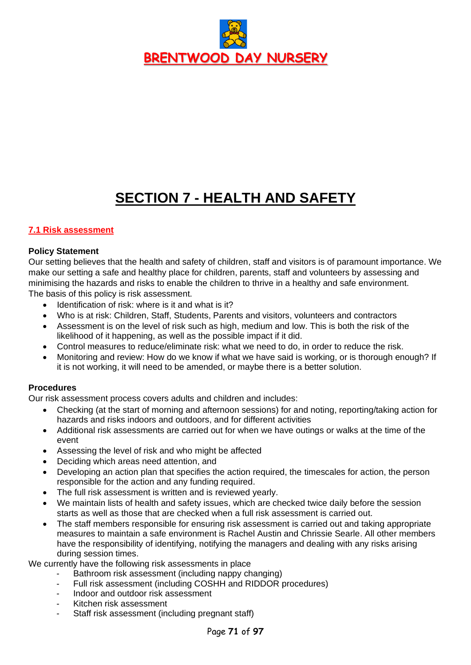# **SECTION 7 - HEALTH AND SAFETY**

# **7.1 Risk assessment**

# **Policy Statement**

Our setting believes that the health and safety of children, staff and visitors is of paramount importance. We make our setting a safe and healthy place for children, parents, staff and volunteers by assessing and minimising the hazards and risks to enable the children to thrive in a healthy and safe environment. The basis of this policy is risk assessment.

- Identification of risk: where is it and what is it?
- Who is at risk: Children, Staff, Students, Parents and visitors, volunteers and contractors
- Assessment is on the level of risk such as high, medium and low. This is both the risk of the likelihood of it happening, as well as the possible impact if it did.
- Control measures to reduce/eliminate risk: what we need to do, in order to reduce the risk.
- Monitoring and review: How do we know if what we have said is working, or is thorough enough? If it is not working, it will need to be amended, or maybe there is a better solution.

## **Procedures**

Our risk assessment process covers adults and children and includes:

- Checking (at the start of morning and afternoon sessions) for and noting, reporting/taking action for hazards and risks indoors and outdoors, and for different activities
- Additional risk assessments are carried out for when we have outings or walks at the time of the event
- Assessing the level of risk and who might be affected
- Deciding which areas need attention, and
- Developing an action plan that specifies the action required, the timescales for action, the person responsible for the action and any funding required.
- The full risk assessment is written and is reviewed yearly.
- We maintain lists of health and safety issues, which are checked twice daily before the session starts as well as those that are checked when a full risk assessment is carried out.
- The staff members responsible for ensuring risk assessment is carried out and taking appropriate measures to maintain a safe environment is Rachel Austin and Chrissie Searle. All other members have the responsibility of identifying, notifying the managers and dealing with any risks arising during session times.

We currently have the following risk assessments in place

- Bathroom risk assessment (including nappy changing)
- Full risk assessment (including COSHH and RIDDOR procedures)
- Indoor and outdoor risk assessment
- Kitchen risk assessment
- Staff risk assessment (including pregnant staff)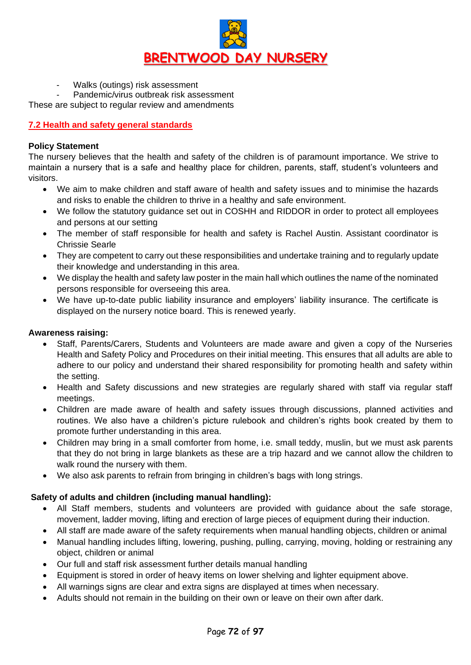

Walks (outings) risk assessment

Pandemic/virus outbreak risk assessment

These are subject to regular review and amendments

# **7.2 Health and safety general standards**

## **Policy Statement**

The nursery believes that the health and safety of the children is of paramount importance. We strive to maintain a nursery that is a safe and healthy place for children, parents, staff, student's volunteers and visitors.

- We aim to make children and staff aware of health and safety issues and to minimise the hazards and risks to enable the children to thrive in a healthy and safe environment.
- We follow the statutory guidance set out in COSHH and RIDDOR in order to protect all employees and persons at our setting
- The member of staff responsible for health and safety is Rachel Austin. Assistant coordinator is Chrissie Searle
- They are competent to carry out these responsibilities and undertake training and to regularly update their knowledge and understanding in this area.
- We display the health and safety law poster in the main hall which outlines the name of the nominated persons responsible for overseeing this area.
- We have up-to-date public liability insurance and employers' liability insurance. The certificate is displayed on the nursery notice board. This is renewed yearly.

## **Awareness raising:**

- Staff, Parents/Carers, Students and Volunteers are made aware and given a copy of the Nurseries Health and Safety Policy and Procedures on their initial meeting. This ensures that all adults are able to adhere to our policy and understand their shared responsibility for promoting health and safety within the setting.
- Health and Safety discussions and new strategies are regularly shared with staff via regular staff meetings.
- Children are made aware of health and safety issues through discussions, planned activities and routines. We also have a children's picture rulebook and children's rights book created by them to promote further understanding in this area.
- Children may bring in a small comforter from home, i.e. small teddy, muslin, but we must ask parents that they do not bring in large blankets as these are a trip hazard and we cannot allow the children to walk round the nursery with them.
- We also ask parents to refrain from bringing in children's bags with long strings.

## **Safety of adults and children (including manual handling):**

- All Staff members, students and volunteers are provided with guidance about the safe storage, movement, ladder moving, lifting and erection of large pieces of equipment during their induction.
- All staff are made aware of the safety requirements when manual handling objects, children or animal
- Manual handling includes lifting, lowering, pushing, pulling, carrying, moving, holding or restraining any object, children or animal
- Our full and staff risk assessment further details manual handling
- Equipment is stored in order of heavy items on lower shelving and lighter equipment above.
- All warnings signs are clear and extra signs are displayed at times when necessary.
- Adults should not remain in the building on their own or leave on their own after dark.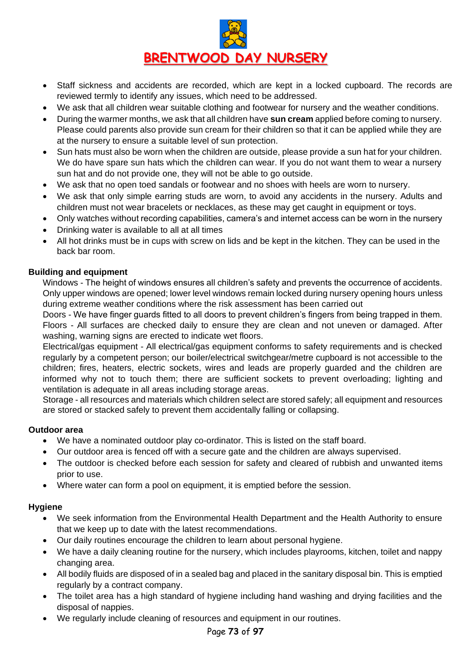

- Staff sickness and accidents are recorded, which are kept in a locked cupboard. The records are reviewed termly to identify any issues, which need to be addressed.
- We ask that all children wear suitable clothing and footwear for nursery and the weather conditions.
- During the warmer months, we ask that all children have **sun cream** applied before coming to nursery. Please could parents also provide sun cream for their children so that it can be applied while they are at the nursery to ensure a suitable level of sun protection.
- Sun hats must also be worn when the children are outside, please provide a sun hat for your children. We do have spare sun hats which the children can wear. If you do not want them to wear a nursery sun hat and do not provide one, they will not be able to go outside.
- We ask that no open toed sandals or footwear and no shoes with heels are worn to nursery.
- We ask that only simple earring studs are worn, to avoid any accidents in the nursery. Adults and children must not wear bracelets or necklaces, as these may get caught in equipment or toys.
- Only watches without recording capabilities, camera's and internet access can be worn in the nursery • Drinking water is available to all at all times
- All hot drinks must be in cups with screw on lids and be kept in the kitchen. They can be used in the back bar room.

# **Building and equipment**

Windows - The height of windows ensures all children's safety and prevents the occurrence of accidents. Only upper windows are opened; lower level windows remain locked during nursery opening hours unless during extreme weather conditions where the risk assessment has been carried out

Doors - We have finger guards fitted to all doors to prevent children's fingers from being trapped in them. Floors - All surfaces are checked daily to ensure they are clean and not uneven or damaged. After washing, warning signs are erected to indicate wet floors.

Electrical/gas equipment - All electrical/gas equipment conforms to safety requirements and is checked regularly by a competent person; our boiler/electrical switchgear/metre cupboard is not accessible to the children; fires, heaters, electric sockets, wires and leads are properly guarded and the children are informed why not to touch them; there are sufficient sockets to prevent overloading; lighting and ventilation is adequate in all areas including storage areas.

Storage - all resources and materials which children select are stored safely; all equipment and resources are stored or stacked safely to prevent them accidentally falling or collapsing.

# **Outdoor area**

- We have a nominated outdoor play co-ordinator. This is listed on the staff board.
- Our outdoor area is fenced off with a secure gate and the children are always supervised.
- The outdoor is checked before each session for safety and cleared of rubbish and unwanted items prior to use.
- Where water can form a pool on equipment, it is emptied before the session.

# **Hygiene**

- We seek information from the Environmental Health Department and the Health Authority to ensure that we keep up to date with the latest recommendations.
- Our daily routines encourage the children to learn about personal hygiene.
- We have a daily cleaning routine for the nursery, which includes playrooms, kitchen, toilet and nappy changing area.
- All bodily fluids are disposed of in a sealed bag and placed in the sanitary disposal bin. This is emptied regularly by a contract company.
- The toilet area has a high standard of hygiene including hand washing and drying facilities and the disposal of nappies.
- We regularly include cleaning of resources and equipment in our routines.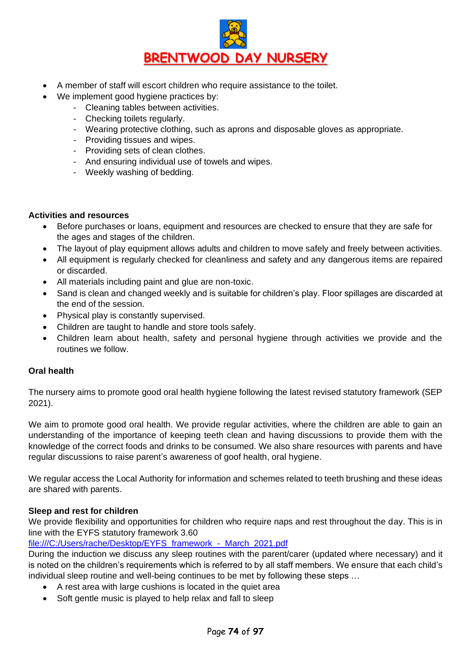

- A member of staff will escort children who require assistance to the toilet.
- We implement good hygiene practices by:
	- Cleaning tables between activities.
	- Checking toilets regularly.
	- Wearing protective clothing, such as aprons and disposable gloves as appropriate.
	- Providing tissues and wipes.
	- Providing sets of clean clothes.
	- And ensuring individual use of towels and wipes.
	- Weekly washing of bedding.

#### **Activities and resources**

- Before purchases or loans, equipment and resources are checked to ensure that they are safe for the ages and stages of the children.
- The layout of play equipment allows adults and children to move safely and freely between activities.
- All equipment is regularly checked for cleanliness and safety and any dangerous items are repaired or discarded.
- All materials including paint and glue are non-toxic.
- Sand is clean and changed weekly and is suitable for children's play. Floor spillages are discarded at the end of the session.
- Physical play is constantly supervised.
- Children are taught to handle and store tools safely.
- Children learn about health, safety and personal hygiene through activities we provide and the routines we follow.

# **Oral health**

The nursery aims to promote good oral health hygiene following the latest revised statutory framework (SEP 2021).

We aim to promote good oral health. We provide regular activities, where the children are able to gain an understanding of the importance of keeping teeth clean and having discussions to provide them with the knowledge of the correct foods and drinks to be consumed. We also share resources with parents and have regular discussions to raise parent's awareness of goof health, oral hygiene.

We regular access the Local Authority for information and schemes related to teeth brushing and these ideas are shared with parents.

# **Sleep and rest for children**

We provide flexibility and opportunities for children who require naps and rest throughout the day. This is in line with the EYFS statutory framework 3.60

[file:///C:/Users/rache/Desktop/EYFS\\_framework\\_-\\_March\\_2021.pdf](file:///C:/Users/rache/Desktop/EYFS_framework_-_March_2021.pdf)

During the induction we discuss any sleep routines with the parent/carer (updated where necessary) and it is noted on the children's requirements which is referred to by all staff members. We ensure that each child's individual sleep routine and well-being continues to be met by following these steps …

- A rest area with large cushions is located in the quiet area
- Soft gentle music is played to help relax and fall to sleep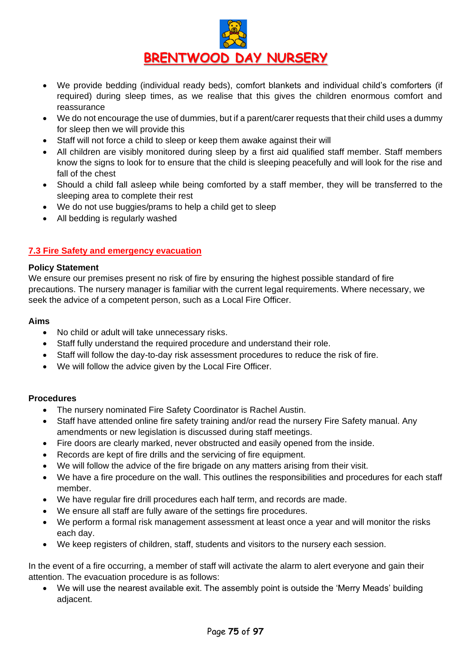

- We provide bedding (individual ready beds), comfort blankets and individual child's comforters (if required) during sleep times, as we realise that this gives the children enormous comfort and reassurance
- We do not encourage the use of dummies, but if a parent/carer requests that their child uses a dummy for sleep then we will provide this
- Staff will not force a child to sleep or keep them awake against their will
- All children are visibly monitored during sleep by a first aid qualified staff member. Staff members know the signs to look for to ensure that the child is sleeping peacefully and will look for the rise and fall of the chest
- Should a child fall asleep while being comforted by a staff member, they will be transferred to the sleeping area to complete their rest
- We do not use buggies/prams to help a child get to sleep
- All bedding is regularly washed

# **7.3 Fire Safety and emergency evacuation**

#### **Policy Statement**

We ensure our premises present no risk of fire by ensuring the highest possible standard of fire precautions. The nursery manager is familiar with the current legal requirements. Where necessary, we seek the advice of a competent person, such as a Local Fire Officer.

#### **Aims**

- No child or adult will take unnecessary risks.
- Staff fully understand the required procedure and understand their role.
- Staff will follow the day-to-day risk assessment procedures to reduce the risk of fire.
- We will follow the advice given by the Local Fire Officer.

# **Procedures**

- The nursery nominated Fire Safety Coordinator is Rachel Austin.
- Staff have attended online fire safety training and/or read the nursery Fire Safety manual. Any amendments or new legislation is discussed during staff meetings.
- Fire doors are clearly marked, never obstructed and easily opened from the inside.
- Records are kept of fire drills and the servicing of fire equipment.
- We will follow the advice of the fire brigade on any matters arising from their visit.
- We have a fire procedure on the wall. This outlines the responsibilities and procedures for each staff member.
- We have regular fire drill procedures each half term, and records are made.
- We ensure all staff are fully aware of the settings fire procedures.
- We perform a formal risk management assessment at least once a year and will monitor the risks each day.
- We keep registers of children, staff, students and visitors to the nursery each session.

In the event of a fire occurring, a member of staff will activate the alarm to alert everyone and gain their attention. The evacuation procedure is as follows:

• We will use the nearest available exit. The assembly point is outside the 'Merry Meads' building adjacent.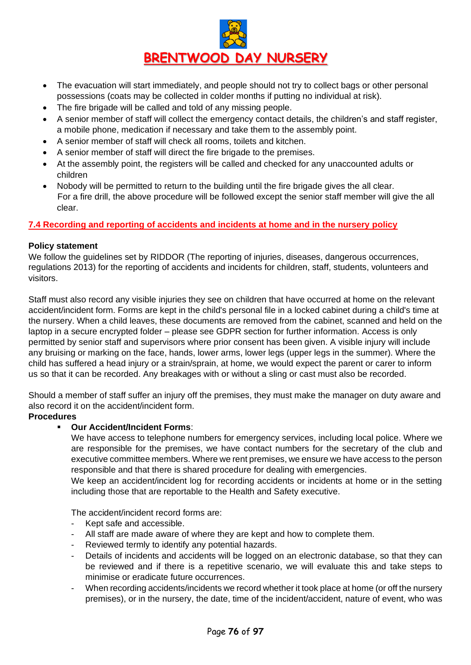

- The evacuation will start immediately, and people should not try to collect bags or other personal possessions (coats may be collected in colder months if putting no individual at risk).
- The fire brigade will be called and told of any missing people.
- A senior member of staff will collect the emergency contact details, the children's and staff register, a mobile phone, medication if necessary and take them to the assembly point.
- A senior member of staff will check all rooms, toilets and kitchen.
- A senior member of staff will direct the fire brigade to the premises.
- At the assembly point, the registers will be called and checked for any unaccounted adults or children
- Nobody will be permitted to return to the building until the fire brigade gives the all clear. For a fire drill, the above procedure will be followed except the senior staff member will give the all clear.

# **7.4 Recording and reporting of accidents and incidents at home and in the nursery policy**

#### **Policy statement**

We follow the guidelines set by RIDDOR (The reporting of injuries, diseases, dangerous occurrences, regulations 2013) for the reporting of accidents and incidents for children, staff, students, volunteers and visitors.

Staff must also record any visible injuries they see on children that have occurred at home on the relevant accident/incident form. Forms are kept in the child's personal file in a locked cabinet during a child's time at the nursery. When a child leaves, these documents are removed from the cabinet, scanned and held on the laptop in a secure encrypted folder – please see GDPR section for further information. Access is only permitted by senior staff and supervisors where prior consent has been given. A visible injury will include any bruising or marking on the face, hands, lower arms, lower legs (upper legs in the summer). Where the child has suffered a head injury or a strain/sprain, at home, we would expect the parent or carer to inform us so that it can be recorded. Any breakages with or without a sling or cast must also be recorded.

Should a member of staff suffer an injury off the premises, they must make the manager on duty aware and also record it on the accident/incident form.

# **Procedures**

# **Our Accident/Incident Forms:**

We have access to telephone numbers for emergency services, including local police. Where we are responsible for the premises, we have contact numbers for the secretary of the club and executive committee members. Where we rent premises, we ensure we have access to the person responsible and that there is shared procedure for dealing with emergencies.

We keep an accident/incident log for recording accidents or incidents at home or in the setting including those that are reportable to the Health and Safety executive.

The accident/incident record forms are:

- Kept safe and accessible.
- All staff are made aware of where they are kept and how to complete them.
- Reviewed termly to identify any potential hazards.
- Details of incidents and accidents will be logged on an electronic database, so that they can be reviewed and if there is a repetitive scenario, we will evaluate this and take steps to minimise or eradicate future occurrences.
- When recording accidents/incidents we record whether it took place at home (or off the nursery premises), or in the nursery, the date, time of the incident/accident, nature of event, who was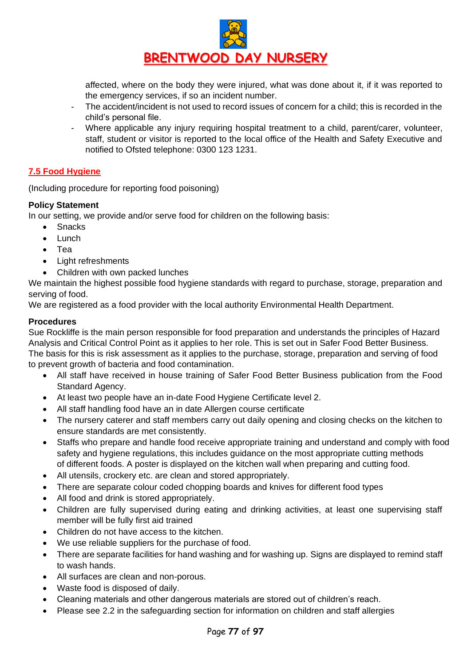

affected, where on the body they were injured, what was done about it, if it was reported to the emergency services, if so an incident number.

- The accident/incident is not used to record issues of concern for a child; this is recorded in the child's personal file.
- Where applicable any injury requiring hospital treatment to a child, parent/carer, volunteer, staff, student or visitor is reported to the local office of the Health and Safety Executive and notified to Ofsted telephone: 0300 123 1231.

# **7.5 Food Hygiene**

(Including procedure for reporting food poisoning)

# **Policy Statement**

In our setting, we provide and/or serve food for children on the following basis:

- Snacks
- Lunch
- Tea
- Light refreshments
- Children with own packed lunches

We maintain the highest possible food hygiene standards with regard to purchase, storage, preparation and serving of food.

We are registered as a food provider with the local authority Environmental Health Department.

# **Procedures**

Sue Rockliffe is the main person responsible for food preparation and understands the principles of Hazard Analysis and Critical Control Point as it applies to her role. This is set out in Safer Food Better Business. The basis for this is risk assessment as it applies to the purchase, storage, preparation and serving of food to prevent growth of bacteria and food contamination.

- All staff have received in house training of Safer Food Better Business publication from the Food Standard Agency.
- At least two people have an in-date Food Hygiene Certificate level 2.
- All staff handling food have an in date Allergen course certificate
- The nursery caterer and staff members carry out daily opening and closing checks on the kitchen to ensure standards are met consistently.
- Staffs who prepare and handle food receive appropriate training and understand and comply with food safety and hygiene regulations, this includes guidance on the most appropriate cutting methods of different foods. A poster is displayed on the kitchen wall when preparing and cutting food.
- All utensils, crockery etc. are clean and stored appropriately.
- There are separate colour coded chopping boards and knives for different food types
- All food and drink is stored appropriately.
- Children are fully supervised during eating and drinking activities, at least one supervising staff member will be fully first aid trained
- Children do not have access to the kitchen.
- We use reliable suppliers for the purchase of food.
- There are separate facilities for hand washing and for washing up. Signs are displayed to remind staff to wash hands.
- All surfaces are clean and non-porous.
- Waste food is disposed of daily.
- Cleaning materials and other dangerous materials are stored out of children's reach.
- Please see 2.2 in the safeguarding section for information on children and staff allergies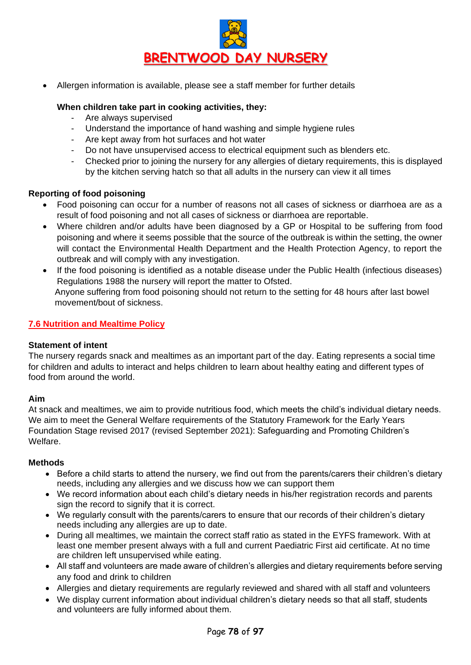

• Allergen information is available, please see a staff member for further details

# **When children take part in cooking activities, they:**

- Are always supervised
- Understand the importance of hand washing and simple hygiene rules
- Are kept away from hot surfaces and hot water
- Do not have unsupervised access to electrical equipment such as blenders etc.
- Checked prior to joining the nursery for any allergies of dietary requirements, this is displayed by the kitchen serving hatch so that all adults in the nursery can view it all times

#### **Reporting of food poisoning**

- Food poisoning can occur for a number of reasons not all cases of sickness or diarrhoea are as a result of food poisoning and not all cases of sickness or diarrhoea are reportable.
- Where children and/or adults have been diagnosed by a GP or Hospital to be suffering from food poisoning and where it seems possible that the source of the outbreak is within the setting, the owner will contact the Environmental Health Department and the Health Protection Agency, to report the outbreak and will comply with any investigation.
- If the food poisoning is identified as a notable disease under the Public Health (infectious diseases) Regulations 1988 the nursery will report the matter to Ofsted. Anyone suffering from food poisoning should not return to the setting for 48 hours after last bowel movement/bout of sickness.

# **7.6 Nutrition and Mealtime Policy**

# **Statement of intent**

The nursery regards snack and mealtimes as an important part of the day. Eating represents a social time for children and adults to interact and helps children to learn about healthy eating and different types of food from around the world.

# **Aim**

At snack and mealtimes, we aim to provide nutritious food, which meets the child's individual dietary needs. We aim to meet the General Welfare requirements of the Statutory Framework for the Early Years Foundation Stage revised 2017 (revised September 2021): Safeguarding and Promoting Children's Welfare.

# **Methods**

- Before a child starts to attend the nursery, we find out from the parents/carers their children's dietary needs, including any allergies and we discuss how we can support them
- We record information about each child's dietary needs in his/her registration records and parents sign the record to signify that it is correct.
- We regularly consult with the parents/carers to ensure that our records of their children's dietary needs including any allergies are up to date.
- During all mealtimes, we maintain the correct staff ratio as stated in the EYFS framework. With at least one member present always with a full and current Paediatric First aid certificate. At no time are children left unsupervised while eating.
- All staff and volunteers are made aware of children's allergies and dietary requirements before serving any food and drink to children
- Allergies and dietary requirements are regularly reviewed and shared with all staff and volunteers
- We display current information about individual children's dietary needs so that all staff, students and volunteers are fully informed about them.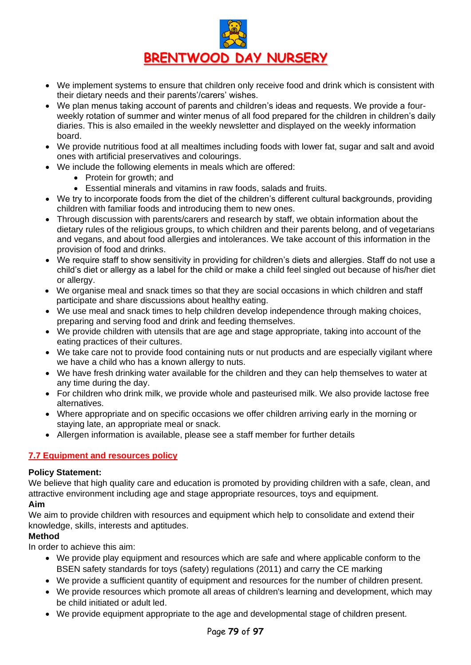

- We implement systems to ensure that children only receive food and drink which is consistent with their dietary needs and their parents'/carers' wishes.
- We plan menus taking account of parents and children's ideas and requests. We provide a fourweekly rotation of summer and winter menus of all food prepared for the children in children's daily diaries. This is also emailed in the weekly newsletter and displayed on the weekly information board.
- We provide nutritious food at all mealtimes including foods with lower fat, sugar and salt and avoid ones with artificial preservatives and colourings.
- We include the following elements in meals which are offered:
	- Protein for growth; and
	- Essential minerals and vitamins in raw foods, salads and fruits.
- We try to incorporate foods from the diet of the children's different cultural backgrounds, providing children with familiar foods and introducing them to new ones.
- Through discussion with parents/carers and research by staff, we obtain information about the dietary rules of the religious groups, to which children and their parents belong, and of vegetarians and vegans, and about food allergies and intolerances. We take account of this information in the provision of food and drinks.
- We require staff to show sensitivity in providing for children's diets and allergies. Staff do not use a child's diet or allergy as a label for the child or make a child feel singled out because of his/her diet or allergy.
- We organise meal and snack times so that they are social occasions in which children and staff participate and share discussions about healthy eating.
- We use meal and snack times to help children develop independence through making choices, preparing and serving food and drink and feeding themselves.
- We provide children with utensils that are age and stage appropriate, taking into account of the eating practices of their cultures.
- We take care not to provide food containing nuts or nut products and are especially vigilant where we have a child who has a known allergy to nuts.
- We have fresh drinking water available for the children and they can help themselves to water at any time during the day.
- For children who drink milk, we provide whole and pasteurised milk. We also provide lactose free alternatives.
- Where appropriate and on specific occasions we offer children arriving early in the morning or staying late, an appropriate meal or snack.
- Allergen information is available, please see a staff member for further details

# **7.7 Equipment and resources policy**

# **Policy Statement:**

We believe that high quality care and education is promoted by providing children with a safe, clean, and attractive environment including age and stage appropriate resources, toys and equipment.

# **Aim**

We aim to provide children with resources and equipment which help to consolidate and extend their knowledge, skills, interests and aptitudes.

# **Method**

In order to achieve this aim:

- We provide play equipment and resources which are safe and where applicable conform to the BSEN safety standards for toys (safety) regulations (2011) and carry the CE marking
- We provide a sufficient quantity of equipment and resources for the number of children present.
- We provide resources which promote all areas of children's learning and development, which may be child initiated or adult led.
- We provide equipment appropriate to the age and developmental stage of children present.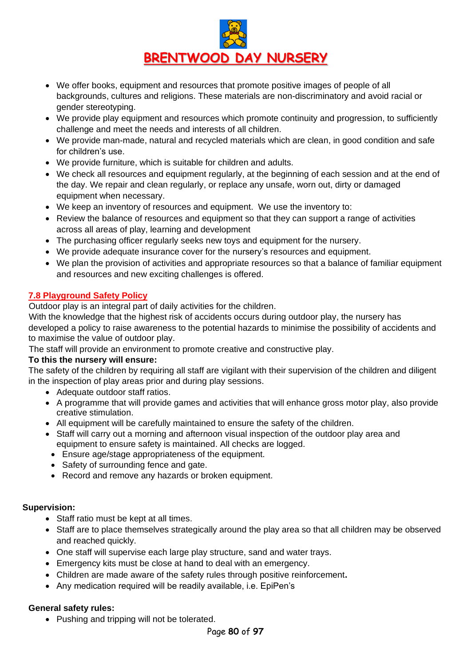

- We offer books, equipment and resources that promote positive images of people of all backgrounds, cultures and religions. These materials are non-discriminatory and avoid racial or gender stereotyping.
- We provide play equipment and resources which promote continuity and progression, to sufficiently challenge and meet the needs and interests of all children.
- We provide man-made, natural and recycled materials which are clean, in good condition and safe for children's use.
- We provide furniture, which is suitable for children and adults.
- We check all resources and equipment regularly, at the beginning of each session and at the end of the day. We repair and clean regularly, or replace any unsafe, worn out, dirty or damaged equipment when necessary.
- We keep an inventory of resources and equipment. We use the inventory to:
- Review the balance of resources and equipment so that they can support a range of activities across all areas of play, learning and development
- The purchasing officer regularly seeks new toys and equipment for the nursery.
- We provide adequate insurance cover for the nursery's resources and equipment.
- We plan the provision of activities and appropriate resources so that a balance of familiar equipment and resources and new exciting challenges is offered.

# **7.8 Playground Safety Policy**

Outdoor play is an integral part of daily activities for the children.

 With the knowledge that the highest risk of accidents occurs during outdoor play, the nursery has developed a policy to raise awareness to the potential hazards to minimise the possibility of accidents and to maximise the value of outdoor play.

The staff will provide an environment to promote creative and constructive play.

# **To this the nursery will ensure:**

The safety of the children by requiring all staff are vigilant with their supervision of the children and diligent in the inspection of play areas prior and during play sessions.

- Adequate outdoor staff ratios.
- A programme that will provide games and activities that will enhance gross motor play, also provide creative stimulation.
- All equipment will be carefully maintained to ensure the safety of the children.
- Staff will carry out a morning and afternoon visual inspection of the outdoor play area and equipment to ensure safety is maintained. All checks are logged.
	- Ensure age/stage appropriateness of the equipment.
- Safety of surrounding fence and gate.
- Record and remove any hazards or broken equipment.

# **Supervision:**

- Staff ratio must be kept at all times.
- Staff are to place themselves strategically around the play area so that all children may be observed and reached quickly.
- One staff will supervise each large play structure, sand and water trays.
- Emergency kits must be close at hand to deal with an emergency.
- Children are made aware of the safety rules through positive reinforcement**.**
- Any medication required will be readily available, i.e. EpiPen's

# **General safety rules:**

• Pushing and tripping will not be tolerated.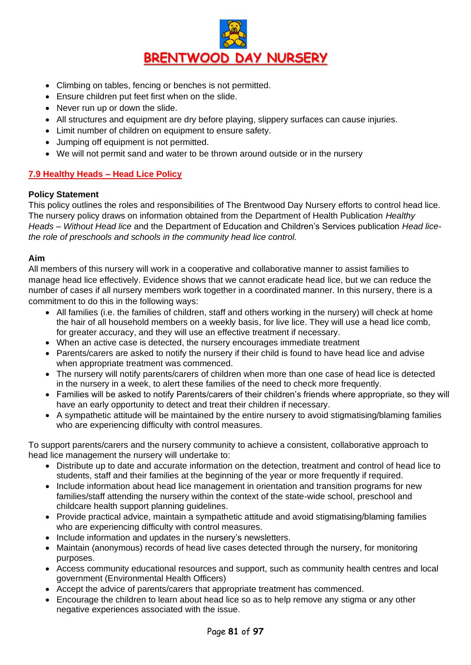

- Climbing on tables, fencing or benches is not permitted.
- Ensure children put feet first when on the slide.
- Never run up or down the slide.
- All structures and equipment are dry before playing, slippery surfaces can cause injuries.
- Limit number of children on equipment to ensure safety.
- Jumping off equipment is not permitted.
- We will not permit sand and water to be thrown around outside or in the nursery

# **7.9 Healthy Heads – Head Lice Policy**

# **Policy Statement**

This policy outlines the roles and responsibilities of The Brentwood Day Nursery efforts to control head lice. The nursery policy draws on information obtained from the Department of Health Publication *Healthy Heads – Without Head lice* and the Department of Education and Children's Services publication *Head licethe role of preschools and schools in the community head lice control.*

#### **Aim**

All members of this nursery will work in a cooperative and collaborative manner to assist families to manage head lice effectively. Evidence shows that we cannot eradicate head lice, but we can reduce the number of cases if all nursery members work together in a coordinated manner. In this nursery, there is a commitment to do this in the following ways:

- All families (i.e. the families of children, staff and others working in the nursery) will check at home the hair of all household members on a weekly basis, for live lice. They will use a head lice comb, for greater accuracy, and they will use an effective treatment if necessary.
- When an active case is detected, the nursery encourages immediate treatment
- Parents/carers are asked to notify the nursery if their child is found to have head lice and advise when appropriate treatment was commenced.
- The nursery will notify parents/carers of children when more than one case of head lice is detected in the nursery in a week, to alert these families of the need to check more frequently.
- Families will be asked to notify Parents/carers of their children's friends where appropriate, so they will have an early opportunity to detect and treat their children if necessary.
- A sympathetic attitude will be maintained by the entire nursery to avoid stigmatising/blaming families who are experiencing difficulty with control measures.

To support parents/carers and the nursery community to achieve a consistent, collaborative approach to head lice management the nursery will undertake to:

- Distribute up to date and accurate information on the detection, treatment and control of head lice to students, staff and their families at the beginning of the year or more frequently if required.
- Include information about head lice management in orientation and transition programs for new families/staff attending the nursery within the context of the state-wide school, preschool and childcare health support planning guidelines.
- Provide practical advice, maintain a sympathetic attitude and avoid stigmatising/blaming families who are experiencing difficulty with control measures.
- Include information and updates in the nursery's newsletters.
- Maintain (anonymous) records of head live cases detected through the nursery, for monitoring purposes.
- Access community educational resources and support, such as community health centres and local government (Environmental Health Officers)
- Accept the advice of parents/carers that appropriate treatment has commenced.
- Encourage the children to learn about head lice so as to help remove any stigma or any other negative experiences associated with the issue.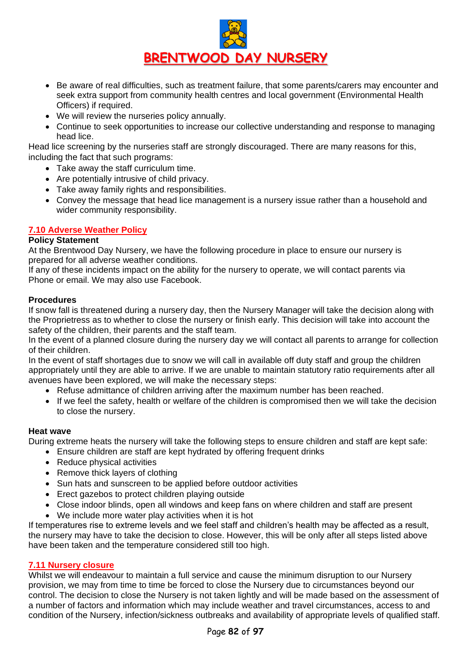

- Be aware of real difficulties, such as treatment failure, that some parents/carers may encounter and seek extra support from community health centres and local government (Environmental Health Officers) if required.
- We will review the nurseries policy annually.
- Continue to seek opportunities to increase our collective understanding and response to managing head lice.

Head lice screening by the nurseries staff are strongly discouraged. There are many reasons for this, including the fact that such programs:

- Take away the staff curriculum time.
- Are potentially intrusive of child privacy.
- Take away family rights and responsibilities.
- Convey the message that head lice management is a nursery issue rather than a household and wider community responsibility.

# **7.10 Adverse Weather Policy**

# **Policy Statement**

At the Brentwood Day Nursery, we have the following procedure in place to ensure our nursery is prepared for all adverse weather conditions.

If any of these incidents impact on the ability for the nursery to operate, we will contact parents via Phone or email. We may also use Facebook.

#### **Procedures**

If snow fall is threatened during a nursery day, then the Nursery Manager will take the decision along with the Proprietress as to whether to close the nursery or finish early. This decision will take into account the safety of the children, their parents and the staff team.

In the event of a planned closure during the nursery day we will contact all parents to arrange for collection of their children.

In the event of staff shortages due to snow we will call in available off duty staff and group the children appropriately until they are able to arrive. If we are unable to maintain statutory ratio requirements after all avenues have been explored, we will make the necessary steps:

- Refuse admittance of children arriving after the maximum number has been reached.
- If we feel the safety, health or welfare of the children is compromised then we will take the decision to close the nursery.

#### **Heat wave**

During extreme heats the nursery will take the following steps to ensure children and staff are kept safe:

- Ensure children are staff are kept hydrated by offering frequent drinks
- Reduce physical activities
- Remove thick layers of clothing
- Sun hats and sunscreen to be applied before outdoor activities
- Erect gazebos to protect children playing outside
- Close indoor blinds, open all windows and keep fans on where children and staff are present
- We include more water play activities when it is hot

If temperatures rise to extreme levels and we feel staff and children's health may be affected as a result, the nursery may have to take the decision to close. However, this will be only after all steps listed above have been taken and the temperature considered still too high.

#### **7.11 Nursery closure**

Whilst we will endeavour to maintain a full service and cause the minimum disruption to our Nursery provision, we may from time to time be forced to close the Nursery due to circumstances beyond our control. The decision to close the Nursery is not taken lightly and will be made based on the assessment of a number of factors and information which may include weather and travel circumstances, access to and condition of the Nursery, infection/sickness outbreaks and availability of appropriate levels of qualified staff.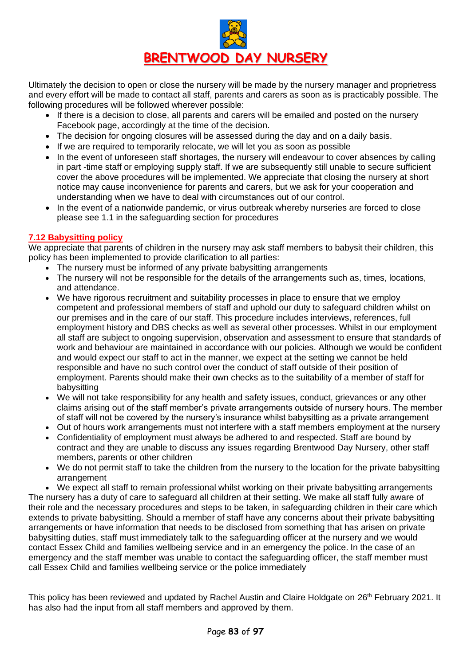

Ultimately the decision to open or close the nursery will be made by the nursery manager and proprietress and every effort will be made to contact all staff, parents and carers as soon as is practicably possible. The following procedures will be followed wherever possible:

- If there is a decision to close, all parents and carers will be emailed and posted on the nursery Facebook page, accordingly at the time of the decision.
- The decision for ongoing closures will be assessed during the day and on a daily basis.
- If we are required to temporarily relocate, we will let you as soon as possible
- In the event of unforeseen staff shortages, the nursery will endeavour to cover absences by calling in part -time staff or employing supply staff. If we are subsequently still unable to secure sufficient cover the above procedures will be implemented. We appreciate that closing the nursery at short notice may cause inconvenience for parents and carers, but we ask for your cooperation and understanding when we have to deal with circumstances out of our control.
- In the event of a nationwide pandemic, or virus outbreak whereby nurseries are forced to close please see 1.1 in the safeguarding section for procedures

# **7.12 Babysitting policy**

We appreciate that parents of children in the nursery may ask staff members to babysit their children, this policy has been implemented to provide clarification to all parties:

- The nursery must be informed of any private babysitting arrangements
- The nursery will not be responsible for the details of the arrangements such as, times, locations, and attendance.
- We have rigorous recruitment and suitability processes in place to ensure that we employ competent and professional members of staff and uphold our duty to safeguard children whilst on our premises and in the care of our staff. This procedure includes interviews, references, full employment history and DBS checks as well as several other processes. Whilst in our employment all staff are subject to ongoing supervision, observation and assessment to ensure that standards of work and behaviour are maintained in accordance with our policies. Although we would be confident and would expect our staff to act in the manner, we expect at the setting we cannot be held responsible and have no such control over the conduct of staff outside of their position of employment. Parents should make their own checks as to the suitability of a member of staff for babysitting
- We will not take responsibility for any health and safety issues, conduct, grievances or any other claims arising out of the staff member's private arrangements outside of nursery hours. The member of staff will not be covered by the nursery's insurance whilst babysitting as a private arrangement
- Out of hours work arrangements must not interfere with a staff members employment at the nursery
- Confidentiality of employment must always be adhered to and respected. Staff are bound by contract and they are unable to discuss any issues regarding Brentwood Day Nursery, other staff members, parents or other children
- We do not permit staff to take the children from the nursery to the location for the private babysitting arrangement

• We expect all staff to remain professional whilst working on their private babysitting arrangements The nursery has a duty of care to safeguard all children at their setting. We make all staff fully aware of their role and the necessary procedures and steps to be taken, in safeguarding children in their care which extends to private babysitting. Should a member of staff have any concerns about their private babysitting arrangements or have information that needs to be disclosed from something that has arisen on private babysitting duties, staff must immediately talk to the safeguarding officer at the nursery and we would contact Essex Child and families wellbeing service and in an emergency the police. In the case of an emergency and the staff member was unable to contact the safeguarding officer, the staff member must call Essex Child and families wellbeing service or the police immediately

This policy has been reviewed and updated by Rachel Austin and Claire Holdgate on 26<sup>th</sup> February 2021. It has also had the input from all staff members and approved by them.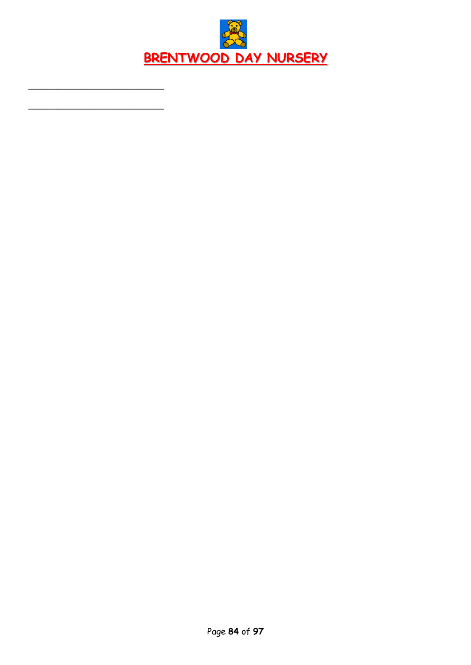

\_\_\_\_\_\_\_\_\_\_\_\_\_\_\_\_\_\_\_\_\_\_\_\_\_\_\_\_

\_\_\_\_\_\_\_\_\_\_\_\_\_\_\_\_\_\_\_\_\_\_\_\_\_\_\_\_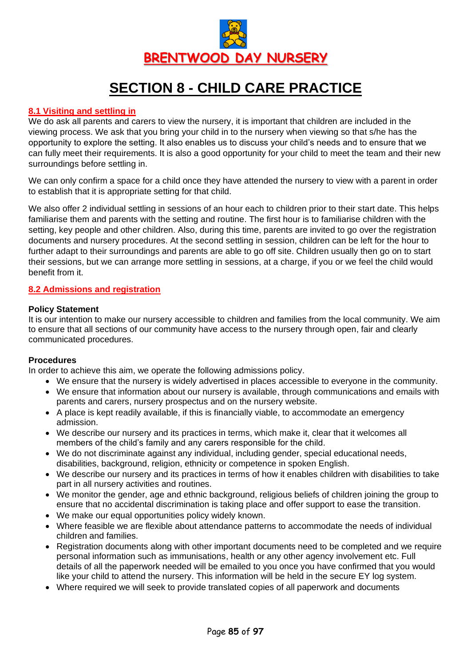

# **SECTION 8 - CHILD CARE PRACTICE**

# **8.1 Visiting and settling in**

We do ask all parents and carers to view the nursery, it is important that children are included in the viewing process. We ask that you bring your child in to the nursery when viewing so that s/he has the opportunity to explore the setting. It also enables us to discuss your child's needs and to ensure that we can fully meet their requirements. It is also a good opportunity for your child to meet the team and their new surroundings before settling in.

We can only confirm a space for a child once they have attended the nursery to view with a parent in order to establish that it is appropriate setting for that child.

We also offer 2 individual settling in sessions of an hour each to children prior to their start date. This helps familiarise them and parents with the setting and routine. The first hour is to familiarise children with the setting, key people and other children. Also, during this time, parents are invited to go over the registration documents and nursery procedures. At the second settling in session, children can be left for the hour to further adapt to their surroundings and parents are able to go off site. Children usually then go on to start their sessions, but we can arrange more settling in sessions, at a charge, if you or we feel the child would benefit from it.

# **8.2 Admissions and registration**

#### **Policy Statement**

It is our intention to make our nursery accessible to children and families from the local community. We aim to ensure that all sections of our community have access to the nursery through open, fair and clearly communicated procedures.

# **Procedures**

In order to achieve this aim, we operate the following admissions policy.

- We ensure that the nursery is widely advertised in places accessible to everyone in the community.
- We ensure that information about our nursery is available, through communications and emails with parents and carers, nursery prospectus and on the nursery website.
- A place is kept readily available, if this is financially viable, to accommodate an emergency admission.
- We describe our nursery and its practices in terms, which make it, clear that it welcomes all members of the child's family and any carers responsible for the child.
- We do not discriminate against any individual, including gender, special educational needs, disabilities, background, religion, ethnicity or competence in spoken English.
- We describe our nursery and its practices in terms of how it enables children with disabilities to take part in all nursery activities and routines.
- We monitor the gender, age and ethnic background, religious beliefs of children joining the group to ensure that no accidental discrimination is taking place and offer support to ease the transition.
- We make our equal opportunities policy widely known.
- Where feasible we are flexible about attendance patterns to accommodate the needs of individual children and families.
- Registration documents along with other important documents need to be completed and we require personal information such as immunisations, health or any other agency involvement etc. Full details of all the paperwork needed will be emailed to you once you have confirmed that you would like your child to attend the nursery. This information will be held in the secure EY log system.
- Where required we will seek to provide translated copies of all paperwork and documents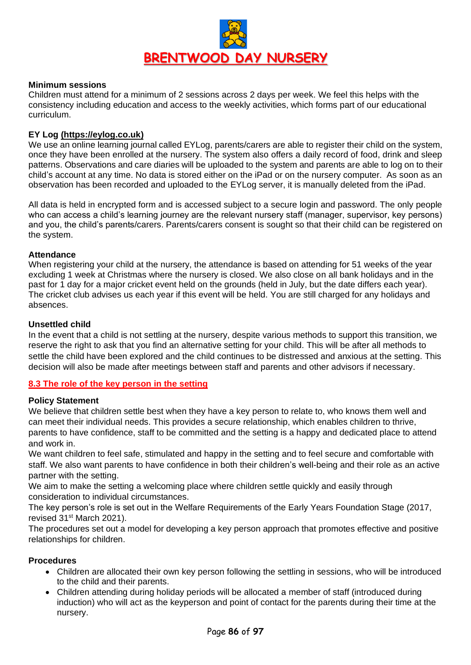

#### **Minimum sessions**

Children must attend for a minimum of 2 sessions across 2 days per week. We feel this helps with the consistency including education and access to the weekly activities, which forms part of our educational curriculum.

#### **EY Log [\(https://eylog.co.uk\)](https://eylog.co.uk/)**

We use an online learning journal called EYLog, parents/carers are able to register their child on the system, once they have been enrolled at the nursery. The system also offers a daily record of food, drink and sleep patterns. Observations and care diaries will be uploaded to the system and parents are able to log on to their child's account at any time. No data is stored either on the iPad or on the nursery computer. As soon as an observation has been recorded and uploaded to the EYLog server, it is manually deleted from the iPad.

All data is held in encrypted form and is accessed subject to a secure login and password. The only people who can access a child's learning journey are the relevant nursery staff (manager, supervisor, key persons) and you, the child's parents/carers. Parents/carers consent is sought so that their child can be registered on the system.

#### **Attendance**

When registering your child at the nursery, the attendance is based on attending for 51 weeks of the year excluding 1 week at Christmas where the nursery is closed. We also close on all bank holidays and in the past for 1 day for a major cricket event held on the grounds (held in July, but the date differs each year). The cricket club advises us each year if this event will be held. You are still charged for any holidays and absences.

#### **Unsettled child**

In the event that a child is not settling at the nursery, despite various methods to support this transition, we reserve the right to ask that you find an alternative setting for your child. This will be after all methods to settle the child have been explored and the child continues to be distressed and anxious at the setting. This decision will also be made after meetings between staff and parents and other advisors if necessary.

# **8.3 The role of the key person in the setting**

#### **Policy Statement**

We believe that children settle best when they have a key person to relate to, who knows them well and can meet their individual needs. This provides a secure relationship, which enables children to thrive, parents to have confidence, staff to be committed and the setting is a happy and dedicated place to attend and work in.

We want children to feel safe, stimulated and happy in the setting and to feel secure and comfortable with staff. We also want parents to have confidence in both their children's well-being and their role as an active partner with the setting.

We aim to make the setting a welcoming place where children settle quickly and easily through consideration to individual circumstances.

The key person's role is set out in the Welfare Requirements of the Early Years Foundation Stage (2017, revised 31<sup>st</sup> March 2021).

The procedures set out a model for developing a key person approach that promotes effective and positive relationships for children.

# **Procedures**

- Children are allocated their own key person following the settling in sessions, who will be introduced to the child and their parents.
- Children attending during holiday periods will be allocated a member of staff (introduced during induction) who will act as the keyperson and point of contact for the parents during their time at the nursery.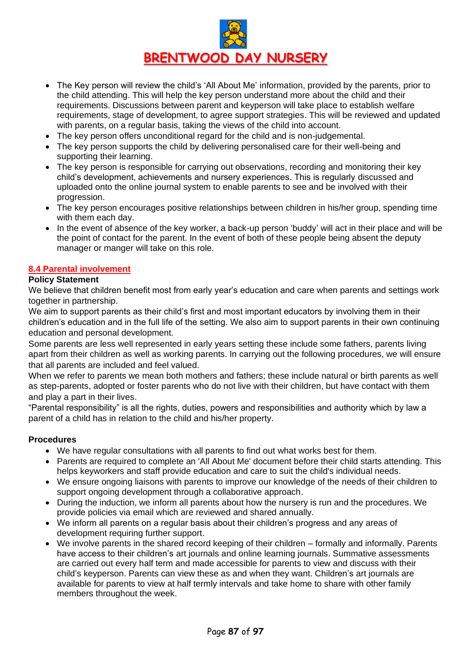

- The Key person will review the child's 'All About Me' information, provided by the parents, prior to the child attending. This will help the key person understand more about the child and their requirements. Discussions between parent and keyperson will take place to establish welfare requirements, stage of development, to agree support strategies. This will be reviewed and updated with parents, on a regular basis, taking the views of the child into account.
- The key person offers unconditional regard for the child and is non-judgemental.
- The key person supports the child by delivering personalised care for their well-being and supporting their learning.
- The key person is responsible for carrying out observations, recording and monitoring their key child's development, achievements and nursery experiences. This is regularly discussed and uploaded onto the online journal system to enable parents to see and be involved with their progression.
- The key person encourages positive relationships between children in his/her group, spending time with them each day.
- In the event of absence of the key worker, a back-up person 'buddy' will act in their place and will be the point of contact for the parent. In the event of both of these people being absent the deputy manager or manger will take on this role.

#### **8.4 Parental involvement**

#### **Policy Statement**

We believe that children benefit most from early year's education and care when parents and settings work together in partnership.

We aim to support parents as their child's first and most important educators by involving them in their children's education and in the full life of the setting. We also aim to support parents in their own continuing education and personal development.

Some parents are less well represented in early years setting these include some fathers, parents living apart from their children as well as working parents. In carrying out the following procedures, we will ensure that all parents are included and feel valued.

When we refer to parents we mean both mothers and fathers; these include natural or birth parents as well as step-parents, adopted or foster parents who do not live with their children, but have contact with them and play a part in their lives.

"Parental responsibility" is all the rights, duties, powers and responsibilities and authority which by law a parent of a child has in relation to the child and his/her property.

# **Procedures**

- We have regular consultations with all parents to find out what works best for them.
- Parents are required to complete an 'All About Me' document before their child starts attending. This helps keyworkers and staff provide education and care to suit the child's individual needs.
- We ensure ongoing liaisons with parents to improve our knowledge of the needs of their children to support ongoing development through a collaborative approach.
- During the induction, we inform all parents about how the nursery is run and the procedures. We provide policies via email which are reviewed and shared annually.
- We inform all parents on a regular basis about their children's progress and any areas of development requiring further support.
- We involve parents in the shared record keeping of their children formally and informally. Parents have access to their children's art journals and online learning journals. Summative assessments are carried out every half term and made accessible for parents to view and discuss with their child's keyperson. Parents can view these as and when they want. Children's art journals are available for parents to view at half termly intervals and take home to share with other family members throughout the week.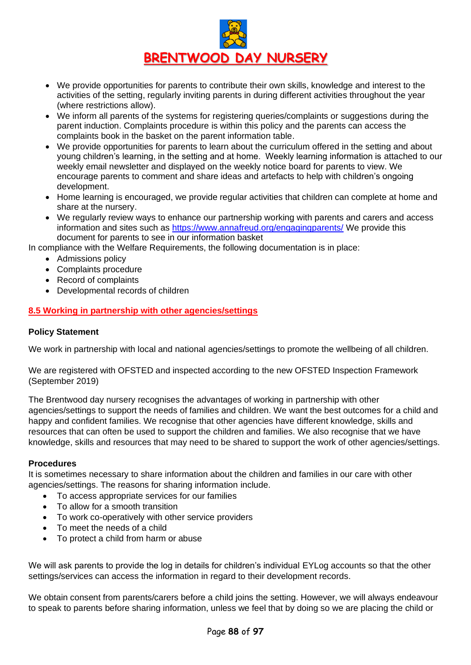

- We provide opportunities for parents to contribute their own skills, knowledge and interest to the activities of the setting, regularly inviting parents in during different activities throughout the year (where restrictions allow).
- We inform all parents of the systems for registering queries/complaints or suggestions during the parent induction. Complaints procedure is within this policy and the parents can access the complaints book in the basket on the parent information table.
- We provide opportunities for parents to learn about the curriculum offered in the setting and about young children's learning, in the setting and at home. Weekly learning information is attached to our weekly email newsletter and displayed on the weekly notice board for parents to view. We encourage parents to comment and share ideas and artefacts to help with children's ongoing development.
- Home learning is encouraged, we provide regular activities that children can complete at home and share at the nursery.
- We regularly review ways to enhance our partnership working with parents and carers and access information and sites such as<https://www.annafreud.org/engagingparents/> We provide this document for parents to see in our information basket

In compliance with the Welfare Requirements, the following documentation is in place:

- Admissions policy
- Complaints procedure
- Record of complaints
- Developmental records of children

# **8.5 Working in partnership with other agencies/settings**

## **Policy Statement**

We work in partnership with local and national agencies/settings to promote the wellbeing of all children.

We are registered with OFSTED and inspected according to the new OFSTED Inspection Framework (September 2019)

The Brentwood day nursery recognises the advantages of working in partnership with other agencies/settings to support the needs of families and children. We want the best outcomes for a child and happy and confident families. We recognise that other agencies have different knowledge, skills and resources that can often be used to support the children and families. We also recognise that we have knowledge, skills and resources that may need to be shared to support the work of other agencies/settings.

# **Procedures**

It is sometimes necessary to share information about the children and families in our care with other agencies/settings. The reasons for sharing information include.

- To access appropriate services for our families
- To allow for a smooth transition
- To work co-operatively with other service providers
- To meet the needs of a child
- To protect a child from harm or abuse

We will ask parents to provide the log in details for children's individual EYLog accounts so that the other settings/services can access the information in regard to their development records.

We obtain consent from parents/carers before a child joins the setting. However, we will always endeavour to speak to parents before sharing information, unless we feel that by doing so we are placing the child or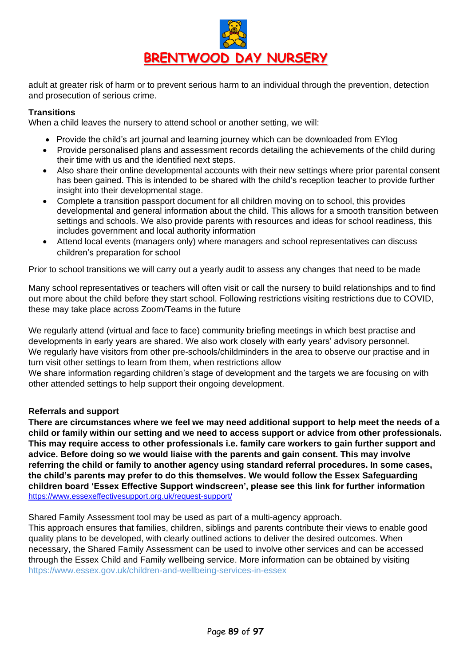

adult at greater risk of harm or to prevent serious harm to an individual through the prevention, detection and prosecution of serious crime.

#### **Transitions**

When a child leaves the nursery to attend school or another setting, we will:

- Provide the child's art journal and learning journey which can be downloaded from EYlog
- Provide personalised plans and assessment records detailing the achievements of the child during their time with us and the identified next steps.
- Also share their online developmental accounts with their new settings where prior parental consent has been gained. This is intended to be shared with the child's reception teacher to provide further insight into their developmental stage.
- Complete a transition passport document for all children moving on to school, this provides developmental and general information about the child. This allows for a smooth transition between settings and schools. We also provide parents with resources and ideas for school readiness, this includes government and local authority information
- Attend local events (managers only) where managers and school representatives can discuss children's preparation for school

Prior to school transitions we will carry out a yearly audit to assess any changes that need to be made

Many school representatives or teachers will often visit or call the nursery to build relationships and to find out more about the child before they start school. Following restrictions visiting restrictions due to COVID, these may take place across Zoom/Teams in the future

We regularly attend (virtual and face to face) community briefing meetings in which best practise and developments in early years are shared. We also work closely with early years' advisory personnel. We regularly have visitors from other pre-schools/childminders in the area to observe our practise and in turn visit other settings to learn from them, when restrictions allow

We share information regarding children's stage of development and the targets we are focusing on with other attended settings to help support their ongoing development.

# **Referrals and support**

**There are circumstances where we feel we may need additional support to help meet the needs of a child or family within our setting and we need to access support or advice from other professionals. This may require access to other professionals i.e. family care workers to gain further support and advice. Before doing so we would liaise with the parents and gain consent. This may involve referring the child or family to another agency using standard referral procedures. In some cases, the child's parents may prefer to do this themselves. We would follow the Essex Safeguarding children board 'Essex Effective Support windscreen', please see this link for further information**  <https://www.essexeffectivesupport.org.uk/request-support/>

Shared Family Assessment tool may be used as part of a multi-agency approach.

This approach ensures that families, children, siblings and parents contribute their views to enable good quality plans to be developed, with clearly outlined actions to deliver the desired outcomes. When necessary, the Shared Family Assessment can be used to involve other services and can be accessed through the Essex Child and Family wellbeing service. More information can be obtained by visiting https://www.essex.gov.uk/children-and-wellbeing-services-in-essex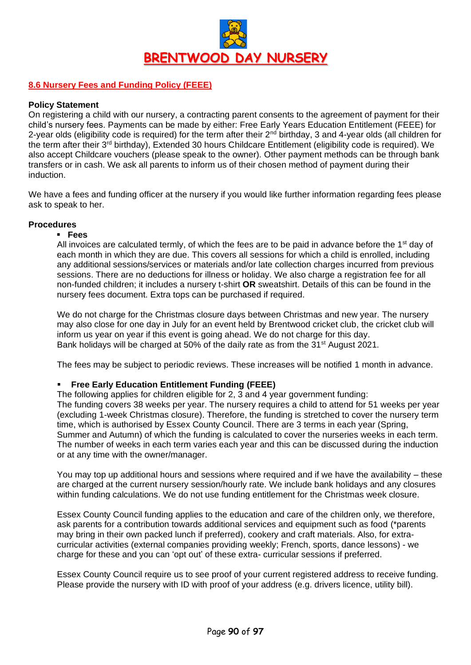

## **8.6 Nursery Fees and Funding Policy (FEEE)**

#### **Policy Statement**

On registering a child with our nursery, a contracting parent consents to the agreement of payment for their child's nursery fees. Payments can be made by either: Free Early Years Education Entitlement (FEEE) for 2-year olds (eligibility code is required) for the term after their  $2^{nd}$  birthday, 3 and 4-year olds (all children for the term after their 3rd birthday), Extended 30 hours Childcare Entitlement (eligibility code is required). We also accept Childcare vouchers (please speak to the owner). Other payment methods can be through bank transfers or in cash. We ask all parents to inform us of their chosen method of payment during their induction.

We have a fees and funding officer at the nursery if you would like further information regarding fees please ask to speak to her.

#### **Procedures**

# ▪ **Fees**

All invoices are calculated termly, of which the fees are to be paid in advance before the  $1<sup>st</sup>$  day of each month in which they are due. This covers all sessions for which a child is enrolled, including any additional sessions/services or materials and/or late collection charges incurred from previous sessions. There are no deductions for illness or holiday. We also charge a registration fee for all non-funded children; it includes a nursery t-shirt **OR** sweatshirt. Details of this can be found in the nursery fees document. Extra tops can be purchased if required.

We do not charge for the Christmas closure days between Christmas and new year. The nursery may also close for one day in July for an event held by Brentwood cricket club, the cricket club will inform us year on year if this event is going ahead. We do not charge for this day. Bank holidays will be charged at 50% of the daily rate as from the 31<sup>st</sup> August 2021.

The fees may be subject to periodic reviews. These increases will be notified 1 month in advance.

#### ▪ **Free Early Education Entitlement Funding (FEEE)**

The following applies for children eligible for 2, 3 and 4 year government funding:

The funding covers 38 weeks per year. The nursery requires a child to attend for 51 weeks per year (excluding 1-week Christmas closure). Therefore, the funding is stretched to cover the nursery term time, which is authorised by Essex County Council. There are 3 terms in each year (Spring, Summer and Autumn) of which the funding is calculated to cover the nurseries weeks in each term. The number of weeks in each term varies each year and this can be discussed during the induction or at any time with the owner/manager.

You may top up additional hours and sessions where required and if we have the availability – these are charged at the current nursery session/hourly rate. We include bank holidays and any closures within funding calculations. We do not use funding entitlement for the Christmas week closure.

Essex County Council funding applies to the education and care of the children only, we therefore, ask parents for a contribution towards additional services and equipment such as food (\*parents may bring in their own packed lunch if preferred), cookery and craft materials. Also, for extracurricular activities (external companies providing weekly; French, sports, dance lessons) - we charge for these and you can 'opt out' of these extra- curricular sessions if preferred.

Essex County Council require us to see proof of your current registered address to receive funding. Please provide the nursery with ID with proof of your address (e.g. drivers licence, utility bill).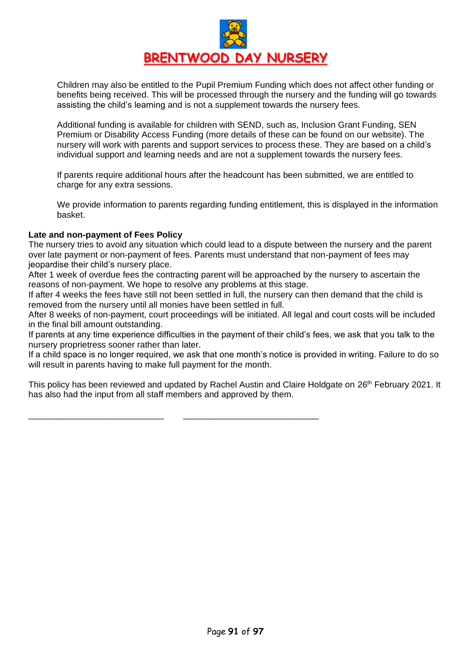

Children may also be entitled to the Pupil Premium Funding which does not affect other funding or benefits being received. This will be processed through the nursery and the funding will go towards assisting the child's learning and is not a supplement towards the nursery fees.

Additional funding is available for children with SEND, such as, Inclusion Grant Funding, SEN Premium or Disability Access Funding (more details of these can be found on our website). The nursery will work with parents and support services to process these. They are based on a child's individual support and learning needs and are not a supplement towards the nursery fees.

If parents require additional hours after the headcount has been submitted, we are entitled to charge for any extra sessions.

We provide information to parents regarding funding entitlement, this is displayed in the information basket.

#### **Late and non-payment of Fees Policy**

The nursery tries to avoid any situation which could lead to a dispute between the nursery and the parent over late payment or non-payment of fees. Parents must understand that non-payment of fees may jeopardise their child's nursery place.

After 1 week of overdue fees the contracting parent will be approached by the nursery to ascertain the reasons of non-payment. We hope to resolve any problems at this stage.

If after 4 weeks the fees have still not been settled in full, the nursery can then demand that the child is removed from the nursery until all monies have been settled in full.

After 8 weeks of non-payment, court proceedings will be initiated. All legal and court costs will be included in the final bill amount outstanding.

If parents at any time experience difficulties in the payment of their child's fees, we ask that you talk to the nursery proprietress sooner rather than later.

If a child space is no longer required, we ask that one month's notice is provided in writing. Failure to do so will result in parents having to make full payment for the month.

This policy has been reviewed and updated by Rachel Austin and Claire Holdgate on 26<sup>th</sup> February 2021. It has also had the input from all staff members and approved by them.

\_\_\_\_\_\_\_\_\_\_\_\_\_\_\_\_\_\_\_\_\_\_\_\_\_\_\_\_ \_\_\_\_\_\_\_\_\_\_\_\_\_\_\_\_\_\_\_\_\_\_\_\_\_\_\_\_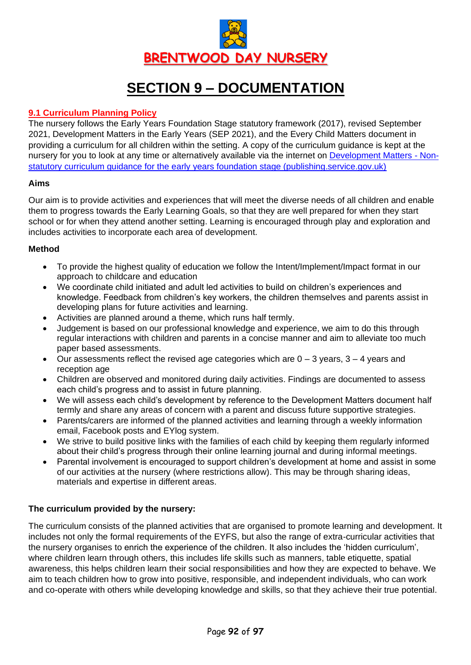

# **SECTION 9 – DOCUMENTATION**

# **9.1 Curriculum Planning Policy**

The nursery follows the Early Years Foundation Stage statutory framework (2017), revised September 2021, Development Matters in the Early Years (SEP 2021), and the Every Child Matters document in providing a curriculum for all children within the setting. A copy of the curriculum guidance is kept at the nursery for you to look at any time or alternatively available via the internet on [Development Matters -](https://assets.publishing.service.gov.uk/government/uploads/system/uploads/attachment_data/file/1007446/6.7534_DfE_Development_Matters_Report_and_illustrations_web__2_.pdf) Non[statutory curriculum guidance for the early years foundation stage \(publishing.service.gov.uk\)](https://assets.publishing.service.gov.uk/government/uploads/system/uploads/attachment_data/file/1007446/6.7534_DfE_Development_Matters_Report_and_illustrations_web__2_.pdf)

#### **Aims**

Our aim is to provide activities and experiences that will meet the diverse needs of all children and enable them to progress towards the Early Learning Goals, so that they are well prepared for when they start school or for when they attend another setting. Learning is encouraged through play and exploration and includes activities to incorporate each area of development.

# **Method**

- To provide the highest quality of education we follow the Intent/Implement/Impact format in our approach to childcare and education
- We coordinate child initiated and adult led activities to build on children's experiences and knowledge. Feedback from children's key workers, the children themselves and parents assist in developing plans for future activities and learning.
- Activities are planned around a theme, which runs half termly.
- Judgement is based on our professional knowledge and experience, we aim to do this through regular interactions with children and parents in a concise manner and aim to alleviate too much paper based assessments.
- Our assessments reflect the revised age categories which are  $0 3$  years,  $3 4$  years and reception age
- Children are observed and monitored during daily activities. Findings are documented to assess each child's progress and to assist in future planning.
- We will assess each child's development by reference to the Development Matters document half termly and share any areas of concern with a parent and discuss future supportive strategies.
- Parents/carers are informed of the planned activities and learning through a weekly information email, Facebook posts and EYlog system.
- We strive to build positive links with the families of each child by keeping them regularly informed about their child's progress through their online learning journal and during informal meetings.
- Parental involvement is encouraged to support children's development at home and assist in some of our activities at the nursery (where restrictions allow). This may be through sharing ideas, materials and expertise in different areas.

# **The curriculum provided by the nursery:**

The curriculum consists of the planned activities that are organised to promote learning and development. It includes not only the formal requirements of the EYFS, but also the range of extra-curricular activities that the nursery organises to enrich the experience of the children. It also includes the 'hidden curriculum', where children learn through others, this includes life skills such as manners, table etiquette, spatial awareness, this helps children learn their social responsibilities and how they are expected to behave. We aim to teach children how to grow into positive, responsible, and independent individuals, who can work and co-operate with others while developing knowledge and skills, so that they achieve their true potential.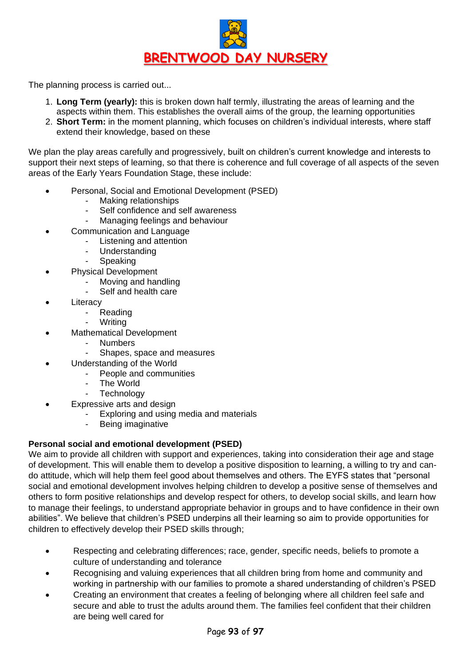

The planning process is carried out...

- 1. **Long Term (yearly):** this is broken down half termly, illustrating the areas of learning and the aspects within them. This establishes the overall aims of the group, the learning opportunities
- 2. **Short Term:** in the moment planning, which focuses on children's individual interests, where staff extend their knowledge, based on these

We plan the play areas carefully and progressively, built on children's current knowledge and interests to support their next steps of learning, so that there is coherence and full coverage of all aspects of the seven areas of the Early Years Foundation Stage, these include:

- Personal, Social and Emotional Development (PSED)
	- Making relationships
	- Self confidence and self awareness
	- Managing feelings and behaviour
- Communication and Language
	- Listening and attention
		- **Understanding**
		- **Speaking**
- Physical Development
	- Moving and handling
	- Self and health care
- Literacy
	- Reading
	- **Writing**
- Mathematical Development
	- Numbers
	- Shapes, space and measures
	- Understanding of the World
		- People and communities
			- The World
			- **Technology**
- Expressive arts and design
	- Exploring and using media and materials
	- Being imaginative

# **Personal social and emotional development (PSED)**

We aim to provide all children with support and experiences, taking into consideration their age and stage of development. This will enable them to develop a positive disposition to learning, a willing to try and cando attitude, which will help them feel good about themselves and others. The EYFS states that "personal social and emotional development involves helping children to develop a positive sense of themselves and others to form positive relationships and develop respect for others, to develop social skills, and learn how to manage their feelings, to understand appropriate behavior in groups and to have confidence in their own abilities". We believe that children's PSED underpins all their learning so aim to provide opportunities for children to effectively develop their PSED skills through;

- Respecting and celebrating differences; race, gender, specific needs, beliefs to promote a culture of understanding and tolerance
- Recognising and valuing experiences that all children bring from home and community and working in partnership with our families to promote a shared understanding of children's PSED
- Creating an environment that creates a feeling of belonging where all children feel safe and secure and able to trust the adults around them. The families feel confident that their children are being well cared for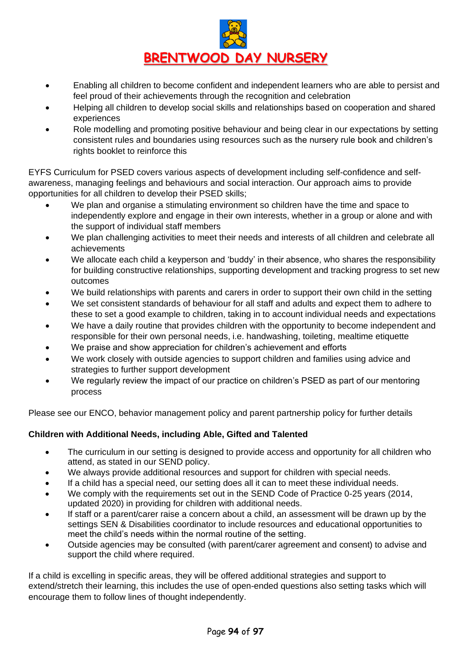

- Enabling all children to become confident and independent learners who are able to persist and feel proud of their achievements through the recognition and celebration
- Helping all children to develop social skills and relationships based on cooperation and shared experiences
- Role modelling and promoting positive behaviour and being clear in our expectations by setting consistent rules and boundaries using resources such as the nursery rule book and children's rights booklet to reinforce this

EYFS Curriculum for PSED covers various aspects of development including self-confidence and selfawareness, managing feelings and behaviours and social interaction. Our approach aims to provide opportunities for all children to develop their PSED skills;

- We plan and organise a stimulating environment so children have the time and space to independently explore and engage in their own interests, whether in a group or alone and with the support of individual staff members
- We plan challenging activities to meet their needs and interests of all children and celebrate all achievements
- We allocate each child a keyperson and 'buddy' in their absence, who shares the responsibility for building constructive relationships, supporting development and tracking progress to set new outcomes
- We build relationships with parents and carers in order to support their own child in the setting
- We set consistent standards of behaviour for all staff and adults and expect them to adhere to these to set a good example to children, taking in to account individual needs and expectations
- We have a daily routine that provides children with the opportunity to become independent and responsible for their own personal needs, i.e. handwashing, toileting, mealtime etiquette
- We praise and show appreciation for children's achievement and efforts
- We work closely with outside agencies to support children and families using advice and strategies to further support development
- We regularly review the impact of our practice on children's PSED as part of our mentoring process

Please see our ENCO, behavior management policy and parent partnership policy for further details

# **Children with Additional Needs, including Able, Gifted and Talented**

- The curriculum in our setting is designed to provide access and opportunity for all children who attend, as stated in our SEND policy.
- We always provide additional resources and support for children with special needs.
- If a child has a special need, our setting does all it can to meet these individual needs.
- We comply with the requirements set out in the SEND Code of Practice 0-25 years (2014, updated 2020) in providing for children with additional needs.
- If staff or a parent/carer raise a concern about a child, an assessment will be drawn up by the settings SEN & Disabilities coordinator to include resources and educational opportunities to meet the child's needs within the normal routine of the setting.
- Outside agencies may be consulted (with parent/carer agreement and consent) to advise and support the child where required.

If a child is excelling in specific areas, they will be offered additional strategies and support to extend/stretch their learning, this includes the use of open-ended questions also setting tasks which will encourage them to follow lines of thought independently.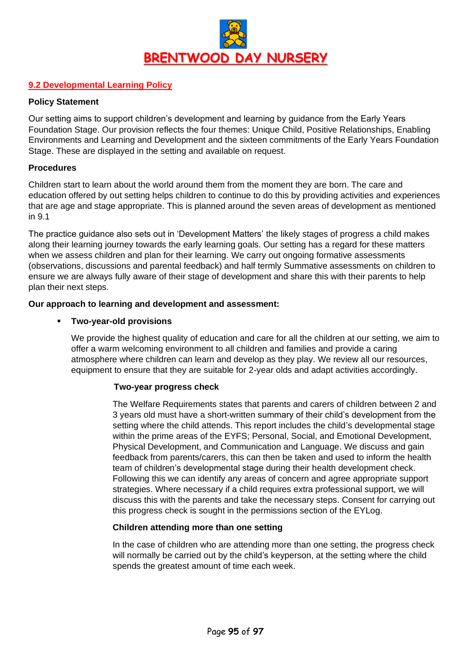

# **9.2 Developmental Learning Policy**

#### **Policy Statement**

Our setting aims to support children's development and learning by guidance from the Early Years Foundation Stage. Our provision reflects the four themes: Unique Child, Positive Relationships, Enabling Environments and Learning and Development and the sixteen commitments of the Early Years Foundation Stage. These are displayed in the setting and available on request.

#### **Procedures**

Children start to learn about the world around them from the moment they are born. The care and education offered by out setting helps children to continue to do this by providing activities and experiences that are age and stage appropriate. This is planned around the seven areas of development as mentioned in 9.1

The practice guidance also sets out in 'Development Matters' the likely stages of progress a child makes along their learning journey towards the early learning goals. Our setting has a regard for these matters when we assess children and plan for their learning. We carry out ongoing formative assessments (observations, discussions and parental feedback) and half termly Summative assessments on children to ensure we are always fully aware of their stage of development and share this with their parents to help plan their next steps.

#### **Our approach to learning and development and assessment:**

#### ▪ **Two-year-old provisions**

We provide the highest quality of education and care for all the children at our setting, we aim to offer a warm welcoming environment to all children and families and provide a caring atmosphere where children can learn and develop as they play. We review all our resources, equipment to ensure that they are suitable for 2-year olds and adapt activities accordingly.

#### **Two-year progress check**

The Welfare Requirements states that parents and carers of children between 2 and 3 years old must have a short-written summary of their child's development from the setting where the child attends. This report includes the child's developmental stage within the prime areas of the EYFS; Personal, Social, and Emotional Development, Physical Development, and Communication and Language. We discuss and gain feedback from parents/carers, this can then be taken and used to inform the health team of children's developmental stage during their health development check. Following this we can identify any areas of concern and agree appropriate support strategies. Where necessary if a child requires extra professional support, we will discuss this with the parents and take the necessary steps. Consent for carrying out this progress check is sought in the permissions section of the EYLog.

#### **Children attending more than one setting**

In the case of children who are attending more than one setting, the progress check will normally be carried out by the child's keyperson, at the setting where the child spends the greatest amount of time each week.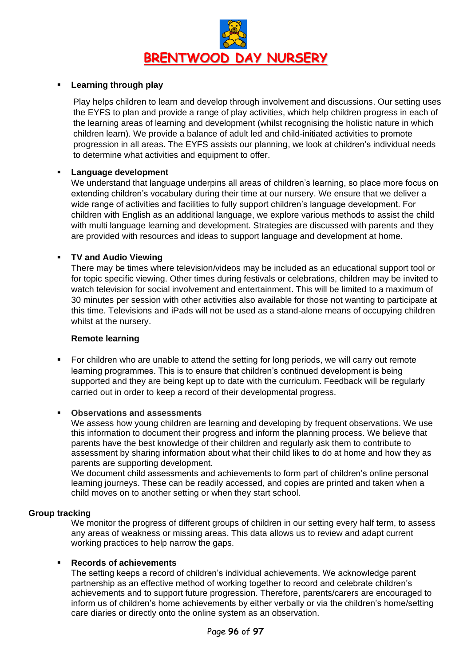

## **Learning through play**

Play helps children to learn and develop through involvement and discussions. Our setting uses the EYFS to plan and provide a range of play activities, which help children progress in each of the learning areas of learning and development (whilst recognising the holistic nature in which children learn). We provide a balance of adult led and child-initiated activities to promote progression in all areas. The EYFS assists our planning, we look at children's individual needs to determine what activities and equipment to offer.

# **Language development**

We understand that language underpins all areas of children's learning, so place more focus on extending children's vocabulary during their time at our nursery. We ensure that we deliver a wide range of activities and facilities to fully support children's language development. For children with English as an additional language, we explore various methods to assist the child with multi language learning and development. Strategies are discussed with parents and they are provided with resources and ideas to support language and development at home.

# **TV and Audio Viewing**

There may be times where television/videos may be included as an educational support tool or for topic specific viewing. Other times during festivals or celebrations, children may be invited to watch television for social involvement and entertainment. This will be limited to a maximum of 30 minutes per session with other activities also available for those not wanting to participate at this time. Televisions and iPads will not be used as a stand-alone means of occupying children whilst at the nursery.

#### **Remote learning**

■ For children who are unable to attend the setting for long periods, we will carry out remote learning programmes. This is to ensure that children's continued development is being supported and they are being kept up to date with the curriculum. Feedback will be regularly carried out in order to keep a record of their developmental progress.

## ▪ **Observations and assessments**

We assess how young children are learning and developing by frequent observations. We use this information to document their progress and inform the planning process. We believe that parents have the best knowledge of their children and regularly ask them to contribute to assessment by sharing information about what their child likes to do at home and how they as parents are supporting development.

We document child assessments and achievements to form part of children's online personal learning journeys. These can be readily accessed, and copies are printed and taken when a child moves on to another setting or when they start school.

#### **Group tracking**

We monitor the progress of different groups of children in our setting every half term, to assess any areas of weakness or missing areas. This data allows us to review and adapt current working practices to help narrow the gaps.

#### **Records of achievements**

The setting keeps a record of children's individual achievements. We acknowledge parent partnership as an effective method of working together to record and celebrate children's achievements and to support future progression. Therefore, parents/carers are encouraged to inform us of children's home achievements by either verbally or via the children's home/setting care diaries or directly onto the online system as an observation.